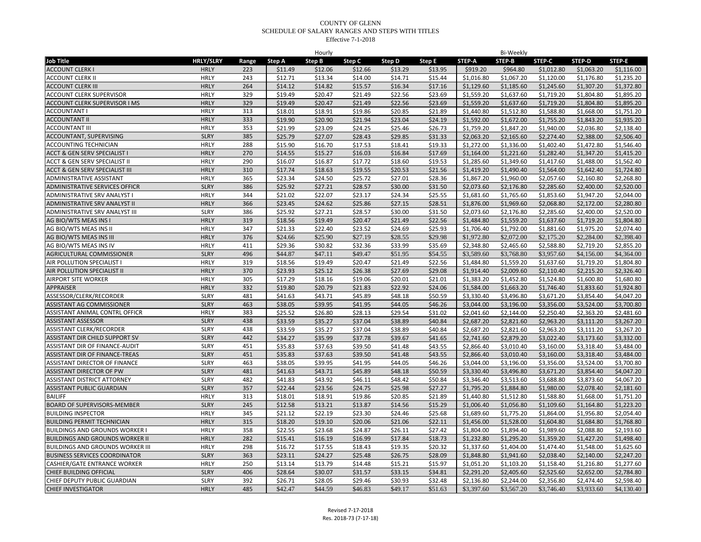| <b>HRLY/SLRY</b><br><b>Step D</b><br><b>Job Title</b><br>Range<br>Step A<br>Step E<br>STEP-B<br>STEP-D<br>STEP-E<br>Step B<br>Step C<br>STEP-A<br><b>STEP-C</b><br><b>ACCOUNT CLERK I</b><br><b>HRLY</b><br>223<br>\$11.49<br>\$12.06<br>\$12.66<br>\$13.29<br>\$13.95<br>\$919.20<br>\$964.80<br>\$1,012.80<br>\$1,063.20<br>\$1,116.00<br>\$1,235.20<br>ACCOUNT CLERK II<br><b>HRLY</b><br>243<br>\$12.71<br>\$13.34<br>\$14.00<br>\$14.71<br>\$15.44<br>\$1,016.80<br>\$1,067.20<br>\$1,120.00<br>\$1,176.80<br><b>HRLY</b><br>264<br><b>ACCOUNT CLERK III</b><br>\$14.12<br>\$14.82<br>\$15.57<br>\$16.34<br>\$17.16<br>\$1,129.60<br>\$1,185.60<br>\$1,245.60<br>\$1,307.20<br>\$1,372.80<br><b>HRLY</b><br>329<br>\$1,804.80<br>ACCOUNT CLERK SUPERVISOR<br>\$19.49<br>\$20.47<br>\$21.49<br>\$22.56<br>\$23.69<br>\$1,559.20<br>\$1,637.60<br>\$1,719.20<br>\$1,895.20<br>\$19.49<br>\$22.56<br>\$1,559.20<br>\$1,637.60<br>\$1,719.20<br>\$1,804.80<br>\$1,895.20<br>ACCOUNT CLERK SUPERVISOR I MS<br><b>HRLY</b><br>329<br>\$20.47<br>\$21.49<br>\$23.69<br><b>ACCOUNTANT I</b><br><b>HRLY</b><br>313<br>\$18.01<br>\$18.91<br>\$19.86<br>\$20.85<br>\$21.89<br>\$1,440.80<br>\$1,512.80<br>\$1,588.80<br>\$1,668.00<br>\$1,751.20<br><b>HRLY</b><br>333<br><b>ACCOUNTANT II</b><br>\$19.90<br>\$20.90<br>\$21.94<br>\$23.04<br>\$24.19<br>\$1,592.00<br>\$1,672.00<br>\$1,755.20<br>\$1,843.20<br>\$1,935.20<br>353<br>\$21.99<br>\$23.09<br>\$24.25<br>\$25.46<br>\$1,759.20<br>\$1,847.20<br>\$1,940.00<br>\$2,036.80<br>\$2,138.40<br><b>ACCOUNTANT III</b><br><b>HRLY</b><br>\$26.73<br>ACCOUNTANT, SUPERVISING<br><b>SLRY</b><br>385<br>\$25.79<br>\$27.07<br>\$28.43<br>\$29.85<br>\$31.33<br>\$2,063.20<br>\$2,165.60<br>\$2,274.40<br>\$2,388.00<br>\$2,506.40<br><b>ACCOUNTING TECHNICIAN</b><br><b>HRLY</b><br>288<br>\$15.90<br>\$16.70<br>\$17.53<br>\$18.41<br>\$19.33<br>\$1,272.00<br>\$1,336.00<br>\$1,402.40<br>\$1,472.80<br>\$1,546.40<br>ACCT & GEN SERV SPECIALIST I<br><b>HRLY</b><br>270<br>\$14.55<br>\$15.27<br>\$16.03<br>\$16.84<br>\$17.69<br>\$1,164.00<br>\$1,221.60<br>\$1,282.40<br>\$1,347.20<br>\$1,415.20<br>290<br>\$16.07<br>\$17.72<br>\$18.60<br>\$19.53<br>\$1,285.60<br>\$1,349.60<br>\$1,417.60<br>\$1,488.00<br>\$1,562.40<br>ACCT & GEN SERV SPECIALIST II<br><b>HRLY</b><br>\$16.87<br>\$17.74<br>ACCT & GEN SERV SPECIALIST III<br><b>HRLY</b><br>310<br>\$18.63<br>\$19.55<br>\$20.53<br>\$21.56<br>\$1,419.20<br>\$1,490.40<br>\$1,564.00<br>\$1,642.40<br>\$1,724.80<br>ADMINISTRATIVE ASSISTANT<br><b>HRLY</b><br>365<br>\$23.34<br>\$24.50<br>\$25.72<br>\$27.01<br>\$28.36<br>\$1,867.20<br>\$1,960.00<br>\$2,057.60<br>\$2,160.80<br>\$2,268.80<br>\$25.92<br>ADMINISTRATIVE SERVICES OFFICR<br><b>SLRY</b><br>386<br>\$27.21<br>\$28.57<br>\$30.00<br>\$31.50<br>\$2,073.60<br>\$2,176.80<br>\$2,285.60<br>\$2,400.00<br>\$2,520.00<br>344<br>\$21.02<br>\$23.17<br>\$25.55<br>\$1,947.20<br><b>HRLY</b><br>\$22.07<br>\$24.34<br>\$1,681.60<br>\$1,765.60<br>\$1,853.60<br>\$2.044.00<br>ADMINISTRATIVE SRV ANALYST I<br><b>HRLY</b><br>366<br>ADMINISTRATIVE SRV ANALYST II<br>\$23.45<br>\$24.62<br>\$25.86<br>\$27.15<br>\$28.51<br>\$1,876.00<br>\$1,969.60<br>\$2,068.80<br>\$2,172.00<br>\$2.280.80<br>386<br>\$25.92<br>ADMINISTRATIVE SRV ANALYST III<br><b>SLRY</b><br>\$27.21<br>\$28.57<br>\$30.00<br>\$31.50<br>\$2,073.60<br>\$2,176.80<br>\$2,285.60<br>\$2,400.00<br>\$2,520.00<br>\$18.56<br>\$19.49<br>\$20.47<br>\$21.49<br>\$22.56<br>\$1,484.80<br>\$1,559.20<br>\$1,637.60<br>\$1,719.20<br>\$1,804.80<br>AG BIO/WTS MEAS INS I<br><b>HRLY</b><br>319<br><b>HRLY</b><br>347<br>\$21.33<br>\$22.40<br>\$23.52<br>\$24.69<br>\$25.93<br>\$1,706.40<br>\$1,792.00<br>\$1,881.60<br>\$1,975.20<br>\$2,074.40<br>AG BIO/WTS MEAS INS II<br><b>HRLY</b><br>376<br>\$24.66<br>\$25.90<br>\$27.19<br>\$28.55<br>\$29.98<br>\$1,972.80<br>\$2,072.00<br>\$2,175.20<br>\$2,284.00<br>\$2,398.40<br>AG BIO/WTS MEAS INS III<br><b>HRLY</b><br>\$29.36<br>\$32.36<br>\$33.99<br>\$35.69<br>\$2,465.60<br>\$2,588.80<br>\$2,719.20<br>\$2,855.20<br>AG BIO/WTS MEAS INS IV<br>411<br>\$30.82<br>\$2,348.80<br>496<br>\$44.87<br>\$49.47<br>AGRICULTURAL COMMISSIONER<br><b>SLRY</b><br>\$47.11<br>\$51.95<br>\$54.55<br>\$3,589.60<br>\$3,768.80<br>\$3,957.60<br>\$4,156.00<br>\$4,364.00<br>AIR POLLUTION SPECIALIST<br><b>HRLY</b><br>319<br>\$18.56<br>\$19.49<br>\$20.47<br>\$21.49<br>\$22.56<br>\$1,484.80<br>\$1,559.20<br>\$1,637.60<br>\$1,719.20<br>\$1,804.80<br>\$23.93<br>\$1,914.40<br>AIR POLLUTION SPECIALIST II<br><b>HRLY</b><br>370<br>\$25.12<br>\$26.38<br>\$27.69<br>\$29.08<br>\$2,009.60<br>\$2,110.40<br>\$2,215.20<br>\$2,326.40<br>AIRPORT SITE WORKER<br><b>HRLY</b><br>305<br>\$17.29<br>\$18.16<br>\$19.06<br>\$20.01<br>\$21.01<br>\$1,383.20<br>\$1,452.80<br>\$1,524.80<br>\$1,600.80<br>\$1,680.80<br><b>HRLY</b><br>332<br>\$19.80<br>\$20.79<br>\$21.83<br>\$22.92<br>\$24.06<br>\$1,584.00<br>\$1,663.20<br>\$1,746.40<br>\$1,833.60<br>\$1,924.80<br><b>APPRAISER</b><br>ASSESSOR/CLERK/RECORDER<br><b>SLRY</b><br>481<br>\$41.63<br>\$45.89<br>\$3,330.40<br>\$3,671.20<br>\$3,854.40<br>\$4,047.20<br>\$43.71<br>\$48.18<br>\$50.59<br>\$3,496.80<br><b>SLRY</b><br>463<br>\$38.05<br>\$39.95<br>\$41.95<br>\$44.05<br>\$3,044.00<br>\$3,196.00<br>\$3,356.00<br>\$3,524.00<br>\$3,700.80<br>ASSISTANT AG COMMISSIONER<br>\$46.26<br>ASSISTANT ANIMAL CONTRL OFFICR<br><b>HRLY</b><br>383<br>\$25.52<br>\$26.80<br>\$28.13<br>\$29.54<br>\$31.02<br>\$2,041.60<br>\$2,144.00<br>\$2,250.40<br>\$2,363.20<br>\$2,481.60<br><b>SLRY</b><br>438<br><b>ASSISTANT ASSESSOR</b><br>\$33.59<br>\$35.27<br>\$37.04<br>\$38.89<br>\$40.84<br>\$2,687.20<br>\$2,821.60<br>\$2,963.20<br>\$3,111.20<br>\$3,267.20<br>\$33.59<br>ASSISTANT CLERK/RECORDER<br><b>SLRY</b><br>438<br>\$35.27<br>\$37.04<br>\$38.89<br>\$40.84<br>\$2,687.20<br>\$2,821.60<br>\$2,963.20<br>\$3,111.20<br>\$3,267.20<br><b>SLRY</b><br>442<br>\$37.78<br>ASSISTANT DIR CHILD SUPPORT SV<br>\$34.27<br>\$35.99<br>\$39.67<br>\$41.65<br>\$2,741.60<br>\$2,879.20<br>\$3,022.40<br>\$3,173.60<br>\$3,332.00<br>451<br>\$35.83<br>\$37.63<br>\$39.50<br>\$43.55<br>\$2,866.40<br>\$3,318.40<br>\$3,484.00<br>ASSISTANT DIR OF FINANCE-AUDIT<br><b>SLRY</b><br>\$41.48<br>\$3,010.40<br>\$3,160.00<br><b>SLRY</b><br>ASSISTANT DIR OF FINANCE-TREAS<br>451<br>\$35.83<br>\$37.63<br>\$39.50<br>\$41.48<br>\$43.55<br>\$2,866.40<br>\$3,160.00<br>\$3,318.40<br>\$3,484.00<br>\$3,010.40<br><b>SLRY</b><br>\$41.95<br>\$44.05<br>\$3,044.00<br>\$3,524.00<br>\$3,700.80<br>ASSISTANT DIRECTOR OF FINANCE<br>463<br>\$38.05<br>\$39.95<br>\$46.26<br>\$3,196.00<br>\$3,356.00<br><b>SLRY</b><br>481<br>\$41.63<br>\$43.71<br>\$45.89<br>\$48.18<br>\$50.59<br>\$3,330.40<br>\$3,496.80<br>\$3,671.20<br>\$3,854.40<br>\$4,047.20<br>ASSISTANT DIRECTOR OF PW<br><b>ASSISTANT DISTRICT ATTORNEY</b><br><b>SLRY</b><br>482<br>\$41.83<br>\$46.11<br>\$3,873.60<br>\$43.92<br>\$48.42<br>\$50.84<br>\$3,346.40<br>\$3,513.60<br>\$3,688.80<br>\$4,067.20<br>357<br><b>ASSISTANT PUBLIC GUARDIAN</b><br><b>SLRY</b><br>\$22.44<br>\$23.56<br>\$24.75<br>\$25.98<br>\$27.27<br>\$1,795.20<br>\$1,884.80<br>\$1,980.00<br>\$2,078.40<br>\$2,181.60<br><b>BAILIFF</b><br><b>HRLY</b><br>313<br>\$18.01<br>\$18.91<br>\$19.86<br>\$20.85<br>\$21.89<br>\$1.440.80<br>\$1.512.80<br>\$1,588.80<br>\$1,668.00<br>\$1.751.20<br><b>SLRY</b><br>245<br>\$12.58<br>\$13.87<br>\$14.56<br>\$15.29<br>\$1,006.40<br>\$1,109.60<br>\$1,164.80<br>\$1,223.20<br><b>BOARD OF SUPERVISORS-MEMBER</b><br>\$13.21<br>\$1,056.80<br><b>HRLY</b><br>345<br>\$21.12<br>\$22.19<br>\$23.30<br>\$24.46<br>\$25.68<br>\$1,689.60<br>\$1,775.20<br>\$1,864.00<br>\$1,956.80<br>\$2,054.40<br><b>HRLY</b><br>315<br>\$18.20<br>\$20.06<br>\$22.11<br>\$1,684.80<br>\$1,768.80<br>\$19.10<br>\$21.06<br>\$1,456.00<br>\$1,528.00<br>\$1,604.80<br><b>HRLY</b><br>358<br>\$22.55<br>\$23.68<br>\$24.87<br>\$26.11<br>\$27.42<br>\$1,804.00<br>\$1,894.40<br>\$1,989.60<br>\$2,088.80<br>\$2,193.60<br><b>BUILDINGS AND GROUNDS WORKER I</b><br>282<br><b>HRLY</b><br>\$15.41<br>\$16.99<br>\$17.84<br>\$1,232.80<br>\$1,295.20<br>\$1,359.20<br>\$1,498.40<br>\$16.19<br>\$18.73<br>\$1,427.20<br><b>HRLY</b><br>298<br>\$16.72<br>\$17.55<br>\$18.43<br>\$19.35<br>\$20.32<br>\$1,337.60<br>\$1,404.00<br>\$1,474.40<br>\$1,548.00<br>\$1,625.60<br><b>BUSINESS SERVICES COORDINATOR</b><br><b>SLRY</b><br>363<br>\$23.11<br>\$24.27<br>\$25.48<br>\$26.75<br>\$28.09<br>\$1,848.80<br>\$1,941.60<br>\$2,038.40<br>\$2,140.00<br>\$2,247.20<br>250<br><b>HRLY</b><br>\$13.14<br>\$13.79<br>\$14.48<br>\$15.21<br>\$15.97<br>\$1,051.20<br>\$1,103.20<br>\$1,158.40<br>\$1,216.80<br>\$1,277.60<br><b>CASHIER/GATE ENTRANCE WORKER</b><br><b>SLRY</b><br>CHIEF BUILDING OFFICIAL<br>406<br>\$28.64<br>\$30.07<br>\$31.57<br>\$33.15<br>\$34.81<br>\$2,291.20<br>\$2,405.60<br>\$2,525.60<br>\$2,652.00<br>\$2,784.80<br>392<br>\$2,474.40<br>CHIEF DEPUTY PUBLIC GUARDIAN<br><b>SLRY</b><br>\$26.71<br>\$28.05<br>\$29.46<br>\$30.93<br>\$32.48<br>\$2,136.80<br>\$2,244.00<br>\$2,356.80<br>\$2,598.40<br>\$42.47<br><b>HRLY</b><br>485<br>\$44.59<br>\$46.83<br>\$49.17<br>\$51.63<br>\$3,397.60<br>\$3,567.20<br>\$3,746.40<br>\$3,933.60<br>\$4,130.40 |                                         |  | Hourly |  |  | <b>Bi-Weekly</b> |  |  |
|----------------------------------------------------------------------------------------------------------------------------------------------------------------------------------------------------------------------------------------------------------------------------------------------------------------------------------------------------------------------------------------------------------------------------------------------------------------------------------------------------------------------------------------------------------------------------------------------------------------------------------------------------------------------------------------------------------------------------------------------------------------------------------------------------------------------------------------------------------------------------------------------------------------------------------------------------------------------------------------------------------------------------------------------------------------------------------------------------------------------------------------------------------------------------------------------------------------------------------------------------------------------------------------------------------------------------------------------------------------------------------------------------------------------------------------------------------------------------------------------------------------------------------------------------------------------------------------------------------------------------------------------------------------------------------------------------------------------------------------------------------------------------------------------------------------------------------------------------------------------------------------------------------------------------------------------------------------------------------------------------------------------------------------------------------------------------------------------------------------------------------------------------------------------------------------------------------------------------------------------------------------------------------------------------------------------------------------------------------------------------------------------------------------------------------------------------------------------------------------------------------------------------------------------------------------------------------------------------------------------------------------------------------------------------------------------------------------------------------------------------------------------------------------------------------------------------------------------------------------------------------------------------------------------------------------------------------------------------------------------------------------------------------------------------------------------------------------------------------------------------------------------------------------------------------------------------------------------------------------------------------------------------------------------------------------------------------------------------------------------------------------------------------------------------------------------------------------------------------------------------------------------------------------------------------------------------------------------------------------------------------------------------------------------------------------------------------------------------------------------------------------------------------------------------------------------------------------------------------------------------------------------------------------------------------------------------------------------------------------------------------------------------------------------------------------------------------------------------------------------------------------------------------------------------------------------------------------------------------------------------------------------------------------------------------------------------------------------------------------------------------------------------------------------------------------------------------------------------------------------------------------------------------------------------------------------------------------------------------------------------------------------------------------------------------------------------------------------------------------------------------------------------------------------------------------------------------------------------------------------------------------------------------------------------------------------------------------------------------------------------------------------------------------------------------------------------------------------------------------------------------------------------------------------------------------------------------------------------------------------------------------------------------------------------------------------------------------------------------------------------------------------------------------------------------------------------------------------------------------------------------------------------------------------------------------------------------------------------------------------------------------------------------------------------------------------------------------------------------------------------------------------------------------------------------------------------------------------------------------------------------------------------------------------------------------------------------------------------------------------------------------------------------------------------------------------------------------------------------------------------------------------------------------------------------------------------------------------------------------------------------------------------------------------------------------------------------------------------------------------------------------------------------------------------------------------------------------------------------------------------------------------------------------------------------------------------------------------------------------------------------------------------------------------------------------------------------------------------------------------------------------------------------------------------------------------------------------------------------------------------------------------------------------------------------------------------------------------------------------------------------------------------------------------------------------------------------------------------------------------------------------------------------------------------------------------------------------------------------------------------------------------------------------------------------------------------------------------------------------------------------------------------------------------------------------------------------------------------------------------------------------------------------------------------------------------------------------------------------------------------------------------------------------------------------------------------------------------------------------------------------------------------------------------------------------------------------------------------------------------------------------------------------------------------------------------------------------------------------------------------------------------------------------------------------------------------------------------------------------------------------------------------------------------------------------------------------------------------------------------------------------------------------------------------------------------------------------------------------------------------------------------------------------------------------------------------------------------------------------------------------------------------------------------------------------------------------------------------------------------------------------------------------------------------------------------------------------------------------------------------------------------------------------------------------------------------------------------------------------------------------------------------------------------------------------------------------------------------------------------------------------------------------------------------------------------------------------------------------------------------------------------------------------------------------------------------------------------------------------------------------------------------------------------------------------------------------------------------------------------------------------------------------|-----------------------------------------|--|--------|--|--|------------------|--|--|
|                                                                                                                                                                                                                                                                                                                                                                                                                                                                                                                                                                                                                                                                                                                                                                                                                                                                                                                                                                                                                                                                                                                                                                                                                                                                                                                                                                                                                                                                                                                                                                                                                                                                                                                                                                                                                                                                                                                                                                                                                                                                                                                                                                                                                                                                                                                                                                                                                                                                                                                                                                                                                                                                                                                                                                                                                                                                                                                                                                                                                                                                                                                                                                                                                                                                                                                                                                                                                                                                                                                                                                                                                                                                                                                                                                                                                                                                                                                                                                                                                                                                                                                                                                                                                                                                                                                                                                                                                                                                                                                                                                                                                                                                                                                                                                                                                                                                                                                                                                                                                                                                                                                                                                                                                                                                                                                                                                                                                                                                                                                                                                                                                                                                                                                                                                                                                                                                                                                                                                                                                                                                                                                                                                                                                                                                                                                                                                                                                                                                                                                                                                                                                                                                                                                                                                                                                                                                                                                                                                                                                                                                                                                                                                                                                                                                                                                                                                                                                                                                                                                                                                                                                                                                                                                                                                                                                                                                                                                                                                                                                                                                                                                                                                                                                                                                                                                                                                                                                                                                                                                                                                                                                                                                                                                                                                                                                                                                                                                                                                                                                                                                                                                                                                                                                                                                                                                                                                                                          |                                         |  |        |  |  |                  |  |  |
|                                                                                                                                                                                                                                                                                                                                                                                                                                                                                                                                                                                                                                                                                                                                                                                                                                                                                                                                                                                                                                                                                                                                                                                                                                                                                                                                                                                                                                                                                                                                                                                                                                                                                                                                                                                                                                                                                                                                                                                                                                                                                                                                                                                                                                                                                                                                                                                                                                                                                                                                                                                                                                                                                                                                                                                                                                                                                                                                                                                                                                                                                                                                                                                                                                                                                                                                                                                                                                                                                                                                                                                                                                                                                                                                                                                                                                                                                                                                                                                                                                                                                                                                                                                                                                                                                                                                                                                                                                                                                                                                                                                                                                                                                                                                                                                                                                                                                                                                                                                                                                                                                                                                                                                                                                                                                                                                                                                                                                                                                                                                                                                                                                                                                                                                                                                                                                                                                                                                                                                                                                                                                                                                                                                                                                                                                                                                                                                                                                                                                                                                                                                                                                                                                                                                                                                                                                                                                                                                                                                                                                                                                                                                                                                                                                                                                                                                                                                                                                                                                                                                                                                                                                                                                                                                                                                                                                                                                                                                                                                                                                                                                                                                                                                                                                                                                                                                                                                                                                                                                                                                                                                                                                                                                                                                                                                                                                                                                                                                                                                                                                                                                                                                                                                                                                                                                                                                                                                                          |                                         |  |        |  |  |                  |  |  |
|                                                                                                                                                                                                                                                                                                                                                                                                                                                                                                                                                                                                                                                                                                                                                                                                                                                                                                                                                                                                                                                                                                                                                                                                                                                                                                                                                                                                                                                                                                                                                                                                                                                                                                                                                                                                                                                                                                                                                                                                                                                                                                                                                                                                                                                                                                                                                                                                                                                                                                                                                                                                                                                                                                                                                                                                                                                                                                                                                                                                                                                                                                                                                                                                                                                                                                                                                                                                                                                                                                                                                                                                                                                                                                                                                                                                                                                                                                                                                                                                                                                                                                                                                                                                                                                                                                                                                                                                                                                                                                                                                                                                                                                                                                                                                                                                                                                                                                                                                                                                                                                                                                                                                                                                                                                                                                                                                                                                                                                                                                                                                                                                                                                                                                                                                                                                                                                                                                                                                                                                                                                                                                                                                                                                                                                                                                                                                                                                                                                                                                                                                                                                                                                                                                                                                                                                                                                                                                                                                                                                                                                                                                                                                                                                                                                                                                                                                                                                                                                                                                                                                                                                                                                                                                                                                                                                                                                                                                                                                                                                                                                                                                                                                                                                                                                                                                                                                                                                                                                                                                                                                                                                                                                                                                                                                                                                                                                                                                                                                                                                                                                                                                                                                                                                                                                                                                                                                                                                          |                                         |  |        |  |  |                  |  |  |
|                                                                                                                                                                                                                                                                                                                                                                                                                                                                                                                                                                                                                                                                                                                                                                                                                                                                                                                                                                                                                                                                                                                                                                                                                                                                                                                                                                                                                                                                                                                                                                                                                                                                                                                                                                                                                                                                                                                                                                                                                                                                                                                                                                                                                                                                                                                                                                                                                                                                                                                                                                                                                                                                                                                                                                                                                                                                                                                                                                                                                                                                                                                                                                                                                                                                                                                                                                                                                                                                                                                                                                                                                                                                                                                                                                                                                                                                                                                                                                                                                                                                                                                                                                                                                                                                                                                                                                                                                                                                                                                                                                                                                                                                                                                                                                                                                                                                                                                                                                                                                                                                                                                                                                                                                                                                                                                                                                                                                                                                                                                                                                                                                                                                                                                                                                                                                                                                                                                                                                                                                                                                                                                                                                                                                                                                                                                                                                                                                                                                                                                                                                                                                                                                                                                                                                                                                                                                                                                                                                                                                                                                                                                                                                                                                                                                                                                                                                                                                                                                                                                                                                                                                                                                                                                                                                                                                                                                                                                                                                                                                                                                                                                                                                                                                                                                                                                                                                                                                                                                                                                                                                                                                                                                                                                                                                                                                                                                                                                                                                                                                                                                                                                                                                                                                                                                                                                                                                                                          |                                         |  |        |  |  |                  |  |  |
|                                                                                                                                                                                                                                                                                                                                                                                                                                                                                                                                                                                                                                                                                                                                                                                                                                                                                                                                                                                                                                                                                                                                                                                                                                                                                                                                                                                                                                                                                                                                                                                                                                                                                                                                                                                                                                                                                                                                                                                                                                                                                                                                                                                                                                                                                                                                                                                                                                                                                                                                                                                                                                                                                                                                                                                                                                                                                                                                                                                                                                                                                                                                                                                                                                                                                                                                                                                                                                                                                                                                                                                                                                                                                                                                                                                                                                                                                                                                                                                                                                                                                                                                                                                                                                                                                                                                                                                                                                                                                                                                                                                                                                                                                                                                                                                                                                                                                                                                                                                                                                                                                                                                                                                                                                                                                                                                                                                                                                                                                                                                                                                                                                                                                                                                                                                                                                                                                                                                                                                                                                                                                                                                                                                                                                                                                                                                                                                                                                                                                                                                                                                                                                                                                                                                                                                                                                                                                                                                                                                                                                                                                                                                                                                                                                                                                                                                                                                                                                                                                                                                                                                                                                                                                                                                                                                                                                                                                                                                                                                                                                                                                                                                                                                                                                                                                                                                                                                                                                                                                                                                                                                                                                                                                                                                                                                                                                                                                                                                                                                                                                                                                                                                                                                                                                                                                                                                                                                                          |                                         |  |        |  |  |                  |  |  |
|                                                                                                                                                                                                                                                                                                                                                                                                                                                                                                                                                                                                                                                                                                                                                                                                                                                                                                                                                                                                                                                                                                                                                                                                                                                                                                                                                                                                                                                                                                                                                                                                                                                                                                                                                                                                                                                                                                                                                                                                                                                                                                                                                                                                                                                                                                                                                                                                                                                                                                                                                                                                                                                                                                                                                                                                                                                                                                                                                                                                                                                                                                                                                                                                                                                                                                                                                                                                                                                                                                                                                                                                                                                                                                                                                                                                                                                                                                                                                                                                                                                                                                                                                                                                                                                                                                                                                                                                                                                                                                                                                                                                                                                                                                                                                                                                                                                                                                                                                                                                                                                                                                                                                                                                                                                                                                                                                                                                                                                                                                                                                                                                                                                                                                                                                                                                                                                                                                                                                                                                                                                                                                                                                                                                                                                                                                                                                                                                                                                                                                                                                                                                                                                                                                                                                                                                                                                                                                                                                                                                                                                                                                                                                                                                                                                                                                                                                                                                                                                                                                                                                                                                                                                                                                                                                                                                                                                                                                                                                                                                                                                                                                                                                                                                                                                                                                                                                                                                                                                                                                                                                                                                                                                                                                                                                                                                                                                                                                                                                                                                                                                                                                                                                                                                                                                                                                                                                                                                          |                                         |  |        |  |  |                  |  |  |
|                                                                                                                                                                                                                                                                                                                                                                                                                                                                                                                                                                                                                                                                                                                                                                                                                                                                                                                                                                                                                                                                                                                                                                                                                                                                                                                                                                                                                                                                                                                                                                                                                                                                                                                                                                                                                                                                                                                                                                                                                                                                                                                                                                                                                                                                                                                                                                                                                                                                                                                                                                                                                                                                                                                                                                                                                                                                                                                                                                                                                                                                                                                                                                                                                                                                                                                                                                                                                                                                                                                                                                                                                                                                                                                                                                                                                                                                                                                                                                                                                                                                                                                                                                                                                                                                                                                                                                                                                                                                                                                                                                                                                                                                                                                                                                                                                                                                                                                                                                                                                                                                                                                                                                                                                                                                                                                                                                                                                                                                                                                                                                                                                                                                                                                                                                                                                                                                                                                                                                                                                                                                                                                                                                                                                                                                                                                                                                                                                                                                                                                                                                                                                                                                                                                                                                                                                                                                                                                                                                                                                                                                                                                                                                                                                                                                                                                                                                                                                                                                                                                                                                                                                                                                                                                                                                                                                                                                                                                                                                                                                                                                                                                                                                                                                                                                                                                                                                                                                                                                                                                                                                                                                                                                                                                                                                                                                                                                                                                                                                                                                                                                                                                                                                                                                                                                                                                                                                                                          |                                         |  |        |  |  |                  |  |  |
|                                                                                                                                                                                                                                                                                                                                                                                                                                                                                                                                                                                                                                                                                                                                                                                                                                                                                                                                                                                                                                                                                                                                                                                                                                                                                                                                                                                                                                                                                                                                                                                                                                                                                                                                                                                                                                                                                                                                                                                                                                                                                                                                                                                                                                                                                                                                                                                                                                                                                                                                                                                                                                                                                                                                                                                                                                                                                                                                                                                                                                                                                                                                                                                                                                                                                                                                                                                                                                                                                                                                                                                                                                                                                                                                                                                                                                                                                                                                                                                                                                                                                                                                                                                                                                                                                                                                                                                                                                                                                                                                                                                                                                                                                                                                                                                                                                                                                                                                                                                                                                                                                                                                                                                                                                                                                                                                                                                                                                                                                                                                                                                                                                                                                                                                                                                                                                                                                                                                                                                                                                                                                                                                                                                                                                                                                                                                                                                                                                                                                                                                                                                                                                                                                                                                                                                                                                                                                                                                                                                                                                                                                                                                                                                                                                                                                                                                                                                                                                                                                                                                                                                                                                                                                                                                                                                                                                                                                                                                                                                                                                                                                                                                                                                                                                                                                                                                                                                                                                                                                                                                                                                                                                                                                                                                                                                                                                                                                                                                                                                                                                                                                                                                                                                                                                                                                                                                                                                                          |                                         |  |        |  |  |                  |  |  |
|                                                                                                                                                                                                                                                                                                                                                                                                                                                                                                                                                                                                                                                                                                                                                                                                                                                                                                                                                                                                                                                                                                                                                                                                                                                                                                                                                                                                                                                                                                                                                                                                                                                                                                                                                                                                                                                                                                                                                                                                                                                                                                                                                                                                                                                                                                                                                                                                                                                                                                                                                                                                                                                                                                                                                                                                                                                                                                                                                                                                                                                                                                                                                                                                                                                                                                                                                                                                                                                                                                                                                                                                                                                                                                                                                                                                                                                                                                                                                                                                                                                                                                                                                                                                                                                                                                                                                                                                                                                                                                                                                                                                                                                                                                                                                                                                                                                                                                                                                                                                                                                                                                                                                                                                                                                                                                                                                                                                                                                                                                                                                                                                                                                                                                                                                                                                                                                                                                                                                                                                                                                                                                                                                                                                                                                                                                                                                                                                                                                                                                                                                                                                                                                                                                                                                                                                                                                                                                                                                                                                                                                                                                                                                                                                                                                                                                                                                                                                                                                                                                                                                                                                                                                                                                                                                                                                                                                                                                                                                                                                                                                                                                                                                                                                                                                                                                                                                                                                                                                                                                                                                                                                                                                                                                                                                                                                                                                                                                                                                                                                                                                                                                                                                                                                                                                                                                                                                                                                          |                                         |  |        |  |  |                  |  |  |
|                                                                                                                                                                                                                                                                                                                                                                                                                                                                                                                                                                                                                                                                                                                                                                                                                                                                                                                                                                                                                                                                                                                                                                                                                                                                                                                                                                                                                                                                                                                                                                                                                                                                                                                                                                                                                                                                                                                                                                                                                                                                                                                                                                                                                                                                                                                                                                                                                                                                                                                                                                                                                                                                                                                                                                                                                                                                                                                                                                                                                                                                                                                                                                                                                                                                                                                                                                                                                                                                                                                                                                                                                                                                                                                                                                                                                                                                                                                                                                                                                                                                                                                                                                                                                                                                                                                                                                                                                                                                                                                                                                                                                                                                                                                                                                                                                                                                                                                                                                                                                                                                                                                                                                                                                                                                                                                                                                                                                                                                                                                                                                                                                                                                                                                                                                                                                                                                                                                                                                                                                                                                                                                                                                                                                                                                                                                                                                                                                                                                                                                                                                                                                                                                                                                                                                                                                                                                                                                                                                                                                                                                                                                                                                                                                                                                                                                                                                                                                                                                                                                                                                                                                                                                                                                                                                                                                                                                                                                                                                                                                                                                                                                                                                                                                                                                                                                                                                                                                                                                                                                                                                                                                                                                                                                                                                                                                                                                                                                                                                                                                                                                                                                                                                                                                                                                                                                                                                                                          |                                         |  |        |  |  |                  |  |  |
|                                                                                                                                                                                                                                                                                                                                                                                                                                                                                                                                                                                                                                                                                                                                                                                                                                                                                                                                                                                                                                                                                                                                                                                                                                                                                                                                                                                                                                                                                                                                                                                                                                                                                                                                                                                                                                                                                                                                                                                                                                                                                                                                                                                                                                                                                                                                                                                                                                                                                                                                                                                                                                                                                                                                                                                                                                                                                                                                                                                                                                                                                                                                                                                                                                                                                                                                                                                                                                                                                                                                                                                                                                                                                                                                                                                                                                                                                                                                                                                                                                                                                                                                                                                                                                                                                                                                                                                                                                                                                                                                                                                                                                                                                                                                                                                                                                                                                                                                                                                                                                                                                                                                                                                                                                                                                                                                                                                                                                                                                                                                                                                                                                                                                                                                                                                                                                                                                                                                                                                                                                                                                                                                                                                                                                                                                                                                                                                                                                                                                                                                                                                                                                                                                                                                                                                                                                                                                                                                                                                                                                                                                                                                                                                                                                                                                                                                                                                                                                                                                                                                                                                                                                                                                                                                                                                                                                                                                                                                                                                                                                                                                                                                                                                                                                                                                                                                                                                                                                                                                                                                                                                                                                                                                                                                                                                                                                                                                                                                                                                                                                                                                                                                                                                                                                                                                                                                                                                                          |                                         |  |        |  |  |                  |  |  |
|                                                                                                                                                                                                                                                                                                                                                                                                                                                                                                                                                                                                                                                                                                                                                                                                                                                                                                                                                                                                                                                                                                                                                                                                                                                                                                                                                                                                                                                                                                                                                                                                                                                                                                                                                                                                                                                                                                                                                                                                                                                                                                                                                                                                                                                                                                                                                                                                                                                                                                                                                                                                                                                                                                                                                                                                                                                                                                                                                                                                                                                                                                                                                                                                                                                                                                                                                                                                                                                                                                                                                                                                                                                                                                                                                                                                                                                                                                                                                                                                                                                                                                                                                                                                                                                                                                                                                                                                                                                                                                                                                                                                                                                                                                                                                                                                                                                                                                                                                                                                                                                                                                                                                                                                                                                                                                                                                                                                                                                                                                                                                                                                                                                                                                                                                                                                                                                                                                                                                                                                                                                                                                                                                                                                                                                                                                                                                                                                                                                                                                                                                                                                                                                                                                                                                                                                                                                                                                                                                                                                                                                                                                                                                                                                                                                                                                                                                                                                                                                                                                                                                                                                                                                                                                                                                                                                                                                                                                                                                                                                                                                                                                                                                                                                                                                                                                                                                                                                                                                                                                                                                                                                                                                                                                                                                                                                                                                                                                                                                                                                                                                                                                                                                                                                                                                                                                                                                                                                          |                                         |  |        |  |  |                  |  |  |
|                                                                                                                                                                                                                                                                                                                                                                                                                                                                                                                                                                                                                                                                                                                                                                                                                                                                                                                                                                                                                                                                                                                                                                                                                                                                                                                                                                                                                                                                                                                                                                                                                                                                                                                                                                                                                                                                                                                                                                                                                                                                                                                                                                                                                                                                                                                                                                                                                                                                                                                                                                                                                                                                                                                                                                                                                                                                                                                                                                                                                                                                                                                                                                                                                                                                                                                                                                                                                                                                                                                                                                                                                                                                                                                                                                                                                                                                                                                                                                                                                                                                                                                                                                                                                                                                                                                                                                                                                                                                                                                                                                                                                                                                                                                                                                                                                                                                                                                                                                                                                                                                                                                                                                                                                                                                                                                                                                                                                                                                                                                                                                                                                                                                                                                                                                                                                                                                                                                                                                                                                                                                                                                                                                                                                                                                                                                                                                                                                                                                                                                                                                                                                                                                                                                                                                                                                                                                                                                                                                                                                                                                                                                                                                                                                                                                                                                                                                                                                                                                                                                                                                                                                                                                                                                                                                                                                                                                                                                                                                                                                                                                                                                                                                                                                                                                                                                                                                                                                                                                                                                                                                                                                                                                                                                                                                                                                                                                                                                                                                                                                                                                                                                                                                                                                                                                                                                                                                                                          |                                         |  |        |  |  |                  |  |  |
|                                                                                                                                                                                                                                                                                                                                                                                                                                                                                                                                                                                                                                                                                                                                                                                                                                                                                                                                                                                                                                                                                                                                                                                                                                                                                                                                                                                                                                                                                                                                                                                                                                                                                                                                                                                                                                                                                                                                                                                                                                                                                                                                                                                                                                                                                                                                                                                                                                                                                                                                                                                                                                                                                                                                                                                                                                                                                                                                                                                                                                                                                                                                                                                                                                                                                                                                                                                                                                                                                                                                                                                                                                                                                                                                                                                                                                                                                                                                                                                                                                                                                                                                                                                                                                                                                                                                                                                                                                                                                                                                                                                                                                                                                                                                                                                                                                                                                                                                                                                                                                                                                                                                                                                                                                                                                                                                                                                                                                                                                                                                                                                                                                                                                                                                                                                                                                                                                                                                                                                                                                                                                                                                                                                                                                                                                                                                                                                                                                                                                                                                                                                                                                                                                                                                                                                                                                                                                                                                                                                                                                                                                                                                                                                                                                                                                                                                                                                                                                                                                                                                                                                                                                                                                                                                                                                                                                                                                                                                                                                                                                                                                                                                                                                                                                                                                                                                                                                                                                                                                                                                                                                                                                                                                                                                                                                                                                                                                                                                                                                                                                                                                                                                                                                                                                                                                                                                                                                                          |                                         |  |        |  |  |                  |  |  |
|                                                                                                                                                                                                                                                                                                                                                                                                                                                                                                                                                                                                                                                                                                                                                                                                                                                                                                                                                                                                                                                                                                                                                                                                                                                                                                                                                                                                                                                                                                                                                                                                                                                                                                                                                                                                                                                                                                                                                                                                                                                                                                                                                                                                                                                                                                                                                                                                                                                                                                                                                                                                                                                                                                                                                                                                                                                                                                                                                                                                                                                                                                                                                                                                                                                                                                                                                                                                                                                                                                                                                                                                                                                                                                                                                                                                                                                                                                                                                                                                                                                                                                                                                                                                                                                                                                                                                                                                                                                                                                                                                                                                                                                                                                                                                                                                                                                                                                                                                                                                                                                                                                                                                                                                                                                                                                                                                                                                                                                                                                                                                                                                                                                                                                                                                                                                                                                                                                                                                                                                                                                                                                                                                                                                                                                                                                                                                                                                                                                                                                                                                                                                                                                                                                                                                                                                                                                                                                                                                                                                                                                                                                                                                                                                                                                                                                                                                                                                                                                                                                                                                                                                                                                                                                                                                                                                                                                                                                                                                                                                                                                                                                                                                                                                                                                                                                                                                                                                                                                                                                                                                                                                                                                                                                                                                                                                                                                                                                                                                                                                                                                                                                                                                                                                                                                                                                                                                                                                          |                                         |  |        |  |  |                  |  |  |
|                                                                                                                                                                                                                                                                                                                                                                                                                                                                                                                                                                                                                                                                                                                                                                                                                                                                                                                                                                                                                                                                                                                                                                                                                                                                                                                                                                                                                                                                                                                                                                                                                                                                                                                                                                                                                                                                                                                                                                                                                                                                                                                                                                                                                                                                                                                                                                                                                                                                                                                                                                                                                                                                                                                                                                                                                                                                                                                                                                                                                                                                                                                                                                                                                                                                                                                                                                                                                                                                                                                                                                                                                                                                                                                                                                                                                                                                                                                                                                                                                                                                                                                                                                                                                                                                                                                                                                                                                                                                                                                                                                                                                                                                                                                                                                                                                                                                                                                                                                                                                                                                                                                                                                                                                                                                                                                                                                                                                                                                                                                                                                                                                                                                                                                                                                                                                                                                                                                                                                                                                                                                                                                                                                                                                                                                                                                                                                                                                                                                                                                                                                                                                                                                                                                                                                                                                                                                                                                                                                                                                                                                                                                                                                                                                                                                                                                                                                                                                                                                                                                                                                                                                                                                                                                                                                                                                                                                                                                                                                                                                                                                                                                                                                                                                                                                                                                                                                                                                                                                                                                                                                                                                                                                                                                                                                                                                                                                                                                                                                                                                                                                                                                                                                                                                                                                                                                                                                                                          |                                         |  |        |  |  |                  |  |  |
|                                                                                                                                                                                                                                                                                                                                                                                                                                                                                                                                                                                                                                                                                                                                                                                                                                                                                                                                                                                                                                                                                                                                                                                                                                                                                                                                                                                                                                                                                                                                                                                                                                                                                                                                                                                                                                                                                                                                                                                                                                                                                                                                                                                                                                                                                                                                                                                                                                                                                                                                                                                                                                                                                                                                                                                                                                                                                                                                                                                                                                                                                                                                                                                                                                                                                                                                                                                                                                                                                                                                                                                                                                                                                                                                                                                                                                                                                                                                                                                                                                                                                                                                                                                                                                                                                                                                                                                                                                                                                                                                                                                                                                                                                                                                                                                                                                                                                                                                                                                                                                                                                                                                                                                                                                                                                                                                                                                                                                                                                                                                                                                                                                                                                                                                                                                                                                                                                                                                                                                                                                                                                                                                                                                                                                                                                                                                                                                                                                                                                                                                                                                                                                                                                                                                                                                                                                                                                                                                                                                                                                                                                                                                                                                                                                                                                                                                                                                                                                                                                                                                                                                                                                                                                                                                                                                                                                                                                                                                                                                                                                                                                                                                                                                                                                                                                                                                                                                                                                                                                                                                                                                                                                                                                                                                                                                                                                                                                                                                                                                                                                                                                                                                                                                                                                                                                                                                                                                                          |                                         |  |        |  |  |                  |  |  |
|                                                                                                                                                                                                                                                                                                                                                                                                                                                                                                                                                                                                                                                                                                                                                                                                                                                                                                                                                                                                                                                                                                                                                                                                                                                                                                                                                                                                                                                                                                                                                                                                                                                                                                                                                                                                                                                                                                                                                                                                                                                                                                                                                                                                                                                                                                                                                                                                                                                                                                                                                                                                                                                                                                                                                                                                                                                                                                                                                                                                                                                                                                                                                                                                                                                                                                                                                                                                                                                                                                                                                                                                                                                                                                                                                                                                                                                                                                                                                                                                                                                                                                                                                                                                                                                                                                                                                                                                                                                                                                                                                                                                                                                                                                                                                                                                                                                                                                                                                                                                                                                                                                                                                                                                                                                                                                                                                                                                                                                                                                                                                                                                                                                                                                                                                                                                                                                                                                                                                                                                                                                                                                                                                                                                                                                                                                                                                                                                                                                                                                                                                                                                                                                                                                                                                                                                                                                                                                                                                                                                                                                                                                                                                                                                                                                                                                                                                                                                                                                                                                                                                                                                                                                                                                                                                                                                                                                                                                                                                                                                                                                                                                                                                                                                                                                                                                                                                                                                                                                                                                                                                                                                                                                                                                                                                                                                                                                                                                                                                                                                                                                                                                                                                                                                                                                                                                                                                                                                          |                                         |  |        |  |  |                  |  |  |
|                                                                                                                                                                                                                                                                                                                                                                                                                                                                                                                                                                                                                                                                                                                                                                                                                                                                                                                                                                                                                                                                                                                                                                                                                                                                                                                                                                                                                                                                                                                                                                                                                                                                                                                                                                                                                                                                                                                                                                                                                                                                                                                                                                                                                                                                                                                                                                                                                                                                                                                                                                                                                                                                                                                                                                                                                                                                                                                                                                                                                                                                                                                                                                                                                                                                                                                                                                                                                                                                                                                                                                                                                                                                                                                                                                                                                                                                                                                                                                                                                                                                                                                                                                                                                                                                                                                                                                                                                                                                                                                                                                                                                                                                                                                                                                                                                                                                                                                                                                                                                                                                                                                                                                                                                                                                                                                                                                                                                                                                                                                                                                                                                                                                                                                                                                                                                                                                                                                                                                                                                                                                                                                                                                                                                                                                                                                                                                                                                                                                                                                                                                                                                                                                                                                                                                                                                                                                                                                                                                                                                                                                                                                                                                                                                                                                                                                                                                                                                                                                                                                                                                                                                                                                                                                                                                                                                                                                                                                                                                                                                                                                                                                                                                                                                                                                                                                                                                                                                                                                                                                                                                                                                                                                                                                                                                                                                                                                                                                                                                                                                                                                                                                                                                                                                                                                                                                                                                                                          |                                         |  |        |  |  |                  |  |  |
|                                                                                                                                                                                                                                                                                                                                                                                                                                                                                                                                                                                                                                                                                                                                                                                                                                                                                                                                                                                                                                                                                                                                                                                                                                                                                                                                                                                                                                                                                                                                                                                                                                                                                                                                                                                                                                                                                                                                                                                                                                                                                                                                                                                                                                                                                                                                                                                                                                                                                                                                                                                                                                                                                                                                                                                                                                                                                                                                                                                                                                                                                                                                                                                                                                                                                                                                                                                                                                                                                                                                                                                                                                                                                                                                                                                                                                                                                                                                                                                                                                                                                                                                                                                                                                                                                                                                                                                                                                                                                                                                                                                                                                                                                                                                                                                                                                                                                                                                                                                                                                                                                                                                                                                                                                                                                                                                                                                                                                                                                                                                                                                                                                                                                                                                                                                                                                                                                                                                                                                                                                                                                                                                                                                                                                                                                                                                                                                                                                                                                                                                                                                                                                                                                                                                                                                                                                                                                                                                                                                                                                                                                                                                                                                                                                                                                                                                                                                                                                                                                                                                                                                                                                                                                                                                                                                                                                                                                                                                                                                                                                                                                                                                                                                                                                                                                                                                                                                                                                                                                                                                                                                                                                                                                                                                                                                                                                                                                                                                                                                                                                                                                                                                                                                                                                                                                                                                                                                                          |                                         |  |        |  |  |                  |  |  |
|                                                                                                                                                                                                                                                                                                                                                                                                                                                                                                                                                                                                                                                                                                                                                                                                                                                                                                                                                                                                                                                                                                                                                                                                                                                                                                                                                                                                                                                                                                                                                                                                                                                                                                                                                                                                                                                                                                                                                                                                                                                                                                                                                                                                                                                                                                                                                                                                                                                                                                                                                                                                                                                                                                                                                                                                                                                                                                                                                                                                                                                                                                                                                                                                                                                                                                                                                                                                                                                                                                                                                                                                                                                                                                                                                                                                                                                                                                                                                                                                                                                                                                                                                                                                                                                                                                                                                                                                                                                                                                                                                                                                                                                                                                                                                                                                                                                                                                                                                                                                                                                                                                                                                                                                                                                                                                                                                                                                                                                                                                                                                                                                                                                                                                                                                                                                                                                                                                                                                                                                                                                                                                                                                                                                                                                                                                                                                                                                                                                                                                                                                                                                                                                                                                                                                                                                                                                                                                                                                                                                                                                                                                                                                                                                                                                                                                                                                                                                                                                                                                                                                                                                                                                                                                                                                                                                                                                                                                                                                                                                                                                                                                                                                                                                                                                                                                                                                                                                                                                                                                                                                                                                                                                                                                                                                                                                                                                                                                                                                                                                                                                                                                                                                                                                                                                                                                                                                                                                          |                                         |  |        |  |  |                  |  |  |
|                                                                                                                                                                                                                                                                                                                                                                                                                                                                                                                                                                                                                                                                                                                                                                                                                                                                                                                                                                                                                                                                                                                                                                                                                                                                                                                                                                                                                                                                                                                                                                                                                                                                                                                                                                                                                                                                                                                                                                                                                                                                                                                                                                                                                                                                                                                                                                                                                                                                                                                                                                                                                                                                                                                                                                                                                                                                                                                                                                                                                                                                                                                                                                                                                                                                                                                                                                                                                                                                                                                                                                                                                                                                                                                                                                                                                                                                                                                                                                                                                                                                                                                                                                                                                                                                                                                                                                                                                                                                                                                                                                                                                                                                                                                                                                                                                                                                                                                                                                                                                                                                                                                                                                                                                                                                                                                                                                                                                                                                                                                                                                                                                                                                                                                                                                                                                                                                                                                                                                                                                                                                                                                                                                                                                                                                                                                                                                                                                                                                                                                                                                                                                                                                                                                                                                                                                                                                                                                                                                                                                                                                                                                                                                                                                                                                                                                                                                                                                                                                                                                                                                                                                                                                                                                                                                                                                                                                                                                                                                                                                                                                                                                                                                                                                                                                                                                                                                                                                                                                                                                                                                                                                                                                                                                                                                                                                                                                                                                                                                                                                                                                                                                                                                                                                                                                                                                                                                                                          |                                         |  |        |  |  |                  |  |  |
|                                                                                                                                                                                                                                                                                                                                                                                                                                                                                                                                                                                                                                                                                                                                                                                                                                                                                                                                                                                                                                                                                                                                                                                                                                                                                                                                                                                                                                                                                                                                                                                                                                                                                                                                                                                                                                                                                                                                                                                                                                                                                                                                                                                                                                                                                                                                                                                                                                                                                                                                                                                                                                                                                                                                                                                                                                                                                                                                                                                                                                                                                                                                                                                                                                                                                                                                                                                                                                                                                                                                                                                                                                                                                                                                                                                                                                                                                                                                                                                                                                                                                                                                                                                                                                                                                                                                                                                                                                                                                                                                                                                                                                                                                                                                                                                                                                                                                                                                                                                                                                                                                                                                                                                                                                                                                                                                                                                                                                                                                                                                                                                                                                                                                                                                                                                                                                                                                                                                                                                                                                                                                                                                                                                                                                                                                                                                                                                                                                                                                                                                                                                                                                                                                                                                                                                                                                                                                                                                                                                                                                                                                                                                                                                                                                                                                                                                                                                                                                                                                                                                                                                                                                                                                                                                                                                                                                                                                                                                                                                                                                                                                                                                                                                                                                                                                                                                                                                                                                                                                                                                                                                                                                                                                                                                                                                                                                                                                                                                                                                                                                                                                                                                                                                                                                                                                                                                                                                                          |                                         |  |        |  |  |                  |  |  |
|                                                                                                                                                                                                                                                                                                                                                                                                                                                                                                                                                                                                                                                                                                                                                                                                                                                                                                                                                                                                                                                                                                                                                                                                                                                                                                                                                                                                                                                                                                                                                                                                                                                                                                                                                                                                                                                                                                                                                                                                                                                                                                                                                                                                                                                                                                                                                                                                                                                                                                                                                                                                                                                                                                                                                                                                                                                                                                                                                                                                                                                                                                                                                                                                                                                                                                                                                                                                                                                                                                                                                                                                                                                                                                                                                                                                                                                                                                                                                                                                                                                                                                                                                                                                                                                                                                                                                                                                                                                                                                                                                                                                                                                                                                                                                                                                                                                                                                                                                                                                                                                                                                                                                                                                                                                                                                                                                                                                                                                                                                                                                                                                                                                                                                                                                                                                                                                                                                                                                                                                                                                                                                                                                                                                                                                                                                                                                                                                                                                                                                                                                                                                                                                                                                                                                                                                                                                                                                                                                                                                                                                                                                                                                                                                                                                                                                                                                                                                                                                                                                                                                                                                                                                                                                                                                                                                                                                                                                                                                                                                                                                                                                                                                                                                                                                                                                                                                                                                                                                                                                                                                                                                                                                                                                                                                                                                                                                                                                                                                                                                                                                                                                                                                                                                                                                                                                                                                                                                          |                                         |  |        |  |  |                  |  |  |
|                                                                                                                                                                                                                                                                                                                                                                                                                                                                                                                                                                                                                                                                                                                                                                                                                                                                                                                                                                                                                                                                                                                                                                                                                                                                                                                                                                                                                                                                                                                                                                                                                                                                                                                                                                                                                                                                                                                                                                                                                                                                                                                                                                                                                                                                                                                                                                                                                                                                                                                                                                                                                                                                                                                                                                                                                                                                                                                                                                                                                                                                                                                                                                                                                                                                                                                                                                                                                                                                                                                                                                                                                                                                                                                                                                                                                                                                                                                                                                                                                                                                                                                                                                                                                                                                                                                                                                                                                                                                                                                                                                                                                                                                                                                                                                                                                                                                                                                                                                                                                                                                                                                                                                                                                                                                                                                                                                                                                                                                                                                                                                                                                                                                                                                                                                                                                                                                                                                                                                                                                                                                                                                                                                                                                                                                                                                                                                                                                                                                                                                                                                                                                                                                                                                                                                                                                                                                                                                                                                                                                                                                                                                                                                                                                                                                                                                                                                                                                                                                                                                                                                                                                                                                                                                                                                                                                                                                                                                                                                                                                                                                                                                                                                                                                                                                                                                                                                                                                                                                                                                                                                                                                                                                                                                                                                                                                                                                                                                                                                                                                                                                                                                                                                                                                                                                                                                                                                                                          |                                         |  |        |  |  |                  |  |  |
|                                                                                                                                                                                                                                                                                                                                                                                                                                                                                                                                                                                                                                                                                                                                                                                                                                                                                                                                                                                                                                                                                                                                                                                                                                                                                                                                                                                                                                                                                                                                                                                                                                                                                                                                                                                                                                                                                                                                                                                                                                                                                                                                                                                                                                                                                                                                                                                                                                                                                                                                                                                                                                                                                                                                                                                                                                                                                                                                                                                                                                                                                                                                                                                                                                                                                                                                                                                                                                                                                                                                                                                                                                                                                                                                                                                                                                                                                                                                                                                                                                                                                                                                                                                                                                                                                                                                                                                                                                                                                                                                                                                                                                                                                                                                                                                                                                                                                                                                                                                                                                                                                                                                                                                                                                                                                                                                                                                                                                                                                                                                                                                                                                                                                                                                                                                                                                                                                                                                                                                                                                                                                                                                                                                                                                                                                                                                                                                                                                                                                                                                                                                                                                                                                                                                                                                                                                                                                                                                                                                                                                                                                                                                                                                                                                                                                                                                                                                                                                                                                                                                                                                                                                                                                                                                                                                                                                                                                                                                                                                                                                                                                                                                                                                                                                                                                                                                                                                                                                                                                                                                                                                                                                                                                                                                                                                                                                                                                                                                                                                                                                                                                                                                                                                                                                                                                                                                                                                                          |                                         |  |        |  |  |                  |  |  |
|                                                                                                                                                                                                                                                                                                                                                                                                                                                                                                                                                                                                                                                                                                                                                                                                                                                                                                                                                                                                                                                                                                                                                                                                                                                                                                                                                                                                                                                                                                                                                                                                                                                                                                                                                                                                                                                                                                                                                                                                                                                                                                                                                                                                                                                                                                                                                                                                                                                                                                                                                                                                                                                                                                                                                                                                                                                                                                                                                                                                                                                                                                                                                                                                                                                                                                                                                                                                                                                                                                                                                                                                                                                                                                                                                                                                                                                                                                                                                                                                                                                                                                                                                                                                                                                                                                                                                                                                                                                                                                                                                                                                                                                                                                                                                                                                                                                                                                                                                                                                                                                                                                                                                                                                                                                                                                                                                                                                                                                                                                                                                                                                                                                                                                                                                                                                                                                                                                                                                                                                                                                                                                                                                                                                                                                                                                                                                                                                                                                                                                                                                                                                                                                                                                                                                                                                                                                                                                                                                                                                                                                                                                                                                                                                                                                                                                                                                                                                                                                                                                                                                                                                                                                                                                                                                                                                                                                                                                                                                                                                                                                                                                                                                                                                                                                                                                                                                                                                                                                                                                                                                                                                                                                                                                                                                                                                                                                                                                                                                                                                                                                                                                                                                                                                                                                                                                                                                                                                          |                                         |  |        |  |  |                  |  |  |
|                                                                                                                                                                                                                                                                                                                                                                                                                                                                                                                                                                                                                                                                                                                                                                                                                                                                                                                                                                                                                                                                                                                                                                                                                                                                                                                                                                                                                                                                                                                                                                                                                                                                                                                                                                                                                                                                                                                                                                                                                                                                                                                                                                                                                                                                                                                                                                                                                                                                                                                                                                                                                                                                                                                                                                                                                                                                                                                                                                                                                                                                                                                                                                                                                                                                                                                                                                                                                                                                                                                                                                                                                                                                                                                                                                                                                                                                                                                                                                                                                                                                                                                                                                                                                                                                                                                                                                                                                                                                                                                                                                                                                                                                                                                                                                                                                                                                                                                                                                                                                                                                                                                                                                                                                                                                                                                                                                                                                                                                                                                                                                                                                                                                                                                                                                                                                                                                                                                                                                                                                                                                                                                                                                                                                                                                                                                                                                                                                                                                                                                                                                                                                                                                                                                                                                                                                                                                                                                                                                                                                                                                                                                                                                                                                                                                                                                                                                                                                                                                                                                                                                                                                                                                                                                                                                                                                                                                                                                                                                                                                                                                                                                                                                                                                                                                                                                                                                                                                                                                                                                                                                                                                                                                                                                                                                                                                                                                                                                                                                                                                                                                                                                                                                                                                                                                                                                                                                                                          |                                         |  |        |  |  |                  |  |  |
|                                                                                                                                                                                                                                                                                                                                                                                                                                                                                                                                                                                                                                                                                                                                                                                                                                                                                                                                                                                                                                                                                                                                                                                                                                                                                                                                                                                                                                                                                                                                                                                                                                                                                                                                                                                                                                                                                                                                                                                                                                                                                                                                                                                                                                                                                                                                                                                                                                                                                                                                                                                                                                                                                                                                                                                                                                                                                                                                                                                                                                                                                                                                                                                                                                                                                                                                                                                                                                                                                                                                                                                                                                                                                                                                                                                                                                                                                                                                                                                                                                                                                                                                                                                                                                                                                                                                                                                                                                                                                                                                                                                                                                                                                                                                                                                                                                                                                                                                                                                                                                                                                                                                                                                                                                                                                                                                                                                                                                                                                                                                                                                                                                                                                                                                                                                                                                                                                                                                                                                                                                                                                                                                                                                                                                                                                                                                                                                                                                                                                                                                                                                                                                                                                                                                                                                                                                                                                                                                                                                                                                                                                                                                                                                                                                                                                                                                                                                                                                                                                                                                                                                                                                                                                                                                                                                                                                                                                                                                                                                                                                                                                                                                                                                                                                                                                                                                                                                                                                                                                                                                                                                                                                                                                                                                                                                                                                                                                                                                                                                                                                                                                                                                                                                                                                                                                                                                                                                                          |                                         |  |        |  |  |                  |  |  |
|                                                                                                                                                                                                                                                                                                                                                                                                                                                                                                                                                                                                                                                                                                                                                                                                                                                                                                                                                                                                                                                                                                                                                                                                                                                                                                                                                                                                                                                                                                                                                                                                                                                                                                                                                                                                                                                                                                                                                                                                                                                                                                                                                                                                                                                                                                                                                                                                                                                                                                                                                                                                                                                                                                                                                                                                                                                                                                                                                                                                                                                                                                                                                                                                                                                                                                                                                                                                                                                                                                                                                                                                                                                                                                                                                                                                                                                                                                                                                                                                                                                                                                                                                                                                                                                                                                                                                                                                                                                                                                                                                                                                                                                                                                                                                                                                                                                                                                                                                                                                                                                                                                                                                                                                                                                                                                                                                                                                                                                                                                                                                                                                                                                                                                                                                                                                                                                                                                                                                                                                                                                                                                                                                                                                                                                                                                                                                                                                                                                                                                                                                                                                                                                                                                                                                                                                                                                                                                                                                                                                                                                                                                                                                                                                                                                                                                                                                                                                                                                                                                                                                                                                                                                                                                                                                                                                                                                                                                                                                                                                                                                                                                                                                                                                                                                                                                                                                                                                                                                                                                                                                                                                                                                                                                                                                                                                                                                                                                                                                                                                                                                                                                                                                                                                                                                                                                                                                                                                          |                                         |  |        |  |  |                  |  |  |
|                                                                                                                                                                                                                                                                                                                                                                                                                                                                                                                                                                                                                                                                                                                                                                                                                                                                                                                                                                                                                                                                                                                                                                                                                                                                                                                                                                                                                                                                                                                                                                                                                                                                                                                                                                                                                                                                                                                                                                                                                                                                                                                                                                                                                                                                                                                                                                                                                                                                                                                                                                                                                                                                                                                                                                                                                                                                                                                                                                                                                                                                                                                                                                                                                                                                                                                                                                                                                                                                                                                                                                                                                                                                                                                                                                                                                                                                                                                                                                                                                                                                                                                                                                                                                                                                                                                                                                                                                                                                                                                                                                                                                                                                                                                                                                                                                                                                                                                                                                                                                                                                                                                                                                                                                                                                                                                                                                                                                                                                                                                                                                                                                                                                                                                                                                                                                                                                                                                                                                                                                                                                                                                                                                                                                                                                                                                                                                                                                                                                                                                                                                                                                                                                                                                                                                                                                                                                                                                                                                                                                                                                                                                                                                                                                                                                                                                                                                                                                                                                                                                                                                                                                                                                                                                                                                                                                                                                                                                                                                                                                                                                                                                                                                                                                                                                                                                                                                                                                                                                                                                                                                                                                                                                                                                                                                                                                                                                                                                                                                                                                                                                                                                                                                                                                                                                                                                                                                                                          |                                         |  |        |  |  |                  |  |  |
|                                                                                                                                                                                                                                                                                                                                                                                                                                                                                                                                                                                                                                                                                                                                                                                                                                                                                                                                                                                                                                                                                                                                                                                                                                                                                                                                                                                                                                                                                                                                                                                                                                                                                                                                                                                                                                                                                                                                                                                                                                                                                                                                                                                                                                                                                                                                                                                                                                                                                                                                                                                                                                                                                                                                                                                                                                                                                                                                                                                                                                                                                                                                                                                                                                                                                                                                                                                                                                                                                                                                                                                                                                                                                                                                                                                                                                                                                                                                                                                                                                                                                                                                                                                                                                                                                                                                                                                                                                                                                                                                                                                                                                                                                                                                                                                                                                                                                                                                                                                                                                                                                                                                                                                                                                                                                                                                                                                                                                                                                                                                                                                                                                                                                                                                                                                                                                                                                                                                                                                                                                                                                                                                                                                                                                                                                                                                                                                                                                                                                                                                                                                                                                                                                                                                                                                                                                                                                                                                                                                                                                                                                                                                                                                                                                                                                                                                                                                                                                                                                                                                                                                                                                                                                                                                                                                                                                                                                                                                                                                                                                                                                                                                                                                                                                                                                                                                                                                                                                                                                                                                                                                                                                                                                                                                                                                                                                                                                                                                                                                                                                                                                                                                                                                                                                                                                                                                                                                                          |                                         |  |        |  |  |                  |  |  |
|                                                                                                                                                                                                                                                                                                                                                                                                                                                                                                                                                                                                                                                                                                                                                                                                                                                                                                                                                                                                                                                                                                                                                                                                                                                                                                                                                                                                                                                                                                                                                                                                                                                                                                                                                                                                                                                                                                                                                                                                                                                                                                                                                                                                                                                                                                                                                                                                                                                                                                                                                                                                                                                                                                                                                                                                                                                                                                                                                                                                                                                                                                                                                                                                                                                                                                                                                                                                                                                                                                                                                                                                                                                                                                                                                                                                                                                                                                                                                                                                                                                                                                                                                                                                                                                                                                                                                                                                                                                                                                                                                                                                                                                                                                                                                                                                                                                                                                                                                                                                                                                                                                                                                                                                                                                                                                                                                                                                                                                                                                                                                                                                                                                                                                                                                                                                                                                                                                                                                                                                                                                                                                                                                                                                                                                                                                                                                                                                                                                                                                                                                                                                                                                                                                                                                                                                                                                                                                                                                                                                                                                                                                                                                                                                                                                                                                                                                                                                                                                                                                                                                                                                                                                                                                                                                                                                                                                                                                                                                                                                                                                                                                                                                                                                                                                                                                                                                                                                                                                                                                                                                                                                                                                                                                                                                                                                                                                                                                                                                                                                                                                                                                                                                                                                                                                                                                                                                                                                          |                                         |  |        |  |  |                  |  |  |
|                                                                                                                                                                                                                                                                                                                                                                                                                                                                                                                                                                                                                                                                                                                                                                                                                                                                                                                                                                                                                                                                                                                                                                                                                                                                                                                                                                                                                                                                                                                                                                                                                                                                                                                                                                                                                                                                                                                                                                                                                                                                                                                                                                                                                                                                                                                                                                                                                                                                                                                                                                                                                                                                                                                                                                                                                                                                                                                                                                                                                                                                                                                                                                                                                                                                                                                                                                                                                                                                                                                                                                                                                                                                                                                                                                                                                                                                                                                                                                                                                                                                                                                                                                                                                                                                                                                                                                                                                                                                                                                                                                                                                                                                                                                                                                                                                                                                                                                                                                                                                                                                                                                                                                                                                                                                                                                                                                                                                                                                                                                                                                                                                                                                                                                                                                                                                                                                                                                                                                                                                                                                                                                                                                                                                                                                                                                                                                                                                                                                                                                                                                                                                                                                                                                                                                                                                                                                                                                                                                                                                                                                                                                                                                                                                                                                                                                                                                                                                                                                                                                                                                                                                                                                                                                                                                                                                                                                                                                                                                                                                                                                                                                                                                                                                                                                                                                                                                                                                                                                                                                                                                                                                                                                                                                                                                                                                                                                                                                                                                                                                                                                                                                                                                                                                                                                                                                                                                                                          |                                         |  |        |  |  |                  |  |  |
|                                                                                                                                                                                                                                                                                                                                                                                                                                                                                                                                                                                                                                                                                                                                                                                                                                                                                                                                                                                                                                                                                                                                                                                                                                                                                                                                                                                                                                                                                                                                                                                                                                                                                                                                                                                                                                                                                                                                                                                                                                                                                                                                                                                                                                                                                                                                                                                                                                                                                                                                                                                                                                                                                                                                                                                                                                                                                                                                                                                                                                                                                                                                                                                                                                                                                                                                                                                                                                                                                                                                                                                                                                                                                                                                                                                                                                                                                                                                                                                                                                                                                                                                                                                                                                                                                                                                                                                                                                                                                                                                                                                                                                                                                                                                                                                                                                                                                                                                                                                                                                                                                                                                                                                                                                                                                                                                                                                                                                                                                                                                                                                                                                                                                                                                                                                                                                                                                                                                                                                                                                                                                                                                                                                                                                                                                                                                                                                                                                                                                                                                                                                                                                                                                                                                                                                                                                                                                                                                                                                                                                                                                                                                                                                                                                                                                                                                                                                                                                                                                                                                                                                                                                                                                                                                                                                                                                                                                                                                                                                                                                                                                                                                                                                                                                                                                                                                                                                                                                                                                                                                                                                                                                                                                                                                                                                                                                                                                                                                                                                                                                                                                                                                                                                                                                                                                                                                                                                                          |                                         |  |        |  |  |                  |  |  |
|                                                                                                                                                                                                                                                                                                                                                                                                                                                                                                                                                                                                                                                                                                                                                                                                                                                                                                                                                                                                                                                                                                                                                                                                                                                                                                                                                                                                                                                                                                                                                                                                                                                                                                                                                                                                                                                                                                                                                                                                                                                                                                                                                                                                                                                                                                                                                                                                                                                                                                                                                                                                                                                                                                                                                                                                                                                                                                                                                                                                                                                                                                                                                                                                                                                                                                                                                                                                                                                                                                                                                                                                                                                                                                                                                                                                                                                                                                                                                                                                                                                                                                                                                                                                                                                                                                                                                                                                                                                                                                                                                                                                                                                                                                                                                                                                                                                                                                                                                                                                                                                                                                                                                                                                                                                                                                                                                                                                                                                                                                                                                                                                                                                                                                                                                                                                                                                                                                                                                                                                                                                                                                                                                                                                                                                                                                                                                                                                                                                                                                                                                                                                                                                                                                                                                                                                                                                                                                                                                                                                                                                                                                                                                                                                                                                                                                                                                                                                                                                                                                                                                                                                                                                                                                                                                                                                                                                                                                                                                                                                                                                                                                                                                                                                                                                                                                                                                                                                                                                                                                                                                                                                                                                                                                                                                                                                                                                                                                                                                                                                                                                                                                                                                                                                                                                                                                                                                                                                          |                                         |  |        |  |  |                  |  |  |
|                                                                                                                                                                                                                                                                                                                                                                                                                                                                                                                                                                                                                                                                                                                                                                                                                                                                                                                                                                                                                                                                                                                                                                                                                                                                                                                                                                                                                                                                                                                                                                                                                                                                                                                                                                                                                                                                                                                                                                                                                                                                                                                                                                                                                                                                                                                                                                                                                                                                                                                                                                                                                                                                                                                                                                                                                                                                                                                                                                                                                                                                                                                                                                                                                                                                                                                                                                                                                                                                                                                                                                                                                                                                                                                                                                                                                                                                                                                                                                                                                                                                                                                                                                                                                                                                                                                                                                                                                                                                                                                                                                                                                                                                                                                                                                                                                                                                                                                                                                                                                                                                                                                                                                                                                                                                                                                                                                                                                                                                                                                                                                                                                                                                                                                                                                                                                                                                                                                                                                                                                                                                                                                                                                                                                                                                                                                                                                                                                                                                                                                                                                                                                                                                                                                                                                                                                                                                                                                                                                                                                                                                                                                                                                                                                                                                                                                                                                                                                                                                                                                                                                                                                                                                                                                                                                                                                                                                                                                                                                                                                                                                                                                                                                                                                                                                                                                                                                                                                                                                                                                                                                                                                                                                                                                                                                                                                                                                                                                                                                                                                                                                                                                                                                                                                                                                                                                                                                                                          |                                         |  |        |  |  |                  |  |  |
|                                                                                                                                                                                                                                                                                                                                                                                                                                                                                                                                                                                                                                                                                                                                                                                                                                                                                                                                                                                                                                                                                                                                                                                                                                                                                                                                                                                                                                                                                                                                                                                                                                                                                                                                                                                                                                                                                                                                                                                                                                                                                                                                                                                                                                                                                                                                                                                                                                                                                                                                                                                                                                                                                                                                                                                                                                                                                                                                                                                                                                                                                                                                                                                                                                                                                                                                                                                                                                                                                                                                                                                                                                                                                                                                                                                                                                                                                                                                                                                                                                                                                                                                                                                                                                                                                                                                                                                                                                                                                                                                                                                                                                                                                                                                                                                                                                                                                                                                                                                                                                                                                                                                                                                                                                                                                                                                                                                                                                                                                                                                                                                                                                                                                                                                                                                                                                                                                                                                                                                                                                                                                                                                                                                                                                                                                                                                                                                                                                                                                                                                                                                                                                                                                                                                                                                                                                                                                                                                                                                                                                                                                                                                                                                                                                                                                                                                                                                                                                                                                                                                                                                                                                                                                                                                                                                                                                                                                                                                                                                                                                                                                                                                                                                                                                                                                                                                                                                                                                                                                                                                                                                                                                                                                                                                                                                                                                                                                                                                                                                                                                                                                                                                                                                                                                                                                                                                                                                                          |                                         |  |        |  |  |                  |  |  |
|                                                                                                                                                                                                                                                                                                                                                                                                                                                                                                                                                                                                                                                                                                                                                                                                                                                                                                                                                                                                                                                                                                                                                                                                                                                                                                                                                                                                                                                                                                                                                                                                                                                                                                                                                                                                                                                                                                                                                                                                                                                                                                                                                                                                                                                                                                                                                                                                                                                                                                                                                                                                                                                                                                                                                                                                                                                                                                                                                                                                                                                                                                                                                                                                                                                                                                                                                                                                                                                                                                                                                                                                                                                                                                                                                                                                                                                                                                                                                                                                                                                                                                                                                                                                                                                                                                                                                                                                                                                                                                                                                                                                                                                                                                                                                                                                                                                                                                                                                                                                                                                                                                                                                                                                                                                                                                                                                                                                                                                                                                                                                                                                                                                                                                                                                                                                                                                                                                                                                                                                                                                                                                                                                                                                                                                                                                                                                                                                                                                                                                                                                                                                                                                                                                                                                                                                                                                                                                                                                                                                                                                                                                                                                                                                                                                                                                                                                                                                                                                                                                                                                                                                                                                                                                                                                                                                                                                                                                                                                                                                                                                                                                                                                                                                                                                                                                                                                                                                                                                                                                                                                                                                                                                                                                                                                                                                                                                                                                                                                                                                                                                                                                                                                                                                                                                                                                                                                                                                          |                                         |  |        |  |  |                  |  |  |
|                                                                                                                                                                                                                                                                                                                                                                                                                                                                                                                                                                                                                                                                                                                                                                                                                                                                                                                                                                                                                                                                                                                                                                                                                                                                                                                                                                                                                                                                                                                                                                                                                                                                                                                                                                                                                                                                                                                                                                                                                                                                                                                                                                                                                                                                                                                                                                                                                                                                                                                                                                                                                                                                                                                                                                                                                                                                                                                                                                                                                                                                                                                                                                                                                                                                                                                                                                                                                                                                                                                                                                                                                                                                                                                                                                                                                                                                                                                                                                                                                                                                                                                                                                                                                                                                                                                                                                                                                                                                                                                                                                                                                                                                                                                                                                                                                                                                                                                                                                                                                                                                                                                                                                                                                                                                                                                                                                                                                                                                                                                                                                                                                                                                                                                                                                                                                                                                                                                                                                                                                                                                                                                                                                                                                                                                                                                                                                                                                                                                                                                                                                                                                                                                                                                                                                                                                                                                                                                                                                                                                                                                                                                                                                                                                                                                                                                                                                                                                                                                                                                                                                                                                                                                                                                                                                                                                                                                                                                                                                                                                                                                                                                                                                                                                                                                                                                                                                                                                                                                                                                                                                                                                                                                                                                                                                                                                                                                                                                                                                                                                                                                                                                                                                                                                                                                                                                                                                                                          |                                         |  |        |  |  |                  |  |  |
|                                                                                                                                                                                                                                                                                                                                                                                                                                                                                                                                                                                                                                                                                                                                                                                                                                                                                                                                                                                                                                                                                                                                                                                                                                                                                                                                                                                                                                                                                                                                                                                                                                                                                                                                                                                                                                                                                                                                                                                                                                                                                                                                                                                                                                                                                                                                                                                                                                                                                                                                                                                                                                                                                                                                                                                                                                                                                                                                                                                                                                                                                                                                                                                                                                                                                                                                                                                                                                                                                                                                                                                                                                                                                                                                                                                                                                                                                                                                                                                                                                                                                                                                                                                                                                                                                                                                                                                                                                                                                                                                                                                                                                                                                                                                                                                                                                                                                                                                                                                                                                                                                                                                                                                                                                                                                                                                                                                                                                                                                                                                                                                                                                                                                                                                                                                                                                                                                                                                                                                                                                                                                                                                                                                                                                                                                                                                                                                                                                                                                                                                                                                                                                                                                                                                                                                                                                                                                                                                                                                                                                                                                                                                                                                                                                                                                                                                                                                                                                                                                                                                                                                                                                                                                                                                                                                                                                                                                                                                                                                                                                                                                                                                                                                                                                                                                                                                                                                                                                                                                                                                                                                                                                                                                                                                                                                                                                                                                                                                                                                                                                                                                                                                                                                                                                                                                                                                                                                                          |                                         |  |        |  |  |                  |  |  |
|                                                                                                                                                                                                                                                                                                                                                                                                                                                                                                                                                                                                                                                                                                                                                                                                                                                                                                                                                                                                                                                                                                                                                                                                                                                                                                                                                                                                                                                                                                                                                                                                                                                                                                                                                                                                                                                                                                                                                                                                                                                                                                                                                                                                                                                                                                                                                                                                                                                                                                                                                                                                                                                                                                                                                                                                                                                                                                                                                                                                                                                                                                                                                                                                                                                                                                                                                                                                                                                                                                                                                                                                                                                                                                                                                                                                                                                                                                                                                                                                                                                                                                                                                                                                                                                                                                                                                                                                                                                                                                                                                                                                                                                                                                                                                                                                                                                                                                                                                                                                                                                                                                                                                                                                                                                                                                                                                                                                                                                                                                                                                                                                                                                                                                                                                                                                                                                                                                                                                                                                                                                                                                                                                                                                                                                                                                                                                                                                                                                                                                                                                                                                                                                                                                                                                                                                                                                                                                                                                                                                                                                                                                                                                                                                                                                                                                                                                                                                                                                                                                                                                                                                                                                                                                                                                                                                                                                                                                                                                                                                                                                                                                                                                                                                                                                                                                                                                                                                                                                                                                                                                                                                                                                                                                                                                                                                                                                                                                                                                                                                                                                                                                                                                                                                                                                                                                                                                                                                          |                                         |  |        |  |  |                  |  |  |
|                                                                                                                                                                                                                                                                                                                                                                                                                                                                                                                                                                                                                                                                                                                                                                                                                                                                                                                                                                                                                                                                                                                                                                                                                                                                                                                                                                                                                                                                                                                                                                                                                                                                                                                                                                                                                                                                                                                                                                                                                                                                                                                                                                                                                                                                                                                                                                                                                                                                                                                                                                                                                                                                                                                                                                                                                                                                                                                                                                                                                                                                                                                                                                                                                                                                                                                                                                                                                                                                                                                                                                                                                                                                                                                                                                                                                                                                                                                                                                                                                                                                                                                                                                                                                                                                                                                                                                                                                                                                                                                                                                                                                                                                                                                                                                                                                                                                                                                                                                                                                                                                                                                                                                                                                                                                                                                                                                                                                                                                                                                                                                                                                                                                                                                                                                                                                                                                                                                                                                                                                                                                                                                                                                                                                                                                                                                                                                                                                                                                                                                                                                                                                                                                                                                                                                                                                                                                                                                                                                                                                                                                                                                                                                                                                                                                                                                                                                                                                                                                                                                                                                                                                                                                                                                                                                                                                                                                                                                                                                                                                                                                                                                                                                                                                                                                                                                                                                                                                                                                                                                                                                                                                                                                                                                                                                                                                                                                                                                                                                                                                                                                                                                                                                                                                                                                                                                                                                                                          | <b>BUILDING INSPECTOR</b>               |  |        |  |  |                  |  |  |
|                                                                                                                                                                                                                                                                                                                                                                                                                                                                                                                                                                                                                                                                                                                                                                                                                                                                                                                                                                                                                                                                                                                                                                                                                                                                                                                                                                                                                                                                                                                                                                                                                                                                                                                                                                                                                                                                                                                                                                                                                                                                                                                                                                                                                                                                                                                                                                                                                                                                                                                                                                                                                                                                                                                                                                                                                                                                                                                                                                                                                                                                                                                                                                                                                                                                                                                                                                                                                                                                                                                                                                                                                                                                                                                                                                                                                                                                                                                                                                                                                                                                                                                                                                                                                                                                                                                                                                                                                                                                                                                                                                                                                                                                                                                                                                                                                                                                                                                                                                                                                                                                                                                                                                                                                                                                                                                                                                                                                                                                                                                                                                                                                                                                                                                                                                                                                                                                                                                                                                                                                                                                                                                                                                                                                                                                                                                                                                                                                                                                                                                                                                                                                                                                                                                                                                                                                                                                                                                                                                                                                                                                                                                                                                                                                                                                                                                                                                                                                                                                                                                                                                                                                                                                                                                                                                                                                                                                                                                                                                                                                                                                                                                                                                                                                                                                                                                                                                                                                                                                                                                                                                                                                                                                                                                                                                                                                                                                                                                                                                                                                                                                                                                                                                                                                                                                                                                                                                                                          | <b>BUILDING PERMIT TECHNICIAN</b>       |  |        |  |  |                  |  |  |
|                                                                                                                                                                                                                                                                                                                                                                                                                                                                                                                                                                                                                                                                                                                                                                                                                                                                                                                                                                                                                                                                                                                                                                                                                                                                                                                                                                                                                                                                                                                                                                                                                                                                                                                                                                                                                                                                                                                                                                                                                                                                                                                                                                                                                                                                                                                                                                                                                                                                                                                                                                                                                                                                                                                                                                                                                                                                                                                                                                                                                                                                                                                                                                                                                                                                                                                                                                                                                                                                                                                                                                                                                                                                                                                                                                                                                                                                                                                                                                                                                                                                                                                                                                                                                                                                                                                                                                                                                                                                                                                                                                                                                                                                                                                                                                                                                                                                                                                                                                                                                                                                                                                                                                                                                                                                                                                                                                                                                                                                                                                                                                                                                                                                                                                                                                                                                                                                                                                                                                                                                                                                                                                                                                                                                                                                                                                                                                                                                                                                                                                                                                                                                                                                                                                                                                                                                                                                                                                                                                                                                                                                                                                                                                                                                                                                                                                                                                                                                                                                                                                                                                                                                                                                                                                                                                                                                                                                                                                                                                                                                                                                                                                                                                                                                                                                                                                                                                                                                                                                                                                                                                                                                                                                                                                                                                                                                                                                                                                                                                                                                                                                                                                                                                                                                                                                                                                                                                                                          |                                         |  |        |  |  |                  |  |  |
|                                                                                                                                                                                                                                                                                                                                                                                                                                                                                                                                                                                                                                                                                                                                                                                                                                                                                                                                                                                                                                                                                                                                                                                                                                                                                                                                                                                                                                                                                                                                                                                                                                                                                                                                                                                                                                                                                                                                                                                                                                                                                                                                                                                                                                                                                                                                                                                                                                                                                                                                                                                                                                                                                                                                                                                                                                                                                                                                                                                                                                                                                                                                                                                                                                                                                                                                                                                                                                                                                                                                                                                                                                                                                                                                                                                                                                                                                                                                                                                                                                                                                                                                                                                                                                                                                                                                                                                                                                                                                                                                                                                                                                                                                                                                                                                                                                                                                                                                                                                                                                                                                                                                                                                                                                                                                                                                                                                                                                                                                                                                                                                                                                                                                                                                                                                                                                                                                                                                                                                                                                                                                                                                                                                                                                                                                                                                                                                                                                                                                                                                                                                                                                                                                                                                                                                                                                                                                                                                                                                                                                                                                                                                                                                                                                                                                                                                                                                                                                                                                                                                                                                                                                                                                                                                                                                                                                                                                                                                                                                                                                                                                                                                                                                                                                                                                                                                                                                                                                                                                                                                                                                                                                                                                                                                                                                                                                                                                                                                                                                                                                                                                                                                                                                                                                                                                                                                                                                                          | <b>BUILDINGS AND GROUNDS WORKER II</b>  |  |        |  |  |                  |  |  |
|                                                                                                                                                                                                                                                                                                                                                                                                                                                                                                                                                                                                                                                                                                                                                                                                                                                                                                                                                                                                                                                                                                                                                                                                                                                                                                                                                                                                                                                                                                                                                                                                                                                                                                                                                                                                                                                                                                                                                                                                                                                                                                                                                                                                                                                                                                                                                                                                                                                                                                                                                                                                                                                                                                                                                                                                                                                                                                                                                                                                                                                                                                                                                                                                                                                                                                                                                                                                                                                                                                                                                                                                                                                                                                                                                                                                                                                                                                                                                                                                                                                                                                                                                                                                                                                                                                                                                                                                                                                                                                                                                                                                                                                                                                                                                                                                                                                                                                                                                                                                                                                                                                                                                                                                                                                                                                                                                                                                                                                                                                                                                                                                                                                                                                                                                                                                                                                                                                                                                                                                                                                                                                                                                                                                                                                                                                                                                                                                                                                                                                                                                                                                                                                                                                                                                                                                                                                                                                                                                                                                                                                                                                                                                                                                                                                                                                                                                                                                                                                                                                                                                                                                                                                                                                                                                                                                                                                                                                                                                                                                                                                                                                                                                                                                                                                                                                                                                                                                                                                                                                                                                                                                                                                                                                                                                                                                                                                                                                                                                                                                                                                                                                                                                                                                                                                                                                                                                                                                          | <b>BUILDINGS AND GROUNDS WORKER III</b> |  |        |  |  |                  |  |  |
|                                                                                                                                                                                                                                                                                                                                                                                                                                                                                                                                                                                                                                                                                                                                                                                                                                                                                                                                                                                                                                                                                                                                                                                                                                                                                                                                                                                                                                                                                                                                                                                                                                                                                                                                                                                                                                                                                                                                                                                                                                                                                                                                                                                                                                                                                                                                                                                                                                                                                                                                                                                                                                                                                                                                                                                                                                                                                                                                                                                                                                                                                                                                                                                                                                                                                                                                                                                                                                                                                                                                                                                                                                                                                                                                                                                                                                                                                                                                                                                                                                                                                                                                                                                                                                                                                                                                                                                                                                                                                                                                                                                                                                                                                                                                                                                                                                                                                                                                                                                                                                                                                                                                                                                                                                                                                                                                                                                                                                                                                                                                                                                                                                                                                                                                                                                                                                                                                                                                                                                                                                                                                                                                                                                                                                                                                                                                                                                                                                                                                                                                                                                                                                                                                                                                                                                                                                                                                                                                                                                                                                                                                                                                                                                                                                                                                                                                                                                                                                                                                                                                                                                                                                                                                                                                                                                                                                                                                                                                                                                                                                                                                                                                                                                                                                                                                                                                                                                                                                                                                                                                                                                                                                                                                                                                                                                                                                                                                                                                                                                                                                                                                                                                                                                                                                                                                                                                                                                                          |                                         |  |        |  |  |                  |  |  |
|                                                                                                                                                                                                                                                                                                                                                                                                                                                                                                                                                                                                                                                                                                                                                                                                                                                                                                                                                                                                                                                                                                                                                                                                                                                                                                                                                                                                                                                                                                                                                                                                                                                                                                                                                                                                                                                                                                                                                                                                                                                                                                                                                                                                                                                                                                                                                                                                                                                                                                                                                                                                                                                                                                                                                                                                                                                                                                                                                                                                                                                                                                                                                                                                                                                                                                                                                                                                                                                                                                                                                                                                                                                                                                                                                                                                                                                                                                                                                                                                                                                                                                                                                                                                                                                                                                                                                                                                                                                                                                                                                                                                                                                                                                                                                                                                                                                                                                                                                                                                                                                                                                                                                                                                                                                                                                                                                                                                                                                                                                                                                                                                                                                                                                                                                                                                                                                                                                                                                                                                                                                                                                                                                                                                                                                                                                                                                                                                                                                                                                                                                                                                                                                                                                                                                                                                                                                                                                                                                                                                                                                                                                                                                                                                                                                                                                                                                                                                                                                                                                                                                                                                                                                                                                                                                                                                                                                                                                                                                                                                                                                                                                                                                                                                                                                                                                                                                                                                                                                                                                                                                                                                                                                                                                                                                                                                                                                                                                                                                                                                                                                                                                                                                                                                                                                                                                                                                                                                          |                                         |  |        |  |  |                  |  |  |
|                                                                                                                                                                                                                                                                                                                                                                                                                                                                                                                                                                                                                                                                                                                                                                                                                                                                                                                                                                                                                                                                                                                                                                                                                                                                                                                                                                                                                                                                                                                                                                                                                                                                                                                                                                                                                                                                                                                                                                                                                                                                                                                                                                                                                                                                                                                                                                                                                                                                                                                                                                                                                                                                                                                                                                                                                                                                                                                                                                                                                                                                                                                                                                                                                                                                                                                                                                                                                                                                                                                                                                                                                                                                                                                                                                                                                                                                                                                                                                                                                                                                                                                                                                                                                                                                                                                                                                                                                                                                                                                                                                                                                                                                                                                                                                                                                                                                                                                                                                                                                                                                                                                                                                                                                                                                                                                                                                                                                                                                                                                                                                                                                                                                                                                                                                                                                                                                                                                                                                                                                                                                                                                                                                                                                                                                                                                                                                                                                                                                                                                                                                                                                                                                                                                                                                                                                                                                                                                                                                                                                                                                                                                                                                                                                                                                                                                                                                                                                                                                                                                                                                                                                                                                                                                                                                                                                                                                                                                                                                                                                                                                                                                                                                                                                                                                                                                                                                                                                                                                                                                                                                                                                                                                                                                                                                                                                                                                                                                                                                                                                                                                                                                                                                                                                                                                                                                                                                                                          |                                         |  |        |  |  |                  |  |  |
|                                                                                                                                                                                                                                                                                                                                                                                                                                                                                                                                                                                                                                                                                                                                                                                                                                                                                                                                                                                                                                                                                                                                                                                                                                                                                                                                                                                                                                                                                                                                                                                                                                                                                                                                                                                                                                                                                                                                                                                                                                                                                                                                                                                                                                                                                                                                                                                                                                                                                                                                                                                                                                                                                                                                                                                                                                                                                                                                                                                                                                                                                                                                                                                                                                                                                                                                                                                                                                                                                                                                                                                                                                                                                                                                                                                                                                                                                                                                                                                                                                                                                                                                                                                                                                                                                                                                                                                                                                                                                                                                                                                                                                                                                                                                                                                                                                                                                                                                                                                                                                                                                                                                                                                                                                                                                                                                                                                                                                                                                                                                                                                                                                                                                                                                                                                                                                                                                                                                                                                                                                                                                                                                                                                                                                                                                                                                                                                                                                                                                                                                                                                                                                                                                                                                                                                                                                                                                                                                                                                                                                                                                                                                                                                                                                                                                                                                                                                                                                                                                                                                                                                                                                                                                                                                                                                                                                                                                                                                                                                                                                                                                                                                                                                                                                                                                                                                                                                                                                                                                                                                                                                                                                                                                                                                                                                                                                                                                                                                                                                                                                                                                                                                                                                                                                                                                                                                                                                                          |                                         |  |        |  |  |                  |  |  |
|                                                                                                                                                                                                                                                                                                                                                                                                                                                                                                                                                                                                                                                                                                                                                                                                                                                                                                                                                                                                                                                                                                                                                                                                                                                                                                                                                                                                                                                                                                                                                                                                                                                                                                                                                                                                                                                                                                                                                                                                                                                                                                                                                                                                                                                                                                                                                                                                                                                                                                                                                                                                                                                                                                                                                                                                                                                                                                                                                                                                                                                                                                                                                                                                                                                                                                                                                                                                                                                                                                                                                                                                                                                                                                                                                                                                                                                                                                                                                                                                                                                                                                                                                                                                                                                                                                                                                                                                                                                                                                                                                                                                                                                                                                                                                                                                                                                                                                                                                                                                                                                                                                                                                                                                                                                                                                                                                                                                                                                                                                                                                                                                                                                                                                                                                                                                                                                                                                                                                                                                                                                                                                                                                                                                                                                                                                                                                                                                                                                                                                                                                                                                                                                                                                                                                                                                                                                                                                                                                                                                                                                                                                                                                                                                                                                                                                                                                                                                                                                                                                                                                                                                                                                                                                                                                                                                                                                                                                                                                                                                                                                                                                                                                                                                                                                                                                                                                                                                                                                                                                                                                                                                                                                                                                                                                                                                                                                                                                                                                                                                                                                                                                                                                                                                                                                                                                                                                                                                          | <b>CHIEF INVESTIGATOR</b>               |  |        |  |  |                  |  |  |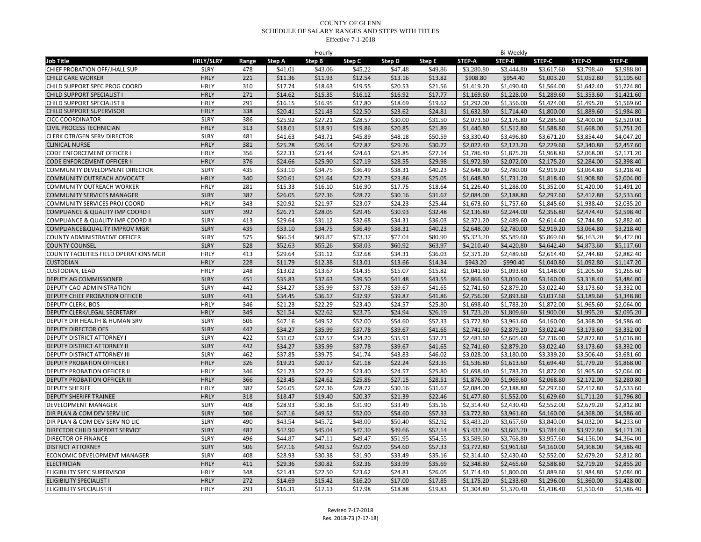|                                                       |                  |            |         | Hourly  |         |                    |                    |                          | <b>Bi-Weekly</b>         |                          |            |            |
|-------------------------------------------------------|------------------|------------|---------|---------|---------|--------------------|--------------------|--------------------------|--------------------------|--------------------------|------------|------------|
| <b>Job Title</b>                                      | <b>HRLY/SLRY</b> | Range      | Step A  | Step B  | Step C  | Step D             | <b>Step E</b>      | STEP-A                   | STEP-B                   | <b>STEP-C</b>            | STEP-D     | STEP-E     |
| CHIEF PROBATION OFF/JHALL SUP                         | <b>SLRY</b>      | 478        | \$41.01 | \$43.06 | \$45.22 | \$47.48            | \$49.86            | \$3,280.80               | \$3,444.80               | \$3,617.60               | \$3,798.40 | \$3,988.80 |
| <b>CHILD CARE WORKER</b>                              | <b>HRLY</b>      | 221        | \$11.36 | \$11.93 | \$12.54 | \$13.16            | \$13.82            | \$908.80                 | \$954.40                 | \$1,003.20               | \$1,052.80 | \$1,105.60 |
| CHILD SUPPORT SPEC PROG COORD                         | <b>HRLY</b>      | 310        | \$17.74 | \$18.63 | \$19.55 | \$20.53            | \$21.56            | \$1,419.20               | \$1,490.40               | \$1,564.00               | \$1,642.40 | \$1,724.80 |
| CHILD SUPPORT SPECIALIST I                            | <b>HRLY</b>      | 271        | \$14.62 | \$15.35 | \$16.12 | \$16.92            | \$17.77            | \$1,169.60               | \$1,228.00               | \$1,289.60               | \$1,353.60 | \$1.421.60 |
| CHILD SUPPORT SPECIALIST II                           | <b>HRLY</b>      | 291        | \$16.15 | \$16.95 | \$17.80 | \$18.69            | \$19.62            | \$1,292.00               | \$1,356.00               | \$1,424.00               | \$1,495.20 | \$1,569.60 |
| CHILD SUPPORT SUPERVISOR                              | <b>HRLY</b>      | 338        | \$20.41 | \$21.43 | \$22.50 | \$23.62            | \$24.81            | \$1,632.80               | \$1,714.40               | \$1,800.00               | \$1,889.60 | \$1,984.80 |
| <b>CICC COORDINATOR</b>                               | <b>SLRY</b>      | 386        | \$25.92 | \$27.21 | \$28.57 | \$30.00            | \$31.50            | \$2,073.60               | \$2,176.80               | \$2,285.60               | \$2,400.00 | \$2,520.00 |
| <b>CIVIL PROCESS TECHNICIAN</b>                       | <b>HRLY</b>      | 313        | \$18.01 | \$18.91 | \$19.86 | \$20.85            | \$21.89            | \$1,440.80               | \$1,512.80               | \$1,588.80               | \$1,668.00 | \$1,751.20 |
| <b>CLERK OTB/GEN SERV DIRECTOR</b>                    | <b>SLRY</b>      | 481        | \$41.63 | \$43.71 | \$45.89 | \$48.18            | \$50.59            | \$3,330.40               | \$3,496.80               | \$3,671.20               | \$3,854.40 | \$4,047.20 |
| <b>CLINICAL NURSE</b>                                 | <b>HRLY</b>      | 381        | \$25.28 | \$26.54 | \$27.87 | \$29.26            | \$30.72            | \$2,022.40               | \$2,123.20               | \$2,229.60               | \$2,340.80 | \$2,457.60 |
| CODE ENFORCEMENT OFFICER I                            | <b>HRLY</b>      | 356        | \$22.33 | \$23.44 | \$24.61 | \$25.85            | \$27.14            | \$1,786.40               | \$1,875.20               | \$1,968.80               | \$2,068.00 | \$2,171.20 |
| <b>CODE ENFORCEMENT OFFICER II</b>                    | <b>HRLY</b>      | 376        | \$24.66 | \$25.90 | \$27.19 | \$28.55            | \$29.98            | \$1,972.80               | \$2,072.00               | \$2,175.20               | \$2,284.00 | \$2,398.40 |
| COMMUNITY DEVELOPMENT DIRECTOR                        | <b>SLRY</b>      | 435        | \$33.10 | \$34.75 | \$36.49 | \$38.31            | \$40.23            | \$2,648.00               | \$2,780.00               | \$2,919.20               | \$3,064.80 | \$3,218.40 |
| COMMUNITY OUTREACH ADVOCATE                           | <b>HRLY</b>      | 340        | \$20.61 | \$21.64 | \$22.73 | \$23.86            | \$25.05            | \$1,648.80               | \$1,731.20               | \$1,818.40               | \$1,908.80 | \$2,004.00 |
| COMMUNITY OUTREACH WORKER                             | <b>HRLY</b>      | 281        | \$15.33 | \$16.10 | \$16.90 | \$17.75            | \$18.64            | \$1,226.40               | \$1,288.00               | \$1,352.00               | \$1,420.00 | \$1,491.20 |
| <b>COMMUNITY SERVICES MANAGER</b>                     | <b>SLRY</b>      | 387        | \$26.05 | \$27.36 | \$28.72 | \$30.16            | \$31.67            | \$2,084.00               | \$2,188.80               | \$2,297.60               | \$2,412.80 | \$2,533.60 |
| COMMUNITY SERVICES PROJ COORD                         | <b>HRLY</b>      | 343        | \$20.92 | \$21.97 | \$23.07 | \$24.23            | \$25.44            | \$1,673.60               | \$1,757.60               | \$1,845.60               | \$1,938.40 | \$2,035.20 |
| COMPLIANCE & QUALITY IMP COORD                        | <b>SLRY</b>      | 392        | \$26.71 | \$28.05 | \$29.46 | \$30.93            | \$32.48            | \$2,136.80               | \$2,244.00               | \$2,356.80               | \$2,474.40 | \$2,598.40 |
| COMPLIANCE & QUALITY IMP COORD II                     | <b>SLRY</b>      | 413        | \$29.64 | \$31.12 | \$32.68 | \$34.31            | \$36.03            | \$2,371.20               | \$2,489.60               | \$2,614.40               | \$2.744.80 | \$2,882.40 |
| COMPLIANCE&QUALITY IMPROV MGR                         | <b>SLRY</b>      | 435        | \$33.10 | \$34.75 | \$36.49 | \$38.31            | \$40.23            | \$2,648.00               | \$2,780.00               | \$2,919.20               | \$3,064.80 | \$3,218.40 |
| <b>COUNTY ADMINISTRATIVE OFFICER</b>                  | <b>SLRY</b>      | 575        | \$66.54 | \$69.87 | \$73.37 | \$77.04            | \$80.90            | \$5,323.20               | \$5,589.60               | \$5,869.60               | \$6,163.20 | \$6,472.00 |
| <b>COUNTY COUNSEL</b>                                 | <b>SLRY</b>      | 528        | \$52.63 | \$55.26 | \$58.03 | \$60.92            | \$63.97            | \$4,210.40               | \$4,420.80               | \$4,642.40               | \$4,873.60 | \$5,117.60 |
| COUNTY FACILITIES FIELD OPERATIONS MGR                | <b>HRLY</b>      | 413        | \$29.64 | \$31.12 | \$32.68 | \$34.31            | \$36.03            | \$2,371.20               | \$2,489.60               | \$2,614.40               | \$2,744.80 | \$2,882.40 |
| <b>CUSTODIAN</b>                                      | <b>HRLY</b>      | 228        | \$11.79 | \$12.38 | \$13.01 | \$13.66            | \$14.34            | \$943.20                 | \$990.40                 | \$1,040.80               | \$1,092.80 | \$1,147.20 |
| <b>CUSTODIAN, LEAD</b>                                | <b>HRLY</b>      | 248        | \$13.02 | \$13.67 | \$14.35 | \$15.07            | \$15.82            | \$1,041.60               | \$1,093.60               | \$1,148.00               | \$1,205.60 | \$1,265.60 |
| DEPUTY AG COMMISSIONER                                | <b>SLRY</b>      | 451        | \$35.83 | \$37.63 | \$39.50 | \$41.48            | \$43.55            | \$2,866.40               | \$3,010.40               | \$3,160.00               | \$3,318.40 | \$3,484.00 |
| DEPUTY CAO-ADMINISTRATION                             | <b>SLRY</b>      | 442        | \$34.27 | \$35.99 | \$37.78 | \$39.67            | \$41.65            | \$2,741.60               | \$2,879.20               | \$3,022.40               | \$3,173.60 | \$3,332.00 |
| DEPUTY CHIEF PROBATION OFFICER                        | <b>SLRY</b>      | 443        | \$34.45 | \$36.17 | \$37.97 | \$39.87            | \$41.86            | \$2,756.00               | \$2,893.60               | \$3,037.60               | \$3,189.60 | \$3,348.80 |
| DEPUTY CLERK, BOS                                     | <b>HRLY</b>      | 346        | \$21.23 | \$22.29 | \$23.40 | \$24.57            | \$25.80            | \$1,698.40               | \$1,783.20               | \$1,872.00               | \$1,965.60 | \$2,064.00 |
| DEPUTY CLERK/LEGAL SECRETARY                          | <b>HRLY</b>      | 349        | \$21.54 | \$22.62 | \$23.75 | \$24.94            | \$26.19            | \$1,723.20               | \$1,809.60               | \$1,900.00               | \$1,995.20 | \$2,095.20 |
| DEPUTY DIR HEALTH & HUMAN SRV                         | <b>SLRY</b>      | 506        | \$47.16 | \$49.52 | \$52.00 | \$54.60            | \$57.33            | \$3,772.80               | \$3,961.60               | \$4,160.00               | \$4,368.00 | \$4,586.40 |
| <b>DEPUTY DIRECTOR OES</b>                            | <b>SLRY</b>      | 442        | \$34.27 | \$35.99 | \$37.78 | \$39.67            | \$41.65            | \$2,741.60               | \$2,879.20               | \$3,022.40               | \$3,173.60 | \$3,332.00 |
| DEPUTY DISTRICT ATTORNEY I                            | <b>SLRY</b>      | 422        | \$31.02 | \$32.57 | \$34.20 | \$35.91            | \$37.71            | \$2.481.60               | \$2,605.60               | \$2,736.00               | \$2.872.80 | \$3.016.80 |
| DEPUTY DISTRICT ATTORNEY II                           | <b>SLRY</b>      | 442        | \$34.27 | \$35.99 | \$37.78 | \$39.67            | \$41.65            | \$2,741.60               | \$2,879.20               | \$3,022.40               | \$3,173.60 | \$3,332.00 |
| DEPUTY DISTRICT ATTORNEY III                          | <b>SLRY</b>      | 462        | \$37.85 | \$39.75 | \$41.74 | \$43.83            | \$46.02            | \$3,028.00               | \$3,180.00               | \$3,339.20               | \$3,506.40 | \$3,681.60 |
| <b>DEPUTY PROBATION OFFICER I</b>                     | <b>HRLY</b>      | 326        | \$19.21 | \$20.17 | \$21.18 | \$22.24            | \$23.35            | \$1,536.80               | \$1,613.60               | \$1,694.40               | \$1,779.20 | \$1,868.00 |
| <b>DEPUTY PROBATION OFFICER II</b>                    | <b>HRLY</b>      | 346        | \$21.23 | \$22.29 | \$23.40 | \$24.57            | \$25.80            | \$1,698.40               | \$1,783.20               | \$1,872.00               | \$1,965.60 | \$2,064.00 |
| <b>DEPUTY PROBATION OFFICER III</b>                   | <b>HRLY</b>      | 366        | \$23.45 | \$24.62 | \$25.86 | \$27.15            | \$28.51            | \$1,876.00               | \$1,969.60               | \$2,068.80               | \$2,172.00 | \$2,280.80 |
| <b>DEPUTY SHERIFF</b>                                 | <b>HRLY</b>      | 387        | \$26.05 | \$27.36 | \$28.72 | \$30.16            | \$31.67            | \$2,084.00               | \$2,188.80               | \$2,297.60               | \$2,412.80 | \$2,533.60 |
| DEPUTY SHERIFF TRAINEE                                | <b>HRLY</b>      | 318        | \$18.47 | \$19.40 | \$20.37 | \$21.39            | \$22.46            | \$1,477.60               | \$1,552.00               | \$1,629.60               | \$1,711.20 | \$1,796.80 |
| <b>DEVELOPMENT MANAGER</b>                            | <b>SLRY</b>      | 408        | \$28.93 | \$30.38 | \$31.90 | \$33.49            | \$35.16            | \$2,314.40               | \$2,430.40               | \$2,552.00               | \$2,679.20 | \$2.812.80 |
| DIR PLAN & COM DEV SERV LIC                           | <b>SLRY</b>      | 506        | \$47.16 | \$49.52 | \$52.00 | \$54.60            | \$57.33            | \$3,772.80               | \$3,961.60               | \$4,160.00               | \$4,368.00 | \$4,586.40 |
| DIR PLAN & COM DEV SERV NO LIC                        | <b>SLRY</b>      | 490        | \$43.54 | \$45.72 | \$48.00 | \$50.40            | \$52.92            | \$3,483.20               | \$3,657.60               | \$3,840.00               | \$4,032.00 | \$4,233.60 |
|                                                       | <b>SLRY</b>      | 487        | \$42.90 | \$45.04 | \$47.30 | \$49.66            |                    | \$3,432.00               |                          |                          | \$3,972.80 | \$4,171.20 |
| DIRECTOR CHILD SUPPORT SERVICE<br>DIRECTOR OF FINANCE | <b>SLRY</b>      | 496        | \$44.87 | \$47.11 | \$49.47 | \$51.95            | \$52.14<br>\$54.55 | \$3,589.60               | \$3,603.20<br>\$3,768.80 | \$3,784.00<br>\$3,957.60 | \$4,156.00 | \$4,364.00 |
|                                                       | <b>SLRY</b>      | 506        | \$47.16 |         |         |                    |                    |                          |                          |                          |            |            |
| <b>DISTRICT ATTORNEY</b>                              | <b>SLRY</b>      |            | \$28.93 | \$49.52 | \$52.00 | \$54.60<br>\$33.49 | \$57.33            | \$3,772.80<br>\$2,314.40 | \$3,961.60               | \$4,160.00               | \$4,368.00 | \$4,586.40 |
| ECONOMIC DEVELOPMENT MANAGER                          | <b>HRLY</b>      | 408<br>411 |         | \$30.38 | \$31.90 |                    | \$35.16            |                          | \$2,430.40               | \$2,552.00               | \$2,679.20 | \$2,812.80 |
| <b>ELECTRICIAN</b>                                    | <b>HRLY</b>      | 348        | \$29.36 | \$30.82 | \$32.36 | \$33.99            | \$35.69            | \$2,348.80               | \$2,465.60               | \$2,588.80               | \$2,719.20 | \$2,855.20 |
| ELIGIBILITY SPEC SUPERVISOR                           |                  |            | \$21.43 | \$22.50 | \$23.62 | \$24.81            | \$26.05            | \$1,714.40               | \$1,800.00               | \$1,889.60               | \$1,984.80 | \$2,084.00 |
| <b>ELIGIBILITY SPECIALIST I</b>                       | <b>HRLY</b>      | 272        | \$14.69 | \$15.42 | \$16.20 | \$17.00            | \$17.85            | \$1,175.20               | \$1,233.60               | \$1,296.00               | \$1,360.00 | \$1,428.00 |
| ELIGIBILITY SPECIALIST II                             | <b>HRLY</b>      | 293        | \$16.31 | \$17.13 | \$17.98 | \$18.88            | \$19.83            | \$1,304.80               | \$1,370.40               | \$1,438.40               | \$1,510.40 | \$1,586.40 |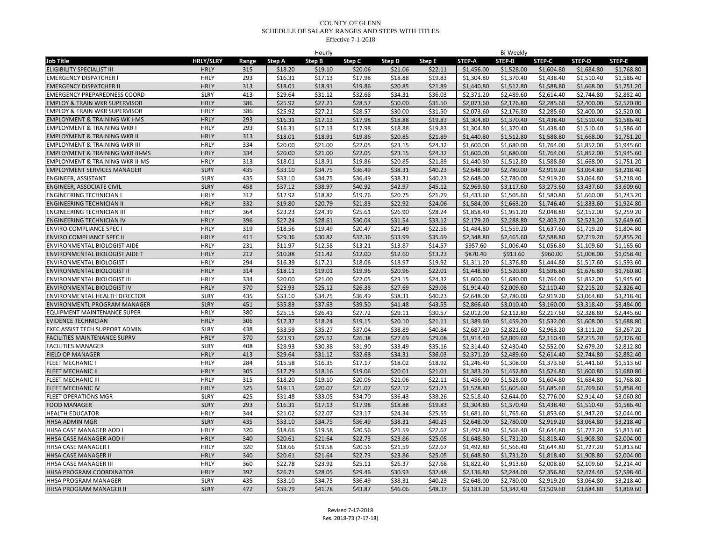| <b>HRLY/SLRY</b><br><b>Job Title</b><br>Step A<br>Step B<br>Step D<br>Step E<br>STEP-A<br>STEP-B<br>STEP-D<br>STEP-E<br>Range<br>Step C<br>STEP-C<br><b>ELIGIBILITY SPECIALIST III</b><br>315<br>\$18.20<br>\$19.10<br>\$20.06<br>\$21.06<br>\$22.11<br>\$1,456.00<br>\$1,528.00<br>\$1,604.80<br>\$1,684.80<br>\$1,768.80<br><b>HRLY</b><br><b>HRLY</b><br>293<br>\$16.31<br>\$17.13<br>\$17.98<br>\$18.88<br>\$19.83<br>\$1,304.80<br>\$1,370.40<br>\$1,438.40<br>\$1,510.40<br>\$1,586.40<br><b>EMERGENCY DISPATCHER I</b><br><b>HRLY</b><br><b>EMERGENCY DISPATCHER II</b><br>313<br>\$18.01<br>\$18.91<br>\$19.86<br>\$20.85<br>\$21.89<br>\$1,440.80<br>\$1,512.80<br>\$1,588.80<br>\$1,668.00<br>\$1,751.20<br><b>SLRY</b><br>413<br>\$29.64<br>\$31.12<br>\$32.68<br>\$34.31<br>\$36.03<br>\$2,371.20<br>\$2,489.60<br>\$2,614.40<br>\$2,744.80<br>\$2,882.40<br><b>EMERGENCY PREPAREDNESS COORD</b><br><b>EMPLOY &amp; TRAIN WKR SUPERVISOR</b><br><b>HRLY</b><br>386<br>\$25.92<br>\$27.21<br>\$28.57<br>\$30.00<br>\$31.50<br>\$2,073.60<br>\$2,176.80<br>\$2,285.60<br>\$2,400.00<br>\$2,520.00<br>386<br>\$25.92<br>\$2,520.00<br><b>HRLY</b><br>\$27.21<br>\$28.57<br>\$30.00<br>\$31.50<br>\$2,073.60<br>\$2,176.80<br>\$2,285.60<br>\$2,400.00<br><b>EMPLOY &amp; TRAIN WKR SUPERVISOR</b><br><b>HRLY</b><br>293<br><b>EMPLOYMENT &amp; TRAINING WK I-MS</b><br>\$16.31<br>\$17.13<br>\$17.98<br>\$18.88<br>\$19.83<br>\$1,304.80<br>\$1,370.40<br>\$1,438.40<br>\$1,510.40<br>\$1,586.40<br>293<br>\$16.31<br>\$17.98<br>\$1,304.80<br>\$1,370.40<br>\$1,438.40<br>\$1,510.40<br>\$1,586.40<br><b>EMPLOYMENT &amp; TRAINING WKR</b><br><b>HRLY</b><br>\$17.13<br>\$18.88<br>\$19.83<br><b>HRLY</b><br>313<br>\$18.01<br>\$18.91<br>\$19.86<br>\$20.85<br>\$21.89<br>\$1,440.80<br>\$1,512.80<br>\$1,588.80<br>\$1,668.00<br>\$1,751.20<br><b>EMPLOYMENT &amp; TRAINING WKR II</b><br><b>EMPLOYMENT &amp; TRAINING WKR III</b><br><b>HRLY</b><br>334<br>\$20.00<br>\$22.05<br>\$1,680.00<br>\$21.00<br>\$23.15<br>\$24.32<br>\$1,600.00<br>\$1,764.00<br>\$1,852.00<br>\$1,945.60<br>334<br><b>EMPLOYMENT &amp; TRAINING WKR III-MS</b><br><b>HRLY</b><br>\$20.00<br>\$21.00<br>\$22.05<br>\$23.15<br>\$24.32<br>\$1,600.00<br>\$1,680.00<br>\$1,764.00<br>\$1,852.00<br>\$1,945.60<br><b>HRLY</b><br>313<br>\$18.01<br>\$18.91<br>\$19.86<br>\$20.85<br>\$21.89<br>\$1,440.80<br>\$1,512.80<br>\$1,588.80<br>\$1,668.00<br>\$1,751.20<br><b>EMPLOYMENT &amp; TRAINING WKR II-MS</b><br><b>EMPLOYMENT SERVICES MANAGER</b><br><b>SLRY</b><br>435<br>\$33.10<br>\$34.75<br>\$36.49<br>\$38.31<br>\$40.23<br>\$2,648.00<br>\$2,780.00<br>\$2,919.20<br>\$3,064.80<br>\$3,218.40<br><b>SLRY</b><br>435<br>\$33.10<br>\$36.49<br>ENGINEER, ASSISTANT<br>\$34.75<br>\$38.31<br>\$40.23<br>\$2,648.00<br>\$2,780.00<br>\$2,919.20<br>\$3,064.80<br>\$3,218.40<br>458<br>\$37.12<br>ENGINEER, ASSOCIATE CIVIL<br><b>SLRY</b><br>\$38.97<br>\$40.92<br>\$42.97<br>\$45.12<br>\$2,969.60<br>\$3,117.60<br>\$3,273.60<br>\$3,437.60<br>\$3,609.60<br><b>ENGINEERING TECHNICIAN I</b><br>HRLY<br>312<br>\$17.92<br>\$18.82<br>\$19.76<br>\$20.75<br>\$21.79<br>\$1,433.60<br>\$1,505.60<br>\$1,580.80<br>\$1,660.00<br>\$1,743.20<br><b>HRLY</b><br>332<br>\$19.80<br>\$21.83<br>\$22.92<br>\$1,663.20<br>\$1,924.80<br><b>ENGINEERING TECHNICIAN II</b><br>\$20.79<br>\$24.06<br>\$1,584.00<br>\$1,746.40<br>\$1,833.60<br><b>ENGINEERING TECHNICIAN III</b><br><b>HRLY</b><br>364<br>\$23.23<br>\$24.39<br>\$25.61<br>\$26.90<br>\$28.24<br>\$1,858.40<br>\$1,951.20<br>\$2,048.80<br>\$2,152.00<br>\$2,259.20<br>\$27.24<br>ENGINEERING TECHNICIAN IV<br><b>HRLY</b><br>396<br>\$28.61<br>\$30.04<br>\$31.54<br>\$33.12<br>\$2,179.20<br>\$2,288.80<br>\$2,403.20<br>\$2,523.20<br>\$2,649.60<br><b>HRLY</b><br>319<br>\$18.56<br>\$20.47<br>\$21.49<br>\$22.56<br>\$1,559.20<br><b>ENVIRO COMPLIANCE SPEC I</b><br>\$19.49<br>\$1,484.80<br>\$1,637.60<br>\$1,719.20<br>\$1,804.80<br><b>HRLY</b><br>ENVIRO COMPLIANCE SPEC II<br>411<br>\$29.36<br>\$32.36<br>\$33.99<br>\$35.69<br>\$2,348.80<br>\$30.82<br>\$2,465.60<br>\$2,588.80<br>\$2,719.20<br>\$2,855.20<br>\$11.97<br>\$13.87<br>ENVIRONMENTAL BIOLOGIST AIDE<br><b>HRLY</b><br>231<br>\$12.58<br>\$13.21<br>\$14.57<br>\$957.60<br>\$1,006.40<br>\$1,056.80<br>\$1,109.60<br>\$1,165.60<br><b>HRLY</b><br>212<br>\$10.88<br>\$11.42<br>\$12.00<br>\$12.60<br>\$13.23<br>\$870.40<br>\$913.60<br>\$960.00<br>\$1,008.00<br>\$1,058.40<br>ENVIRONMENTAL BIOLOGIST AIDE T<br>ENVIRONMENTAL BIOLOGIST I<br><b>HRLY</b><br>294<br>\$16.39<br>\$17.21<br>\$18.06<br>\$18.97<br>\$19.92<br>\$1,311.20<br>\$1,444.80<br>\$1,517.60<br>\$1,593.60<br>\$1,376.80<br><b>HRLY</b><br>314<br>\$18.11<br>\$19.96<br>\$1,448.80<br>\$1,520.80<br>\$1,596.80<br>\$1,676.80<br>\$1,760.80<br>ENVIRONMENTAL BIOLOGIST II<br>\$19.01<br>\$20.96<br>\$22.01<br>ENVIRONMENTAL BIOLOGIST III<br>HRLY<br>334<br>\$20.00<br>\$21.00<br>\$22.05<br>\$23.15<br>\$24.32<br>\$1,600.00<br>\$1,680.00<br>\$1,764.00<br>\$1,852.00<br>\$1,945.60<br>\$23.93<br>ENVIRONMENTAL BIOLOGIST IV<br><b>HRLY</b><br>370<br>\$25.12<br>\$26.38<br>\$27.69<br>\$29.08<br>\$1,914.40<br>\$2,009.60<br>\$2,110.40<br>\$2,215.20<br>\$2,326.40<br><b>SLRY</b><br>435<br>ENVIRONMENTAL HEALTH DIRECTOR<br>\$33.10<br>\$34.75<br>\$36.49<br>\$38.31<br>\$40.23<br>\$2,648.00<br>\$2,780.00<br>\$2,919.20<br>\$3,064.80<br>\$3,218.40<br>ENVIRONMENTL PROGRAM MANAGER<br><b>SLRY</b><br>451<br>\$35.83<br>\$37.63<br>\$39.50<br>\$41.48<br>\$43.55<br>\$2,866.40<br>\$3,010.40<br>\$3,160.00<br>\$3,318.40<br>\$3,484.00<br>380<br>\$25.15<br>\$27.72<br>\$2,112.80<br>\$2,328.80<br>EQUIPMENT MAINTENANCE SUPER<br><b>HRLY</b><br>\$26.41<br>\$29.11<br>\$30.57<br>\$2,012.00<br>\$2,217.60<br>\$2,445.60<br><b>HRLY</b><br>306<br>\$17.37<br><b>EVIDENCE TECHNICIAN</b><br>\$18.24<br>\$19.15<br>\$20.10<br>\$21.11<br>\$1,389.60<br>\$1,459.20<br>\$1,532.00<br>\$1,608.00<br>\$1,688.80<br>EXEC ASSIST TECH SUPPORT ADMIN<br><b>SLRY</b><br>438<br>\$33.59<br>\$35.27<br>\$37.04<br>\$38.89<br>\$40.84<br>\$2,687.20<br>\$2,821.60<br>\$2,963.20<br>\$3,111.20<br>\$3,267.20<br><b>HRLY</b><br>\$23.93<br>FACILITIES MAINTENANCE SUPRV<br>370<br>\$25.12<br>\$26.38<br>\$27.69<br>\$29.08<br>\$1,914.40<br>\$2,009.60<br>\$2,110.40<br>\$2,215.20<br>\$2,326.40<br>\$28.93<br>\$31.90<br>\$33.49<br>\$2,314.40<br>\$2,430.40<br>\$2,552.00<br>\$2,679.20<br>\$2,812.80<br><b>FACILITIES MANAGER</b><br><b>SLRY</b><br>408<br>\$30.38<br>\$35.16<br>FIELD OP MANAGER<br><b>HRLY</b><br>413<br>\$29.64<br>\$32.68<br>\$34.31<br>\$36.03<br>\$2,371.20<br>\$2,489.60<br>\$2,744.80<br>\$2,882.40<br>\$31.12<br>\$2,614.40<br><b>HRLY</b><br>284<br>\$15.58<br>\$17.17<br>\$18.02<br>\$1,246.40<br>\$1,308.00<br>\$1,373.60<br>\$1,441.60<br>\$1,513.60<br><b>FLEET MECHANIC I</b><br>\$16.35<br>\$18.92<br>FLEET MECHANIC II<br><b>HRLY</b><br>305<br>\$17.29<br>\$18.16<br>\$19.06<br>\$20.01<br>\$21.01<br>\$1,383.20<br>\$1,452.80<br>\$1,524.80<br>\$1,600.80<br>\$1,680.80<br><b>HRLY</b><br>315<br>FLEET MECHANIC III<br>\$18.20<br>\$19.10<br>\$20.06<br>\$21.06<br>\$22.11<br>\$1,456.00<br>\$1,528.00<br>\$1,604.80<br>\$1,684.80<br>\$1,768.80<br><b>HRLY</b><br>325<br>\$19.11<br>\$20.07<br>\$21.07<br>\$22.12<br>\$23.23<br>\$1,528.80<br>\$1,605.60<br>\$1,685.60<br>\$1,769.60<br>\$1,858.40<br>FLEET MECHANIC IV<br><b>SLRY</b><br>425<br>\$31.48<br>\$33.05<br>\$34.70<br>\$36.43<br>\$38.26<br>\$2,518.40<br>\$2,644.00<br>\$2,776.00<br>\$2,914.40<br>\$3,060.80<br><b>FLEET OPERATIONS MGR</b><br>293<br>\$16.31<br><b>FOOD MANAGER</b><br><b>SLRY</b><br>\$17.13<br>\$17.98<br>\$18.88<br>\$19.83<br>\$1,304.80<br>\$1,370.40<br>\$1,438.40<br>\$1,510.40<br>\$1,586.40<br><b>HRLY</b><br>344<br>\$21.02<br><b>HEALTH EDUCATOR</b><br>\$22.07<br>\$23.17<br>\$24.34<br>\$25.55<br>\$1,681.60<br>\$1.765.60<br>\$1,853.60<br>\$1,947.20<br>\$2,044.00<br><b>SLRY</b><br>HHSA ADMIN MGR<br>435<br>\$33.10<br>\$34.75<br>\$36.49<br>\$38.31<br>\$40.23<br>\$2,648.00<br>\$2,780.00<br>\$2,919.20<br>\$3,064.80<br>\$3,218.40<br>HHSA CASE MANAGER AOD I<br><b>HRLY</b><br>320<br>\$18.66<br>\$19.58<br>\$20.56<br>\$21.59<br>\$22.67<br>\$1,492.80<br>\$1,566.40<br>\$1,644.80<br>\$1,727.20<br>\$1,813.60<br><b>HRLY</b><br>340<br>HHSA CASE MANAGER AOD II<br>\$20.61<br>\$21.64<br>\$22.73<br>\$23.86<br>\$25.05<br>\$1,648.80<br>\$1.731.20<br>\$1.818.40<br>\$1,908.80<br>\$2.004.00<br>\$1,727.20<br>HHSA CASE MANAGER I<br><b>HRLY</b><br>320<br>\$18.66<br>\$19.58<br>\$20.56<br>\$21.59<br>\$22.67<br>\$1,492.80<br>\$1,566.40<br>\$1,644.80<br>\$1,813.60<br><b>HRLY</b><br>340<br>\$20.61<br>\$1,731.20<br><b>HHSA CASE MANAGER II</b><br>\$21.64<br>\$22.73<br>\$23.86<br>\$25.05<br>\$1,648.80<br>\$1,818.40<br>\$1,908.80<br>\$2,004.00<br>HRLY<br>360<br>\$22.78<br>\$23.92<br>\$25.11<br>\$26.37<br>\$27.68<br>\$1,822.40<br>\$1,913.60<br>\$2,008.80<br>\$2,109.60<br>\$2,214.40<br>HHSA CASE MANAGER III<br><b>HRLY</b><br>392<br>HHSA PROGRAM COORDINATOR<br>\$26.71<br>\$28.05<br>\$29.46<br>\$30.93<br>\$32.48<br>\$2,136.80<br>\$2,244.00<br>\$2,356.80<br>\$2,474.40<br>\$2,598.40<br><b>SLRY</b><br>435<br>\$33.10<br>\$2,648.00<br>\$2,780.00<br>\$2,919.20<br>\$3,064.80<br>HHSA PROGRAM MANAGER<br>\$34.75<br>\$36.49<br>\$38.31<br>\$40.23<br>\$3,218.40<br><b>SLRY</b><br>HHSA PROGRAM MANAGER II<br>472<br>\$39.79<br>\$41.78<br>\$43.87<br>\$46.06<br>\$48.37<br>\$3,183.20<br>\$3,342.40<br>\$3,509.60<br>\$3,684.80<br>\$3,869.60 |  |  | Hourly |  |  | Bi-Weekly |  |  |
|--------------------------------------------------------------------------------------------------------------------------------------------------------------------------------------------------------------------------------------------------------------------------------------------------------------------------------------------------------------------------------------------------------------------------------------------------------------------------------------------------------------------------------------------------------------------------------------------------------------------------------------------------------------------------------------------------------------------------------------------------------------------------------------------------------------------------------------------------------------------------------------------------------------------------------------------------------------------------------------------------------------------------------------------------------------------------------------------------------------------------------------------------------------------------------------------------------------------------------------------------------------------------------------------------------------------------------------------------------------------------------------------------------------------------------------------------------------------------------------------------------------------------------------------------------------------------------------------------------------------------------------------------------------------------------------------------------------------------------------------------------------------------------------------------------------------------------------------------------------------------------------------------------------------------------------------------------------------------------------------------------------------------------------------------------------------------------------------------------------------------------------------------------------------------------------------------------------------------------------------------------------------------------------------------------------------------------------------------------------------------------------------------------------------------------------------------------------------------------------------------------------------------------------------------------------------------------------------------------------------------------------------------------------------------------------------------------------------------------------------------------------------------------------------------------------------------------------------------------------------------------------------------------------------------------------------------------------------------------------------------------------------------------------------------------------------------------------------------------------------------------------------------------------------------------------------------------------------------------------------------------------------------------------------------------------------------------------------------------------------------------------------------------------------------------------------------------------------------------------------------------------------------------------------------------------------------------------------------------------------------------------------------------------------------------------------------------------------------------------------------------------------------------------------------------------------------------------------------------------------------------------------------------------------------------------------------------------------------------------------------------------------------------------------------------------------------------------------------------------------------------------------------------------------------------------------------------------------------------------------------------------------------------------------------------------------------------------------------------------------------------------------------------------------------------------------------------------------------------------------------------------------------------------------------------------------------------------------------------------------------------------------------------------------------------------------------------------------------------------------------------------------------------------------------------------------------------------------------------------------------------------------------------------------------------------------------------------------------------------------------------------------------------------------------------------------------------------------------------------------------------------------------------------------------------------------------------------------------------------------------------------------------------------------------------------------------------------------------------------------------------------------------------------------------------------------------------------------------------------------------------------------------------------------------------------------------------------------------------------------------------------------------------------------------------------------------------------------------------------------------------------------------------------------------------------------------------------------------------------------------------------------------------------------------------------------------------------------------------------------------------------------------------------------------------------------------------------------------------------------------------------------------------------------------------------------------------------------------------------------------------------------------------------------------------------------------------------------------------------------------------------------------------------------------------------------------------------------------------------------------------------------------------------------------------------------------------------------------------------------------------------------------------------------------------------------------------------------------------------------------------------------------------------------------------------------------------------------------------------------------------------------------------------------------------------------------------------------------------------------------------------------------------------------------------------------------------------------------------------------------------------------------------------------------------------------------------------------------------------------------------------------------------------------------------------------------------------------------------------------------------------------------------------------------------------------------------------------------------------------------------------------------------------------------------------------------------------------------------------------------------------------------------------------------------------------------------------------------------------------------------------------------------------------------------------------------------------------------------------------------------------------------------------------------------------------------------------------------------------------------------------------------------------------------------------------------------------------------------------------------------------------------------------------------------------------------------------------------------------------------------------------------------------------------------------------------------------------------------------------------------------------------------------------------------------------------------------------------------------------------------------------------------------------------------------------------------------------------------------------------------------------------------------------------------------------------------------------------------------------------------------------------------------------------------------------------------------------------------------------------------------------------------------------------------------------------------------------------------------------------------------------------------------------------------------------------------------------------------------------------------------------------------------------------------------------------------------------------------------------------------------------------------------------------------------------------------------------------------------------------------------------------------------------------------------------------------------------------------------------------------------------------------------------------------------------------------------------------------------|--|--|--------|--|--|-----------|--|--|
|                                                                                                                                                                                                                                                                                                                                                                                                                                                                                                                                                                                                                                                                                                                                                                                                                                                                                                                                                                                                                                                                                                                                                                                                                                                                                                                                                                                                                                                                                                                                                                                                                                                                                                                                                                                                                                                                                                                                                                                                                                                                                                                                                                                                                                                                                                                                                                                                                                                                                                                                                                                                                                                                                                                                                                                                                                                                                                                                                                                                                                                                                                                                                                                                                                                                                                                                                                                                                                                                                                                                                                                                                                                                                                                                                                                                                                                                                                                                                                                                                                                                                                                                                                                                                                                                                                                                                                                                                                                                                                                                                                                                                                                                                                                                                                                                                                                                                                                                                                                                                                                                                                                                                                                                                                                                                                                                                                                                                                                                                                                                                                                                                                                                                                                                                                                                                                                                                                                                                                                                                                                                                                                                                                                                                                                                                                                                                                                                                                                                                                                                                                                                                                                                                                                                                                                                                                                                                                                                                                                                                                                                                                                                                                                                                                                                                                                                                                                                                                                                                                                                                                                                                                                                                                                                                                                                                                                                                                                                                                                                                                                                                                                                                                                                                                                                                                                                                                                                                                                                                                                                                                                                                                                                                                                                                                                                                                                                                                                                                                                                                                                                                                                                                                                                                                                                                                                                                                                                                                                                                                                                                                                                              |  |  |        |  |  |           |  |  |
|                                                                                                                                                                                                                                                                                                                                                                                                                                                                                                                                                                                                                                                                                                                                                                                                                                                                                                                                                                                                                                                                                                                                                                                                                                                                                                                                                                                                                                                                                                                                                                                                                                                                                                                                                                                                                                                                                                                                                                                                                                                                                                                                                                                                                                                                                                                                                                                                                                                                                                                                                                                                                                                                                                                                                                                                                                                                                                                                                                                                                                                                                                                                                                                                                                                                                                                                                                                                                                                                                                                                                                                                                                                                                                                                                                                                                                                                                                                                                                                                                                                                                                                                                                                                                                                                                                                                                                                                                                                                                                                                                                                                                                                                                                                                                                                                                                                                                                                                                                                                                                                                                                                                                                                                                                                                                                                                                                                                                                                                                                                                                                                                                                                                                                                                                                                                                                                                                                                                                                                                                                                                                                                                                                                                                                                                                                                                                                                                                                                                                                                                                                                                                                                                                                                                                                                                                                                                                                                                                                                                                                                                                                                                                                                                                                                                                                                                                                                                                                                                                                                                                                                                                                                                                                                                                                                                                                                                                                                                                                                                                                                                                                                                                                                                                                                                                                                                                                                                                                                                                                                                                                                                                                                                                                                                                                                                                                                                                                                                                                                                                                                                                                                                                                                                                                                                                                                                                                                                                                                                                                                                                                                                              |  |  |        |  |  |           |  |  |
|                                                                                                                                                                                                                                                                                                                                                                                                                                                                                                                                                                                                                                                                                                                                                                                                                                                                                                                                                                                                                                                                                                                                                                                                                                                                                                                                                                                                                                                                                                                                                                                                                                                                                                                                                                                                                                                                                                                                                                                                                                                                                                                                                                                                                                                                                                                                                                                                                                                                                                                                                                                                                                                                                                                                                                                                                                                                                                                                                                                                                                                                                                                                                                                                                                                                                                                                                                                                                                                                                                                                                                                                                                                                                                                                                                                                                                                                                                                                                                                                                                                                                                                                                                                                                                                                                                                                                                                                                                                                                                                                                                                                                                                                                                                                                                                                                                                                                                                                                                                                                                                                                                                                                                                                                                                                                                                                                                                                                                                                                                                                                                                                                                                                                                                                                                                                                                                                                                                                                                                                                                                                                                                                                                                                                                                                                                                                                                                                                                                                                                                                                                                                                                                                                                                                                                                                                                                                                                                                                                                                                                                                                                                                                                                                                                                                                                                                                                                                                                                                                                                                                                                                                                                                                                                                                                                                                                                                                                                                                                                                                                                                                                                                                                                                                                                                                                                                                                                                                                                                                                                                                                                                                                                                                                                                                                                                                                                                                                                                                                                                                                                                                                                                                                                                                                                                                                                                                                                                                                                                                                                                                                                                              |  |  |        |  |  |           |  |  |
|                                                                                                                                                                                                                                                                                                                                                                                                                                                                                                                                                                                                                                                                                                                                                                                                                                                                                                                                                                                                                                                                                                                                                                                                                                                                                                                                                                                                                                                                                                                                                                                                                                                                                                                                                                                                                                                                                                                                                                                                                                                                                                                                                                                                                                                                                                                                                                                                                                                                                                                                                                                                                                                                                                                                                                                                                                                                                                                                                                                                                                                                                                                                                                                                                                                                                                                                                                                                                                                                                                                                                                                                                                                                                                                                                                                                                                                                                                                                                                                                                                                                                                                                                                                                                                                                                                                                                                                                                                                                                                                                                                                                                                                                                                                                                                                                                                                                                                                                                                                                                                                                                                                                                                                                                                                                                                                                                                                                                                                                                                                                                                                                                                                                                                                                                                                                                                                                                                                                                                                                                                                                                                                                                                                                                                                                                                                                                                                                                                                                                                                                                                                                                                                                                                                                                                                                                                                                                                                                                                                                                                                                                                                                                                                                                                                                                                                                                                                                                                                                                                                                                                                                                                                                                                                                                                                                                                                                                                                                                                                                                                                                                                                                                                                                                                                                                                                                                                                                                                                                                                                                                                                                                                                                                                                                                                                                                                                                                                                                                                                                                                                                                                                                                                                                                                                                                                                                                                                                                                                                                                                                                                                                              |  |  |        |  |  |           |  |  |
|                                                                                                                                                                                                                                                                                                                                                                                                                                                                                                                                                                                                                                                                                                                                                                                                                                                                                                                                                                                                                                                                                                                                                                                                                                                                                                                                                                                                                                                                                                                                                                                                                                                                                                                                                                                                                                                                                                                                                                                                                                                                                                                                                                                                                                                                                                                                                                                                                                                                                                                                                                                                                                                                                                                                                                                                                                                                                                                                                                                                                                                                                                                                                                                                                                                                                                                                                                                                                                                                                                                                                                                                                                                                                                                                                                                                                                                                                                                                                                                                                                                                                                                                                                                                                                                                                                                                                                                                                                                                                                                                                                                                                                                                                                                                                                                                                                                                                                                                                                                                                                                                                                                                                                                                                                                                                                                                                                                                                                                                                                                                                                                                                                                                                                                                                                                                                                                                                                                                                                                                                                                                                                                                                                                                                                                                                                                                                                                                                                                                                                                                                                                                                                                                                                                                                                                                                                                                                                                                                                                                                                                                                                                                                                                                                                                                                                                                                                                                                                                                                                                                                                                                                                                                                                                                                                                                                                                                                                                                                                                                                                                                                                                                                                                                                                                                                                                                                                                                                                                                                                                                                                                                                                                                                                                                                                                                                                                                                                                                                                                                                                                                                                                                                                                                                                                                                                                                                                                                                                                                                                                                                                                                              |  |  |        |  |  |           |  |  |
|                                                                                                                                                                                                                                                                                                                                                                                                                                                                                                                                                                                                                                                                                                                                                                                                                                                                                                                                                                                                                                                                                                                                                                                                                                                                                                                                                                                                                                                                                                                                                                                                                                                                                                                                                                                                                                                                                                                                                                                                                                                                                                                                                                                                                                                                                                                                                                                                                                                                                                                                                                                                                                                                                                                                                                                                                                                                                                                                                                                                                                                                                                                                                                                                                                                                                                                                                                                                                                                                                                                                                                                                                                                                                                                                                                                                                                                                                                                                                                                                                                                                                                                                                                                                                                                                                                                                                                                                                                                                                                                                                                                                                                                                                                                                                                                                                                                                                                                                                                                                                                                                                                                                                                                                                                                                                                                                                                                                                                                                                                                                                                                                                                                                                                                                                                                                                                                                                                                                                                                                                                                                                                                                                                                                                                                                                                                                                                                                                                                                                                                                                                                                                                                                                                                                                                                                                                                                                                                                                                                                                                                                                                                                                                                                                                                                                                                                                                                                                                                                                                                                                                                                                                                                                                                                                                                                                                                                                                                                                                                                                                                                                                                                                                                                                                                                                                                                                                                                                                                                                                                                                                                                                                                                                                                                                                                                                                                                                                                                                                                                                                                                                                                                                                                                                                                                                                                                                                                                                                                                                                                                                                                                              |  |  |        |  |  |           |  |  |
|                                                                                                                                                                                                                                                                                                                                                                                                                                                                                                                                                                                                                                                                                                                                                                                                                                                                                                                                                                                                                                                                                                                                                                                                                                                                                                                                                                                                                                                                                                                                                                                                                                                                                                                                                                                                                                                                                                                                                                                                                                                                                                                                                                                                                                                                                                                                                                                                                                                                                                                                                                                                                                                                                                                                                                                                                                                                                                                                                                                                                                                                                                                                                                                                                                                                                                                                                                                                                                                                                                                                                                                                                                                                                                                                                                                                                                                                                                                                                                                                                                                                                                                                                                                                                                                                                                                                                                                                                                                                                                                                                                                                                                                                                                                                                                                                                                                                                                                                                                                                                                                                                                                                                                                                                                                                                                                                                                                                                                                                                                                                                                                                                                                                                                                                                                                                                                                                                                                                                                                                                                                                                                                                                                                                                                                                                                                                                                                                                                                                                                                                                                                                                                                                                                                                                                                                                                                                                                                                                                                                                                                                                                                                                                                                                                                                                                                                                                                                                                                                                                                                                                                                                                                                                                                                                                                                                                                                                                                                                                                                                                                                                                                                                                                                                                                                                                                                                                                                                                                                                                                                                                                                                                                                                                                                                                                                                                                                                                                                                                                                                                                                                                                                                                                                                                                                                                                                                                                                                                                                                                                                                                                                              |  |  |        |  |  |           |  |  |
|                                                                                                                                                                                                                                                                                                                                                                                                                                                                                                                                                                                                                                                                                                                                                                                                                                                                                                                                                                                                                                                                                                                                                                                                                                                                                                                                                                                                                                                                                                                                                                                                                                                                                                                                                                                                                                                                                                                                                                                                                                                                                                                                                                                                                                                                                                                                                                                                                                                                                                                                                                                                                                                                                                                                                                                                                                                                                                                                                                                                                                                                                                                                                                                                                                                                                                                                                                                                                                                                                                                                                                                                                                                                                                                                                                                                                                                                                                                                                                                                                                                                                                                                                                                                                                                                                                                                                                                                                                                                                                                                                                                                                                                                                                                                                                                                                                                                                                                                                                                                                                                                                                                                                                                                                                                                                                                                                                                                                                                                                                                                                                                                                                                                                                                                                                                                                                                                                                                                                                                                                                                                                                                                                                                                                                                                                                                                                                                                                                                                                                                                                                                                                                                                                                                                                                                                                                                                                                                                                                                                                                                                                                                                                                                                                                                                                                                                                                                                                                                                                                                                                                                                                                                                                                                                                                                                                                                                                                                                                                                                                                                                                                                                                                                                                                                                                                                                                                                                                                                                                                                                                                                                                                                                                                                                                                                                                                                                                                                                                                                                                                                                                                                                                                                                                                                                                                                                                                                                                                                                                                                                                                                                              |  |  |        |  |  |           |  |  |
|                                                                                                                                                                                                                                                                                                                                                                                                                                                                                                                                                                                                                                                                                                                                                                                                                                                                                                                                                                                                                                                                                                                                                                                                                                                                                                                                                                                                                                                                                                                                                                                                                                                                                                                                                                                                                                                                                                                                                                                                                                                                                                                                                                                                                                                                                                                                                                                                                                                                                                                                                                                                                                                                                                                                                                                                                                                                                                                                                                                                                                                                                                                                                                                                                                                                                                                                                                                                                                                                                                                                                                                                                                                                                                                                                                                                                                                                                                                                                                                                                                                                                                                                                                                                                                                                                                                                                                                                                                                                                                                                                                                                                                                                                                                                                                                                                                                                                                                                                                                                                                                                                                                                                                                                                                                                                                                                                                                                                                                                                                                                                                                                                                                                                                                                                                                                                                                                                                                                                                                                                                                                                                                                                                                                                                                                                                                                                                                                                                                                                                                                                                                                                                                                                                                                                                                                                                                                                                                                                                                                                                                                                                                                                                                                                                                                                                                                                                                                                                                                                                                                                                                                                                                                                                                                                                                                                                                                                                                                                                                                                                                                                                                                                                                                                                                                                                                                                                                                                                                                                                                                                                                                                                                                                                                                                                                                                                                                                                                                                                                                                                                                                                                                                                                                                                                                                                                                                                                                                                                                                                                                                                                                              |  |  |        |  |  |           |  |  |
|                                                                                                                                                                                                                                                                                                                                                                                                                                                                                                                                                                                                                                                                                                                                                                                                                                                                                                                                                                                                                                                                                                                                                                                                                                                                                                                                                                                                                                                                                                                                                                                                                                                                                                                                                                                                                                                                                                                                                                                                                                                                                                                                                                                                                                                                                                                                                                                                                                                                                                                                                                                                                                                                                                                                                                                                                                                                                                                                                                                                                                                                                                                                                                                                                                                                                                                                                                                                                                                                                                                                                                                                                                                                                                                                                                                                                                                                                                                                                                                                                                                                                                                                                                                                                                                                                                                                                                                                                                                                                                                                                                                                                                                                                                                                                                                                                                                                                                                                                                                                                                                                                                                                                                                                                                                                                                                                                                                                                                                                                                                                                                                                                                                                                                                                                                                                                                                                                                                                                                                                                                                                                                                                                                                                                                                                                                                                                                                                                                                                                                                                                                                                                                                                                                                                                                                                                                                                                                                                                                                                                                                                                                                                                                                                                                                                                                                                                                                                                                                                                                                                                                                                                                                                                                                                                                                                                                                                                                                                                                                                                                                                                                                                                                                                                                                                                                                                                                                                                                                                                                                                                                                                                                                                                                                                                                                                                                                                                                                                                                                                                                                                                                                                                                                                                                                                                                                                                                                                                                                                                                                                                                                                              |  |  |        |  |  |           |  |  |
|                                                                                                                                                                                                                                                                                                                                                                                                                                                                                                                                                                                                                                                                                                                                                                                                                                                                                                                                                                                                                                                                                                                                                                                                                                                                                                                                                                                                                                                                                                                                                                                                                                                                                                                                                                                                                                                                                                                                                                                                                                                                                                                                                                                                                                                                                                                                                                                                                                                                                                                                                                                                                                                                                                                                                                                                                                                                                                                                                                                                                                                                                                                                                                                                                                                                                                                                                                                                                                                                                                                                                                                                                                                                                                                                                                                                                                                                                                                                                                                                                                                                                                                                                                                                                                                                                                                                                                                                                                                                                                                                                                                                                                                                                                                                                                                                                                                                                                                                                                                                                                                                                                                                                                                                                                                                                                                                                                                                                                                                                                                                                                                                                                                                                                                                                                                                                                                                                                                                                                                                                                                                                                                                                                                                                                                                                                                                                                                                                                                                                                                                                                                                                                                                                                                                                                                                                                                                                                                                                                                                                                                                                                                                                                                                                                                                                                                                                                                                                                                                                                                                                                                                                                                                                                                                                                                                                                                                                                                                                                                                                                                                                                                                                                                                                                                                                                                                                                                                                                                                                                                                                                                                                                                                                                                                                                                                                                                                                                                                                                                                                                                                                                                                                                                                                                                                                                                                                                                                                                                                                                                                                                                                              |  |  |        |  |  |           |  |  |
|                                                                                                                                                                                                                                                                                                                                                                                                                                                                                                                                                                                                                                                                                                                                                                                                                                                                                                                                                                                                                                                                                                                                                                                                                                                                                                                                                                                                                                                                                                                                                                                                                                                                                                                                                                                                                                                                                                                                                                                                                                                                                                                                                                                                                                                                                                                                                                                                                                                                                                                                                                                                                                                                                                                                                                                                                                                                                                                                                                                                                                                                                                                                                                                                                                                                                                                                                                                                                                                                                                                                                                                                                                                                                                                                                                                                                                                                                                                                                                                                                                                                                                                                                                                                                                                                                                                                                                                                                                                                                                                                                                                                                                                                                                                                                                                                                                                                                                                                                                                                                                                                                                                                                                                                                                                                                                                                                                                                                                                                                                                                                                                                                                                                                                                                                                                                                                                                                                                                                                                                                                                                                                                                                                                                                                                                                                                                                                                                                                                                                                                                                                                                                                                                                                                                                                                                                                                                                                                                                                                                                                                                                                                                                                                                                                                                                                                                                                                                                                                                                                                                                                                                                                                                                                                                                                                                                                                                                                                                                                                                                                                                                                                                                                                                                                                                                                                                                                                                                                                                                                                                                                                                                                                                                                                                                                                                                                                                                                                                                                                                                                                                                                                                                                                                                                                                                                                                                                                                                                                                                                                                                                                                              |  |  |        |  |  |           |  |  |
|                                                                                                                                                                                                                                                                                                                                                                                                                                                                                                                                                                                                                                                                                                                                                                                                                                                                                                                                                                                                                                                                                                                                                                                                                                                                                                                                                                                                                                                                                                                                                                                                                                                                                                                                                                                                                                                                                                                                                                                                                                                                                                                                                                                                                                                                                                                                                                                                                                                                                                                                                                                                                                                                                                                                                                                                                                                                                                                                                                                                                                                                                                                                                                                                                                                                                                                                                                                                                                                                                                                                                                                                                                                                                                                                                                                                                                                                                                                                                                                                                                                                                                                                                                                                                                                                                                                                                                                                                                                                                                                                                                                                                                                                                                                                                                                                                                                                                                                                                                                                                                                                                                                                                                                                                                                                                                                                                                                                                                                                                                                                                                                                                                                                                                                                                                                                                                                                                                                                                                                                                                                                                                                                                                                                                                                                                                                                                                                                                                                                                                                                                                                                                                                                                                                                                                                                                                                                                                                                                                                                                                                                                                                                                                                                                                                                                                                                                                                                                                                                                                                                                                                                                                                                                                                                                                                                                                                                                                                                                                                                                                                                                                                                                                                                                                                                                                                                                                                                                                                                                                                                                                                                                                                                                                                                                                                                                                                                                                                                                                                                                                                                                                                                                                                                                                                                                                                                                                                                                                                                                                                                                                                                              |  |  |        |  |  |           |  |  |
|                                                                                                                                                                                                                                                                                                                                                                                                                                                                                                                                                                                                                                                                                                                                                                                                                                                                                                                                                                                                                                                                                                                                                                                                                                                                                                                                                                                                                                                                                                                                                                                                                                                                                                                                                                                                                                                                                                                                                                                                                                                                                                                                                                                                                                                                                                                                                                                                                                                                                                                                                                                                                                                                                                                                                                                                                                                                                                                                                                                                                                                                                                                                                                                                                                                                                                                                                                                                                                                                                                                                                                                                                                                                                                                                                                                                                                                                                                                                                                                                                                                                                                                                                                                                                                                                                                                                                                                                                                                                                                                                                                                                                                                                                                                                                                                                                                                                                                                                                                                                                                                                                                                                                                                                                                                                                                                                                                                                                                                                                                                                                                                                                                                                                                                                                                                                                                                                                                                                                                                                                                                                                                                                                                                                                                                                                                                                                                                                                                                                                                                                                                                                                                                                                                                                                                                                                                                                                                                                                                                                                                                                                                                                                                                                                                                                                                                                                                                                                                                                                                                                                                                                                                                                                                                                                                                                                                                                                                                                                                                                                                                                                                                                                                                                                                                                                                                                                                                                                                                                                                                                                                                                                                                                                                                                                                                                                                                                                                                                                                                                                                                                                                                                                                                                                                                                                                                                                                                                                                                                                                                                                                                                              |  |  |        |  |  |           |  |  |
|                                                                                                                                                                                                                                                                                                                                                                                                                                                                                                                                                                                                                                                                                                                                                                                                                                                                                                                                                                                                                                                                                                                                                                                                                                                                                                                                                                                                                                                                                                                                                                                                                                                                                                                                                                                                                                                                                                                                                                                                                                                                                                                                                                                                                                                                                                                                                                                                                                                                                                                                                                                                                                                                                                                                                                                                                                                                                                                                                                                                                                                                                                                                                                                                                                                                                                                                                                                                                                                                                                                                                                                                                                                                                                                                                                                                                                                                                                                                                                                                                                                                                                                                                                                                                                                                                                                                                                                                                                                                                                                                                                                                                                                                                                                                                                                                                                                                                                                                                                                                                                                                                                                                                                                                                                                                                                                                                                                                                                                                                                                                                                                                                                                                                                                                                                                                                                                                                                                                                                                                                                                                                                                                                                                                                                                                                                                                                                                                                                                                                                                                                                                                                                                                                                                                                                                                                                                                                                                                                                                                                                                                                                                                                                                                                                                                                                                                                                                                                                                                                                                                                                                                                                                                                                                                                                                                                                                                                                                                                                                                                                                                                                                                                                                                                                                                                                                                                                                                                                                                                                                                                                                                                                                                                                                                                                                                                                                                                                                                                                                                                                                                                                                                                                                                                                                                                                                                                                                                                                                                                                                                                                                                              |  |  |        |  |  |           |  |  |
|                                                                                                                                                                                                                                                                                                                                                                                                                                                                                                                                                                                                                                                                                                                                                                                                                                                                                                                                                                                                                                                                                                                                                                                                                                                                                                                                                                                                                                                                                                                                                                                                                                                                                                                                                                                                                                                                                                                                                                                                                                                                                                                                                                                                                                                                                                                                                                                                                                                                                                                                                                                                                                                                                                                                                                                                                                                                                                                                                                                                                                                                                                                                                                                                                                                                                                                                                                                                                                                                                                                                                                                                                                                                                                                                                                                                                                                                                                                                                                                                                                                                                                                                                                                                                                                                                                                                                                                                                                                                                                                                                                                                                                                                                                                                                                                                                                                                                                                                                                                                                                                                                                                                                                                                                                                                                                                                                                                                                                                                                                                                                                                                                                                                                                                                                                                                                                                                                                                                                                                                                                                                                                                                                                                                                                                                                                                                                                                                                                                                                                                                                                                                                                                                                                                                                                                                                                                                                                                                                                                                                                                                                                                                                                                                                                                                                                                                                                                                                                                                                                                                                                                                                                                                                                                                                                                                                                                                                                                                                                                                                                                                                                                                                                                                                                                                                                                                                                                                                                                                                                                                                                                                                                                                                                                                                                                                                                                                                                                                                                                                                                                                                                                                                                                                                                                                                                                                                                                                                                                                                                                                                                                                              |  |  |        |  |  |           |  |  |
|                                                                                                                                                                                                                                                                                                                                                                                                                                                                                                                                                                                                                                                                                                                                                                                                                                                                                                                                                                                                                                                                                                                                                                                                                                                                                                                                                                                                                                                                                                                                                                                                                                                                                                                                                                                                                                                                                                                                                                                                                                                                                                                                                                                                                                                                                                                                                                                                                                                                                                                                                                                                                                                                                                                                                                                                                                                                                                                                                                                                                                                                                                                                                                                                                                                                                                                                                                                                                                                                                                                                                                                                                                                                                                                                                                                                                                                                                                                                                                                                                                                                                                                                                                                                                                                                                                                                                                                                                                                                                                                                                                                                                                                                                                                                                                                                                                                                                                                                                                                                                                                                                                                                                                                                                                                                                                                                                                                                                                                                                                                                                                                                                                                                                                                                                                                                                                                                                                                                                                                                                                                                                                                                                                                                                                                                                                                                                                                                                                                                                                                                                                                                                                                                                                                                                                                                                                                                                                                                                                                                                                                                                                                                                                                                                                                                                                                                                                                                                                                                                                                                                                                                                                                                                                                                                                                                                                                                                                                                                                                                                                                                                                                                                                                                                                                                                                                                                                                                                                                                                                                                                                                                                                                                                                                                                                                                                                                                                                                                                                                                                                                                                                                                                                                                                                                                                                                                                                                                                                                                                                                                                                                                              |  |  |        |  |  |           |  |  |
|                                                                                                                                                                                                                                                                                                                                                                                                                                                                                                                                                                                                                                                                                                                                                                                                                                                                                                                                                                                                                                                                                                                                                                                                                                                                                                                                                                                                                                                                                                                                                                                                                                                                                                                                                                                                                                                                                                                                                                                                                                                                                                                                                                                                                                                                                                                                                                                                                                                                                                                                                                                                                                                                                                                                                                                                                                                                                                                                                                                                                                                                                                                                                                                                                                                                                                                                                                                                                                                                                                                                                                                                                                                                                                                                                                                                                                                                                                                                                                                                                                                                                                                                                                                                                                                                                                                                                                                                                                                                                                                                                                                                                                                                                                                                                                                                                                                                                                                                                                                                                                                                                                                                                                                                                                                                                                                                                                                                                                                                                                                                                                                                                                                                                                                                                                                                                                                                                                                                                                                                                                                                                                                                                                                                                                                                                                                                                                                                                                                                                                                                                                                                                                                                                                                                                                                                                                                                                                                                                                                                                                                                                                                                                                                                                                                                                                                                                                                                                                                                                                                                                                                                                                                                                                                                                                                                                                                                                                                                                                                                                                                                                                                                                                                                                                                                                                                                                                                                                                                                                                                                                                                                                                                                                                                                                                                                                                                                                                                                                                                                                                                                                                                                                                                                                                                                                                                                                                                                                                                                                                                                                                                                              |  |  |        |  |  |           |  |  |
|                                                                                                                                                                                                                                                                                                                                                                                                                                                                                                                                                                                                                                                                                                                                                                                                                                                                                                                                                                                                                                                                                                                                                                                                                                                                                                                                                                                                                                                                                                                                                                                                                                                                                                                                                                                                                                                                                                                                                                                                                                                                                                                                                                                                                                                                                                                                                                                                                                                                                                                                                                                                                                                                                                                                                                                                                                                                                                                                                                                                                                                                                                                                                                                                                                                                                                                                                                                                                                                                                                                                                                                                                                                                                                                                                                                                                                                                                                                                                                                                                                                                                                                                                                                                                                                                                                                                                                                                                                                                                                                                                                                                                                                                                                                                                                                                                                                                                                                                                                                                                                                                                                                                                                                                                                                                                                                                                                                                                                                                                                                                                                                                                                                                                                                                                                                                                                                                                                                                                                                                                                                                                                                                                                                                                                                                                                                                                                                                                                                                                                                                                                                                                                                                                                                                                                                                                                                                                                                                                                                                                                                                                                                                                                                                                                                                                                                                                                                                                                                                                                                                                                                                                                                                                                                                                                                                                                                                                                                                                                                                                                                                                                                                                                                                                                                                                                                                                                                                                                                                                                                                                                                                                                                                                                                                                                                                                                                                                                                                                                                                                                                                                                                                                                                                                                                                                                                                                                                                                                                                                                                                                                                                              |  |  |        |  |  |           |  |  |
|                                                                                                                                                                                                                                                                                                                                                                                                                                                                                                                                                                                                                                                                                                                                                                                                                                                                                                                                                                                                                                                                                                                                                                                                                                                                                                                                                                                                                                                                                                                                                                                                                                                                                                                                                                                                                                                                                                                                                                                                                                                                                                                                                                                                                                                                                                                                                                                                                                                                                                                                                                                                                                                                                                                                                                                                                                                                                                                                                                                                                                                                                                                                                                                                                                                                                                                                                                                                                                                                                                                                                                                                                                                                                                                                                                                                                                                                                                                                                                                                                                                                                                                                                                                                                                                                                                                                                                                                                                                                                                                                                                                                                                                                                                                                                                                                                                                                                                                                                                                                                                                                                                                                                                                                                                                                                                                                                                                                                                                                                                                                                                                                                                                                                                                                                                                                                                                                                                                                                                                                                                                                                                                                                                                                                                                                                                                                                                                                                                                                                                                                                                                                                                                                                                                                                                                                                                                                                                                                                                                                                                                                                                                                                                                                                                                                                                                                                                                                                                                                                                                                                                                                                                                                                                                                                                                                                                                                                                                                                                                                                                                                                                                                                                                                                                                                                                                                                                                                                                                                                                                                                                                                                                                                                                                                                                                                                                                                                                                                                                                                                                                                                                                                                                                                                                                                                                                                                                                                                                                                                                                                                                                                              |  |  |        |  |  |           |  |  |
|                                                                                                                                                                                                                                                                                                                                                                                                                                                                                                                                                                                                                                                                                                                                                                                                                                                                                                                                                                                                                                                                                                                                                                                                                                                                                                                                                                                                                                                                                                                                                                                                                                                                                                                                                                                                                                                                                                                                                                                                                                                                                                                                                                                                                                                                                                                                                                                                                                                                                                                                                                                                                                                                                                                                                                                                                                                                                                                                                                                                                                                                                                                                                                                                                                                                                                                                                                                                                                                                                                                                                                                                                                                                                                                                                                                                                                                                                                                                                                                                                                                                                                                                                                                                                                                                                                                                                                                                                                                                                                                                                                                                                                                                                                                                                                                                                                                                                                                                                                                                                                                                                                                                                                                                                                                                                                                                                                                                                                                                                                                                                                                                                                                                                                                                                                                                                                                                                                                                                                                                                                                                                                                                                                                                                                                                                                                                                                                                                                                                                                                                                                                                                                                                                                                                                                                                                                                                                                                                                                                                                                                                                                                                                                                                                                                                                                                                                                                                                                                                                                                                                                                                                                                                                                                                                                                                                                                                                                                                                                                                                                                                                                                                                                                                                                                                                                                                                                                                                                                                                                                                                                                                                                                                                                                                                                                                                                                                                                                                                                                                                                                                                                                                                                                                                                                                                                                                                                                                                                                                                                                                                                                                              |  |  |        |  |  |           |  |  |
|                                                                                                                                                                                                                                                                                                                                                                                                                                                                                                                                                                                                                                                                                                                                                                                                                                                                                                                                                                                                                                                                                                                                                                                                                                                                                                                                                                                                                                                                                                                                                                                                                                                                                                                                                                                                                                                                                                                                                                                                                                                                                                                                                                                                                                                                                                                                                                                                                                                                                                                                                                                                                                                                                                                                                                                                                                                                                                                                                                                                                                                                                                                                                                                                                                                                                                                                                                                                                                                                                                                                                                                                                                                                                                                                                                                                                                                                                                                                                                                                                                                                                                                                                                                                                                                                                                                                                                                                                                                                                                                                                                                                                                                                                                                                                                                                                                                                                                                                                                                                                                                                                                                                                                                                                                                                                                                                                                                                                                                                                                                                                                                                                                                                                                                                                                                                                                                                                                                                                                                                                                                                                                                                                                                                                                                                                                                                                                                                                                                                                                                                                                                                                                                                                                                                                                                                                                                                                                                                                                                                                                                                                                                                                                                                                                                                                                                                                                                                                                                                                                                                                                                                                                                                                                                                                                                                                                                                                                                                                                                                                                                                                                                                                                                                                                                                                                                                                                                                                                                                                                                                                                                                                                                                                                                                                                                                                                                                                                                                                                                                                                                                                                                                                                                                                                                                                                                                                                                                                                                                                                                                                                                                              |  |  |        |  |  |           |  |  |
|                                                                                                                                                                                                                                                                                                                                                                                                                                                                                                                                                                                                                                                                                                                                                                                                                                                                                                                                                                                                                                                                                                                                                                                                                                                                                                                                                                                                                                                                                                                                                                                                                                                                                                                                                                                                                                                                                                                                                                                                                                                                                                                                                                                                                                                                                                                                                                                                                                                                                                                                                                                                                                                                                                                                                                                                                                                                                                                                                                                                                                                                                                                                                                                                                                                                                                                                                                                                                                                                                                                                                                                                                                                                                                                                                                                                                                                                                                                                                                                                                                                                                                                                                                                                                                                                                                                                                                                                                                                                                                                                                                                                                                                                                                                                                                                                                                                                                                                                                                                                                                                                                                                                                                                                                                                                                                                                                                                                                                                                                                                                                                                                                                                                                                                                                                                                                                                                                                                                                                                                                                                                                                                                                                                                                                                                                                                                                                                                                                                                                                                                                                                                                                                                                                                                                                                                                                                                                                                                                                                                                                                                                                                                                                                                                                                                                                                                                                                                                                                                                                                                                                                                                                                                                                                                                                                                                                                                                                                                                                                                                                                                                                                                                                                                                                                                                                                                                                                                                                                                                                                                                                                                                                                                                                                                                                                                                                                                                                                                                                                                                                                                                                                                                                                                                                                                                                                                                                                                                                                                                                                                                                                                              |  |  |        |  |  |           |  |  |
|                                                                                                                                                                                                                                                                                                                                                                                                                                                                                                                                                                                                                                                                                                                                                                                                                                                                                                                                                                                                                                                                                                                                                                                                                                                                                                                                                                                                                                                                                                                                                                                                                                                                                                                                                                                                                                                                                                                                                                                                                                                                                                                                                                                                                                                                                                                                                                                                                                                                                                                                                                                                                                                                                                                                                                                                                                                                                                                                                                                                                                                                                                                                                                                                                                                                                                                                                                                                                                                                                                                                                                                                                                                                                                                                                                                                                                                                                                                                                                                                                                                                                                                                                                                                                                                                                                                                                                                                                                                                                                                                                                                                                                                                                                                                                                                                                                                                                                                                                                                                                                                                                                                                                                                                                                                                                                                                                                                                                                                                                                                                                                                                                                                                                                                                                                                                                                                                                                                                                                                                                                                                                                                                                                                                                                                                                                                                                                                                                                                                                                                                                                                                                                                                                                                                                                                                                                                                                                                                                                                                                                                                                                                                                                                                                                                                                                                                                                                                                                                                                                                                                                                                                                                                                                                                                                                                                                                                                                                                                                                                                                                                                                                                                                                                                                                                                                                                                                                                                                                                                                                                                                                                                                                                                                                                                                                                                                                                                                                                                                                                                                                                                                                                                                                                                                                                                                                                                                                                                                                                                                                                                                                                              |  |  |        |  |  |           |  |  |
|                                                                                                                                                                                                                                                                                                                                                                                                                                                                                                                                                                                                                                                                                                                                                                                                                                                                                                                                                                                                                                                                                                                                                                                                                                                                                                                                                                                                                                                                                                                                                                                                                                                                                                                                                                                                                                                                                                                                                                                                                                                                                                                                                                                                                                                                                                                                                                                                                                                                                                                                                                                                                                                                                                                                                                                                                                                                                                                                                                                                                                                                                                                                                                                                                                                                                                                                                                                                                                                                                                                                                                                                                                                                                                                                                                                                                                                                                                                                                                                                                                                                                                                                                                                                                                                                                                                                                                                                                                                                                                                                                                                                                                                                                                                                                                                                                                                                                                                                                                                                                                                                                                                                                                                                                                                                                                                                                                                                                                                                                                                                                                                                                                                                                                                                                                                                                                                                                                                                                                                                                                                                                                                                                                                                                                                                                                                                                                                                                                                                                                                                                                                                                                                                                                                                                                                                                                                                                                                                                                                                                                                                                                                                                                                                                                                                                                                                                                                                                                                                                                                                                                                                                                                                                                                                                                                                                                                                                                                                                                                                                                                                                                                                                                                                                                                                                                                                                                                                                                                                                                                                                                                                                                                                                                                                                                                                                                                                                                                                                                                                                                                                                                                                                                                                                                                                                                                                                                                                                                                                                                                                                                                                              |  |  |        |  |  |           |  |  |
|                                                                                                                                                                                                                                                                                                                                                                                                                                                                                                                                                                                                                                                                                                                                                                                                                                                                                                                                                                                                                                                                                                                                                                                                                                                                                                                                                                                                                                                                                                                                                                                                                                                                                                                                                                                                                                                                                                                                                                                                                                                                                                                                                                                                                                                                                                                                                                                                                                                                                                                                                                                                                                                                                                                                                                                                                                                                                                                                                                                                                                                                                                                                                                                                                                                                                                                                                                                                                                                                                                                                                                                                                                                                                                                                                                                                                                                                                                                                                                                                                                                                                                                                                                                                                                                                                                                                                                                                                                                                                                                                                                                                                                                                                                                                                                                                                                                                                                                                                                                                                                                                                                                                                                                                                                                                                                                                                                                                                                                                                                                                                                                                                                                                                                                                                                                                                                                                                                                                                                                                                                                                                                                                                                                                                                                                                                                                                                                                                                                                                                                                                                                                                                                                                                                                                                                                                                                                                                                                                                                                                                                                                                                                                                                                                                                                                                                                                                                                                                                                                                                                                                                                                                                                                                                                                                                                                                                                                                                                                                                                                                                                                                                                                                                                                                                                                                                                                                                                                                                                                                                                                                                                                                                                                                                                                                                                                                                                                                                                                                                                                                                                                                                                                                                                                                                                                                                                                                                                                                                                                                                                                                                                              |  |  |        |  |  |           |  |  |
|                                                                                                                                                                                                                                                                                                                                                                                                                                                                                                                                                                                                                                                                                                                                                                                                                                                                                                                                                                                                                                                                                                                                                                                                                                                                                                                                                                                                                                                                                                                                                                                                                                                                                                                                                                                                                                                                                                                                                                                                                                                                                                                                                                                                                                                                                                                                                                                                                                                                                                                                                                                                                                                                                                                                                                                                                                                                                                                                                                                                                                                                                                                                                                                                                                                                                                                                                                                                                                                                                                                                                                                                                                                                                                                                                                                                                                                                                                                                                                                                                                                                                                                                                                                                                                                                                                                                                                                                                                                                                                                                                                                                                                                                                                                                                                                                                                                                                                                                                                                                                                                                                                                                                                                                                                                                                                                                                                                                                                                                                                                                                                                                                                                                                                                                                                                                                                                                                                                                                                                                                                                                                                                                                                                                                                                                                                                                                                                                                                                                                                                                                                                                                                                                                                                                                                                                                                                                                                                                                                                                                                                                                                                                                                                                                                                                                                                                                                                                                                                                                                                                                                                                                                                                                                                                                                                                                                                                                                                                                                                                                                                                                                                                                                                                                                                                                                                                                                                                                                                                                                                                                                                                                                                                                                                                                                                                                                                                                                                                                                                                                                                                                                                                                                                                                                                                                                                                                                                                                                                                                                                                                                                                              |  |  |        |  |  |           |  |  |
|                                                                                                                                                                                                                                                                                                                                                                                                                                                                                                                                                                                                                                                                                                                                                                                                                                                                                                                                                                                                                                                                                                                                                                                                                                                                                                                                                                                                                                                                                                                                                                                                                                                                                                                                                                                                                                                                                                                                                                                                                                                                                                                                                                                                                                                                                                                                                                                                                                                                                                                                                                                                                                                                                                                                                                                                                                                                                                                                                                                                                                                                                                                                                                                                                                                                                                                                                                                                                                                                                                                                                                                                                                                                                                                                                                                                                                                                                                                                                                                                                                                                                                                                                                                                                                                                                                                                                                                                                                                                                                                                                                                                                                                                                                                                                                                                                                                                                                                                                                                                                                                                                                                                                                                                                                                                                                                                                                                                                                                                                                                                                                                                                                                                                                                                                                                                                                                                                                                                                                                                                                                                                                                                                                                                                                                                                                                                                                                                                                                                                                                                                                                                                                                                                                                                                                                                                                                                                                                                                                                                                                                                                                                                                                                                                                                                                                                                                                                                                                                                                                                                                                                                                                                                                                                                                                                                                                                                                                                                                                                                                                                                                                                                                                                                                                                                                                                                                                                                                                                                                                                                                                                                                                                                                                                                                                                                                                                                                                                                                                                                                                                                                                                                                                                                                                                                                                                                                                                                                                                                                                                                                                                                              |  |  |        |  |  |           |  |  |
|                                                                                                                                                                                                                                                                                                                                                                                                                                                                                                                                                                                                                                                                                                                                                                                                                                                                                                                                                                                                                                                                                                                                                                                                                                                                                                                                                                                                                                                                                                                                                                                                                                                                                                                                                                                                                                                                                                                                                                                                                                                                                                                                                                                                                                                                                                                                                                                                                                                                                                                                                                                                                                                                                                                                                                                                                                                                                                                                                                                                                                                                                                                                                                                                                                                                                                                                                                                                                                                                                                                                                                                                                                                                                                                                                                                                                                                                                                                                                                                                                                                                                                                                                                                                                                                                                                                                                                                                                                                                                                                                                                                                                                                                                                                                                                                                                                                                                                                                                                                                                                                                                                                                                                                                                                                                                                                                                                                                                                                                                                                                                                                                                                                                                                                                                                                                                                                                                                                                                                                                                                                                                                                                                                                                                                                                                                                                                                                                                                                                                                                                                                                                                                                                                                                                                                                                                                                                                                                                                                                                                                                                                                                                                                                                                                                                                                                                                                                                                                                                                                                                                                                                                                                                                                                                                                                                                                                                                                                                                                                                                                                                                                                                                                                                                                                                                                                                                                                                                                                                                                                                                                                                                                                                                                                                                                                                                                                                                                                                                                                                                                                                                                                                                                                                                                                                                                                                                                                                                                                                                                                                                                                                              |  |  |        |  |  |           |  |  |
|                                                                                                                                                                                                                                                                                                                                                                                                                                                                                                                                                                                                                                                                                                                                                                                                                                                                                                                                                                                                                                                                                                                                                                                                                                                                                                                                                                                                                                                                                                                                                                                                                                                                                                                                                                                                                                                                                                                                                                                                                                                                                                                                                                                                                                                                                                                                                                                                                                                                                                                                                                                                                                                                                                                                                                                                                                                                                                                                                                                                                                                                                                                                                                                                                                                                                                                                                                                                                                                                                                                                                                                                                                                                                                                                                                                                                                                                                                                                                                                                                                                                                                                                                                                                                                                                                                                                                                                                                                                                                                                                                                                                                                                                                                                                                                                                                                                                                                                                                                                                                                                                                                                                                                                                                                                                                                                                                                                                                                                                                                                                                                                                                                                                                                                                                                                                                                                                                                                                                                                                                                                                                                                                                                                                                                                                                                                                                                                                                                                                                                                                                                                                                                                                                                                                                                                                                                                                                                                                                                                                                                                                                                                                                                                                                                                                                                                                                                                                                                                                                                                                                                                                                                                                                                                                                                                                                                                                                                                                                                                                                                                                                                                                                                                                                                                                                                                                                                                                                                                                                                                                                                                                                                                                                                                                                                                                                                                                                                                                                                                                                                                                                                                                                                                                                                                                                                                                                                                                                                                                                                                                                                                                              |  |  |        |  |  |           |  |  |
|                                                                                                                                                                                                                                                                                                                                                                                                                                                                                                                                                                                                                                                                                                                                                                                                                                                                                                                                                                                                                                                                                                                                                                                                                                                                                                                                                                                                                                                                                                                                                                                                                                                                                                                                                                                                                                                                                                                                                                                                                                                                                                                                                                                                                                                                                                                                                                                                                                                                                                                                                                                                                                                                                                                                                                                                                                                                                                                                                                                                                                                                                                                                                                                                                                                                                                                                                                                                                                                                                                                                                                                                                                                                                                                                                                                                                                                                                                                                                                                                                                                                                                                                                                                                                                                                                                                                                                                                                                                                                                                                                                                                                                                                                                                                                                                                                                                                                                                                                                                                                                                                                                                                                                                                                                                                                                                                                                                                                                                                                                                                                                                                                                                                                                                                                                                                                                                                                                                                                                                                                                                                                                                                                                                                                                                                                                                                                                                                                                                                                                                                                                                                                                                                                                                                                                                                                                                                                                                                                                                                                                                                                                                                                                                                                                                                                                                                                                                                                                                                                                                                                                                                                                                                                                                                                                                                                                                                                                                                                                                                                                                                                                                                                                                                                                                                                                                                                                                                                                                                                                                                                                                                                                                                                                                                                                                                                                                                                                                                                                                                                                                                                                                                                                                                                                                                                                                                                                                                                                                                                                                                                                                                              |  |  |        |  |  |           |  |  |
|                                                                                                                                                                                                                                                                                                                                                                                                                                                                                                                                                                                                                                                                                                                                                                                                                                                                                                                                                                                                                                                                                                                                                                                                                                                                                                                                                                                                                                                                                                                                                                                                                                                                                                                                                                                                                                                                                                                                                                                                                                                                                                                                                                                                                                                                                                                                                                                                                                                                                                                                                                                                                                                                                                                                                                                                                                                                                                                                                                                                                                                                                                                                                                                                                                                                                                                                                                                                                                                                                                                                                                                                                                                                                                                                                                                                                                                                                                                                                                                                                                                                                                                                                                                                                                                                                                                                                                                                                                                                                                                                                                                                                                                                                                                                                                                                                                                                                                                                                                                                                                                                                                                                                                                                                                                                                                                                                                                                                                                                                                                                                                                                                                                                                                                                                                                                                                                                                                                                                                                                                                                                                                                                                                                                                                                                                                                                                                                                                                                                                                                                                                                                                                                                                                                                                                                                                                                                                                                                                                                                                                                                                                                                                                                                                                                                                                                                                                                                                                                                                                                                                                                                                                                                                                                                                                                                                                                                                                                                                                                                                                                                                                                                                                                                                                                                                                                                                                                                                                                                                                                                                                                                                                                                                                                                                                                                                                                                                                                                                                                                                                                                                                                                                                                                                                                                                                                                                                                                                                                                                                                                                                                                              |  |  |        |  |  |           |  |  |
|                                                                                                                                                                                                                                                                                                                                                                                                                                                                                                                                                                                                                                                                                                                                                                                                                                                                                                                                                                                                                                                                                                                                                                                                                                                                                                                                                                                                                                                                                                                                                                                                                                                                                                                                                                                                                                                                                                                                                                                                                                                                                                                                                                                                                                                                                                                                                                                                                                                                                                                                                                                                                                                                                                                                                                                                                                                                                                                                                                                                                                                                                                                                                                                                                                                                                                                                                                                                                                                                                                                                                                                                                                                                                                                                                                                                                                                                                                                                                                                                                                                                                                                                                                                                                                                                                                                                                                                                                                                                                                                                                                                                                                                                                                                                                                                                                                                                                                                                                                                                                                                                                                                                                                                                                                                                                                                                                                                                                                                                                                                                                                                                                                                                                                                                                                                                                                                                                                                                                                                                                                                                                                                                                                                                                                                                                                                                                                                                                                                                                                                                                                                                                                                                                                                                                                                                                                                                                                                                                                                                                                                                                                                                                                                                                                                                                                                                                                                                                                                                                                                                                                                                                                                                                                                                                                                                                                                                                                                                                                                                                                                                                                                                                                                                                                                                                                                                                                                                                                                                                                                                                                                                                                                                                                                                                                                                                                                                                                                                                                                                                                                                                                                                                                                                                                                                                                                                                                                                                                                                                                                                                                                                              |  |  |        |  |  |           |  |  |
|                                                                                                                                                                                                                                                                                                                                                                                                                                                                                                                                                                                                                                                                                                                                                                                                                                                                                                                                                                                                                                                                                                                                                                                                                                                                                                                                                                                                                                                                                                                                                                                                                                                                                                                                                                                                                                                                                                                                                                                                                                                                                                                                                                                                                                                                                                                                                                                                                                                                                                                                                                                                                                                                                                                                                                                                                                                                                                                                                                                                                                                                                                                                                                                                                                                                                                                                                                                                                                                                                                                                                                                                                                                                                                                                                                                                                                                                                                                                                                                                                                                                                                                                                                                                                                                                                                                                                                                                                                                                                                                                                                                                                                                                                                                                                                                                                                                                                                                                                                                                                                                                                                                                                                                                                                                                                                                                                                                                                                                                                                                                                                                                                                                                                                                                                                                                                                                                                                                                                                                                                                                                                                                                                                                                                                                                                                                                                                                                                                                                                                                                                                                                                                                                                                                                                                                                                                                                                                                                                                                                                                                                                                                                                                                                                                                                                                                                                                                                                                                                                                                                                                                                                                                                                                                                                                                                                                                                                                                                                                                                                                                                                                                                                                                                                                                                                                                                                                                                                                                                                                                                                                                                                                                                                                                                                                                                                                                                                                                                                                                                                                                                                                                                                                                                                                                                                                                                                                                                                                                                                                                                                                                                              |  |  |        |  |  |           |  |  |
|                                                                                                                                                                                                                                                                                                                                                                                                                                                                                                                                                                                                                                                                                                                                                                                                                                                                                                                                                                                                                                                                                                                                                                                                                                                                                                                                                                                                                                                                                                                                                                                                                                                                                                                                                                                                                                                                                                                                                                                                                                                                                                                                                                                                                                                                                                                                                                                                                                                                                                                                                                                                                                                                                                                                                                                                                                                                                                                                                                                                                                                                                                                                                                                                                                                                                                                                                                                                                                                                                                                                                                                                                                                                                                                                                                                                                                                                                                                                                                                                                                                                                                                                                                                                                                                                                                                                                                                                                                                                                                                                                                                                                                                                                                                                                                                                                                                                                                                                                                                                                                                                                                                                                                                                                                                                                                                                                                                                                                                                                                                                                                                                                                                                                                                                                                                                                                                                                                                                                                                                                                                                                                                                                                                                                                                                                                                                                                                                                                                                                                                                                                                                                                                                                                                                                                                                                                                                                                                                                                                                                                                                                                                                                                                                                                                                                                                                                                                                                                                                                                                                                                                                                                                                                                                                                                                                                                                                                                                                                                                                                                                                                                                                                                                                                                                                                                                                                                                                                                                                                                                                                                                                                                                                                                                                                                                                                                                                                                                                                                                                                                                                                                                                                                                                                                                                                                                                                                                                                                                                                                                                                                                                              |  |  |        |  |  |           |  |  |
|                                                                                                                                                                                                                                                                                                                                                                                                                                                                                                                                                                                                                                                                                                                                                                                                                                                                                                                                                                                                                                                                                                                                                                                                                                                                                                                                                                                                                                                                                                                                                                                                                                                                                                                                                                                                                                                                                                                                                                                                                                                                                                                                                                                                                                                                                                                                                                                                                                                                                                                                                                                                                                                                                                                                                                                                                                                                                                                                                                                                                                                                                                                                                                                                                                                                                                                                                                                                                                                                                                                                                                                                                                                                                                                                                                                                                                                                                                                                                                                                                                                                                                                                                                                                                                                                                                                                                                                                                                                                                                                                                                                                                                                                                                                                                                                                                                                                                                                                                                                                                                                                                                                                                                                                                                                                                                                                                                                                                                                                                                                                                                                                                                                                                                                                                                                                                                                                                                                                                                                                                                                                                                                                                                                                                                                                                                                                                                                                                                                                                                                                                                                                                                                                                                                                                                                                                                                                                                                                                                                                                                                                                                                                                                                                                                                                                                                                                                                                                                                                                                                                                                                                                                                                                                                                                                                                                                                                                                                                                                                                                                                                                                                                                                                                                                                                                                                                                                                                                                                                                                                                                                                                                                                                                                                                                                                                                                                                                                                                                                                                                                                                                                                                                                                                                                                                                                                                                                                                                                                                                                                                                                                                              |  |  |        |  |  |           |  |  |
|                                                                                                                                                                                                                                                                                                                                                                                                                                                                                                                                                                                                                                                                                                                                                                                                                                                                                                                                                                                                                                                                                                                                                                                                                                                                                                                                                                                                                                                                                                                                                                                                                                                                                                                                                                                                                                                                                                                                                                                                                                                                                                                                                                                                                                                                                                                                                                                                                                                                                                                                                                                                                                                                                                                                                                                                                                                                                                                                                                                                                                                                                                                                                                                                                                                                                                                                                                                                                                                                                                                                                                                                                                                                                                                                                                                                                                                                                                                                                                                                                                                                                                                                                                                                                                                                                                                                                                                                                                                                                                                                                                                                                                                                                                                                                                                                                                                                                                                                                                                                                                                                                                                                                                                                                                                                                                                                                                                                                                                                                                                                                                                                                                                                                                                                                                                                                                                                                                                                                                                                                                                                                                                                                                                                                                                                                                                                                                                                                                                                                                                                                                                                                                                                                                                                                                                                                                                                                                                                                                                                                                                                                                                                                                                                                                                                                                                                                                                                                                                                                                                                                                                                                                                                                                                                                                                                                                                                                                                                                                                                                                                                                                                                                                                                                                                                                                                                                                                                                                                                                                                                                                                                                                                                                                                                                                                                                                                                                                                                                                                                                                                                                                                                                                                                                                                                                                                                                                                                                                                                                                                                                                                                              |  |  |        |  |  |           |  |  |
|                                                                                                                                                                                                                                                                                                                                                                                                                                                                                                                                                                                                                                                                                                                                                                                                                                                                                                                                                                                                                                                                                                                                                                                                                                                                                                                                                                                                                                                                                                                                                                                                                                                                                                                                                                                                                                                                                                                                                                                                                                                                                                                                                                                                                                                                                                                                                                                                                                                                                                                                                                                                                                                                                                                                                                                                                                                                                                                                                                                                                                                                                                                                                                                                                                                                                                                                                                                                                                                                                                                                                                                                                                                                                                                                                                                                                                                                                                                                                                                                                                                                                                                                                                                                                                                                                                                                                                                                                                                                                                                                                                                                                                                                                                                                                                                                                                                                                                                                                                                                                                                                                                                                                                                                                                                                                                                                                                                                                                                                                                                                                                                                                                                                                                                                                                                                                                                                                                                                                                                                                                                                                                                                                                                                                                                                                                                                                                                                                                                                                                                                                                                                                                                                                                                                                                                                                                                                                                                                                                                                                                                                                                                                                                                                                                                                                                                                                                                                                                                                                                                                                                                                                                                                                                                                                                                                                                                                                                                                                                                                                                                                                                                                                                                                                                                                                                                                                                                                                                                                                                                                                                                                                                                                                                                                                                                                                                                                                                                                                                                                                                                                                                                                                                                                                                                                                                                                                                                                                                                                                                                                                                                                              |  |  |        |  |  |           |  |  |
|                                                                                                                                                                                                                                                                                                                                                                                                                                                                                                                                                                                                                                                                                                                                                                                                                                                                                                                                                                                                                                                                                                                                                                                                                                                                                                                                                                                                                                                                                                                                                                                                                                                                                                                                                                                                                                                                                                                                                                                                                                                                                                                                                                                                                                                                                                                                                                                                                                                                                                                                                                                                                                                                                                                                                                                                                                                                                                                                                                                                                                                                                                                                                                                                                                                                                                                                                                                                                                                                                                                                                                                                                                                                                                                                                                                                                                                                                                                                                                                                                                                                                                                                                                                                                                                                                                                                                                                                                                                                                                                                                                                                                                                                                                                                                                                                                                                                                                                                                                                                                                                                                                                                                                                                                                                                                                                                                                                                                                                                                                                                                                                                                                                                                                                                                                                                                                                                                                                                                                                                                                                                                                                                                                                                                                                                                                                                                                                                                                                                                                                                                                                                                                                                                                                                                                                                                                                                                                                                                                                                                                                                                                                                                                                                                                                                                                                                                                                                                                                                                                                                                                                                                                                                                                                                                                                                                                                                                                                                                                                                                                                                                                                                                                                                                                                                                                                                                                                                                                                                                                                                                                                                                                                                                                                                                                                                                                                                                                                                                                                                                                                                                                                                                                                                                                                                                                                                                                                                                                                                                                                                                                                                              |  |  |        |  |  |           |  |  |
|                                                                                                                                                                                                                                                                                                                                                                                                                                                                                                                                                                                                                                                                                                                                                                                                                                                                                                                                                                                                                                                                                                                                                                                                                                                                                                                                                                                                                                                                                                                                                                                                                                                                                                                                                                                                                                                                                                                                                                                                                                                                                                                                                                                                                                                                                                                                                                                                                                                                                                                                                                                                                                                                                                                                                                                                                                                                                                                                                                                                                                                                                                                                                                                                                                                                                                                                                                                                                                                                                                                                                                                                                                                                                                                                                                                                                                                                                                                                                                                                                                                                                                                                                                                                                                                                                                                                                                                                                                                                                                                                                                                                                                                                                                                                                                                                                                                                                                                                                                                                                                                                                                                                                                                                                                                                                                                                                                                                                                                                                                                                                                                                                                                                                                                                                                                                                                                                                                                                                                                                                                                                                                                                                                                                                                                                                                                                                                                                                                                                                                                                                                                                                                                                                                                                                                                                                                                                                                                                                                                                                                                                                                                                                                                                                                                                                                                                                                                                                                                                                                                                                                                                                                                                                                                                                                                                                                                                                                                                                                                                                                                                                                                                                                                                                                                                                                                                                                                                                                                                                                                                                                                                                                                                                                                                                                                                                                                                                                                                                                                                                                                                                                                                                                                                                                                                                                                                                                                                                                                                                                                                                                                                              |  |  |        |  |  |           |  |  |
|                                                                                                                                                                                                                                                                                                                                                                                                                                                                                                                                                                                                                                                                                                                                                                                                                                                                                                                                                                                                                                                                                                                                                                                                                                                                                                                                                                                                                                                                                                                                                                                                                                                                                                                                                                                                                                                                                                                                                                                                                                                                                                                                                                                                                                                                                                                                                                                                                                                                                                                                                                                                                                                                                                                                                                                                                                                                                                                                                                                                                                                                                                                                                                                                                                                                                                                                                                                                                                                                                                                                                                                                                                                                                                                                                                                                                                                                                                                                                                                                                                                                                                                                                                                                                                                                                                                                                                                                                                                                                                                                                                                                                                                                                                                                                                                                                                                                                                                                                                                                                                                                                                                                                                                                                                                                                                                                                                                                                                                                                                                                                                                                                                                                                                                                                                                                                                                                                                                                                                                                                                                                                                                                                                                                                                                                                                                                                                                                                                                                                                                                                                                                                                                                                                                                                                                                                                                                                                                                                                                                                                                                                                                                                                                                                                                                                                                                                                                                                                                                                                                                                                                                                                                                                                                                                                                                                                                                                                                                                                                                                                                                                                                                                                                                                                                                                                                                                                                                                                                                                                                                                                                                                                                                                                                                                                                                                                                                                                                                                                                                                                                                                                                                                                                                                                                                                                                                                                                                                                                                                                                                                                                                              |  |  |        |  |  |           |  |  |
|                                                                                                                                                                                                                                                                                                                                                                                                                                                                                                                                                                                                                                                                                                                                                                                                                                                                                                                                                                                                                                                                                                                                                                                                                                                                                                                                                                                                                                                                                                                                                                                                                                                                                                                                                                                                                                                                                                                                                                                                                                                                                                                                                                                                                                                                                                                                                                                                                                                                                                                                                                                                                                                                                                                                                                                                                                                                                                                                                                                                                                                                                                                                                                                                                                                                                                                                                                                                                                                                                                                                                                                                                                                                                                                                                                                                                                                                                                                                                                                                                                                                                                                                                                                                                                                                                                                                                                                                                                                                                                                                                                                                                                                                                                                                                                                                                                                                                                                                                                                                                                                                                                                                                                                                                                                                                                                                                                                                                                                                                                                                                                                                                                                                                                                                                                                                                                                                                                                                                                                                                                                                                                                                                                                                                                                                                                                                                                                                                                                                                                                                                                                                                                                                                                                                                                                                                                                                                                                                                                                                                                                                                                                                                                                                                                                                                                                                                                                                                                                                                                                                                                                                                                                                                                                                                                                                                                                                                                                                                                                                                                                                                                                                                                                                                                                                                                                                                                                                                                                                                                                                                                                                                                                                                                                                                                                                                                                                                                                                                                                                                                                                                                                                                                                                                                                                                                                                                                                                                                                                                                                                                                                                              |  |  |        |  |  |           |  |  |
|                                                                                                                                                                                                                                                                                                                                                                                                                                                                                                                                                                                                                                                                                                                                                                                                                                                                                                                                                                                                                                                                                                                                                                                                                                                                                                                                                                                                                                                                                                                                                                                                                                                                                                                                                                                                                                                                                                                                                                                                                                                                                                                                                                                                                                                                                                                                                                                                                                                                                                                                                                                                                                                                                                                                                                                                                                                                                                                                                                                                                                                                                                                                                                                                                                                                                                                                                                                                                                                                                                                                                                                                                                                                                                                                                                                                                                                                                                                                                                                                                                                                                                                                                                                                                                                                                                                                                                                                                                                                                                                                                                                                                                                                                                                                                                                                                                                                                                                                                                                                                                                                                                                                                                                                                                                                                                                                                                                                                                                                                                                                                                                                                                                                                                                                                                                                                                                                                                                                                                                                                                                                                                                                                                                                                                                                                                                                                                                                                                                                                                                                                                                                                                                                                                                                                                                                                                                                                                                                                                                                                                                                                                                                                                                                                                                                                                                                                                                                                                                                                                                                                                                                                                                                                                                                                                                                                                                                                                                                                                                                                                                                                                                                                                                                                                                                                                                                                                                                                                                                                                                                                                                                                                                                                                                                                                                                                                                                                                                                                                                                                                                                                                                                                                                                                                                                                                                                                                                                                                                                                                                                                                                                              |  |  |        |  |  |           |  |  |
|                                                                                                                                                                                                                                                                                                                                                                                                                                                                                                                                                                                                                                                                                                                                                                                                                                                                                                                                                                                                                                                                                                                                                                                                                                                                                                                                                                                                                                                                                                                                                                                                                                                                                                                                                                                                                                                                                                                                                                                                                                                                                                                                                                                                                                                                                                                                                                                                                                                                                                                                                                                                                                                                                                                                                                                                                                                                                                                                                                                                                                                                                                                                                                                                                                                                                                                                                                                                                                                                                                                                                                                                                                                                                                                                                                                                                                                                                                                                                                                                                                                                                                                                                                                                                                                                                                                                                                                                                                                                                                                                                                                                                                                                                                                                                                                                                                                                                                                                                                                                                                                                                                                                                                                                                                                                                                                                                                                                                                                                                                                                                                                                                                                                                                                                                                                                                                                                                                                                                                                                                                                                                                                                                                                                                                                                                                                                                                                                                                                                                                                                                                                                                                                                                                                                                                                                                                                                                                                                                                                                                                                                                                                                                                                                                                                                                                                                                                                                                                                                                                                                                                                                                                                                                                                                                                                                                                                                                                                                                                                                                                                                                                                                                                                                                                                                                                                                                                                                                                                                                                                                                                                                                                                                                                                                                                                                                                                                                                                                                                                                                                                                                                                                                                                                                                                                                                                                                                                                                                                                                                                                                                                                              |  |  |        |  |  |           |  |  |
|                                                                                                                                                                                                                                                                                                                                                                                                                                                                                                                                                                                                                                                                                                                                                                                                                                                                                                                                                                                                                                                                                                                                                                                                                                                                                                                                                                                                                                                                                                                                                                                                                                                                                                                                                                                                                                                                                                                                                                                                                                                                                                                                                                                                                                                                                                                                                                                                                                                                                                                                                                                                                                                                                                                                                                                                                                                                                                                                                                                                                                                                                                                                                                                                                                                                                                                                                                                                                                                                                                                                                                                                                                                                                                                                                                                                                                                                                                                                                                                                                                                                                                                                                                                                                                                                                                                                                                                                                                                                                                                                                                                                                                                                                                                                                                                                                                                                                                                                                                                                                                                                                                                                                                                                                                                                                                                                                                                                                                                                                                                                                                                                                                                                                                                                                                                                                                                                                                                                                                                                                                                                                                                                                                                                                                                                                                                                                                                                                                                                                                                                                                                                                                                                                                                                                                                                                                                                                                                                                                                                                                                                                                                                                                                                                                                                                                                                                                                                                                                                                                                                                                                                                                                                                                                                                                                                                                                                                                                                                                                                                                                                                                                                                                                                                                                                                                                                                                                                                                                                                                                                                                                                                                                                                                                                                                                                                                                                                                                                                                                                                                                                                                                                                                                                                                                                                                                                                                                                                                                                                                                                                                                                              |  |  |        |  |  |           |  |  |
|                                                                                                                                                                                                                                                                                                                                                                                                                                                                                                                                                                                                                                                                                                                                                                                                                                                                                                                                                                                                                                                                                                                                                                                                                                                                                                                                                                                                                                                                                                                                                                                                                                                                                                                                                                                                                                                                                                                                                                                                                                                                                                                                                                                                                                                                                                                                                                                                                                                                                                                                                                                                                                                                                                                                                                                                                                                                                                                                                                                                                                                                                                                                                                                                                                                                                                                                                                                                                                                                                                                                                                                                                                                                                                                                                                                                                                                                                                                                                                                                                                                                                                                                                                                                                                                                                                                                                                                                                                                                                                                                                                                                                                                                                                                                                                                                                                                                                                                                                                                                                                                                                                                                                                                                                                                                                                                                                                                                                                                                                                                                                                                                                                                                                                                                                                                                                                                                                                                                                                                                                                                                                                                                                                                                                                                                                                                                                                                                                                                                                                                                                                                                                                                                                                                                                                                                                                                                                                                                                                                                                                                                                                                                                                                                                                                                                                                                                                                                                                                                                                                                                                                                                                                                                                                                                                                                                                                                                                                                                                                                                                                                                                                                                                                                                                                                                                                                                                                                                                                                                                                                                                                                                                                                                                                                                                                                                                                                                                                                                                                                                                                                                                                                                                                                                                                                                                                                                                                                                                                                                                                                                                                                              |  |  |        |  |  |           |  |  |
|                                                                                                                                                                                                                                                                                                                                                                                                                                                                                                                                                                                                                                                                                                                                                                                                                                                                                                                                                                                                                                                                                                                                                                                                                                                                                                                                                                                                                                                                                                                                                                                                                                                                                                                                                                                                                                                                                                                                                                                                                                                                                                                                                                                                                                                                                                                                                                                                                                                                                                                                                                                                                                                                                                                                                                                                                                                                                                                                                                                                                                                                                                                                                                                                                                                                                                                                                                                                                                                                                                                                                                                                                                                                                                                                                                                                                                                                                                                                                                                                                                                                                                                                                                                                                                                                                                                                                                                                                                                                                                                                                                                                                                                                                                                                                                                                                                                                                                                                                                                                                                                                                                                                                                                                                                                                                                                                                                                                                                                                                                                                                                                                                                                                                                                                                                                                                                                                                                                                                                                                                                                                                                                                                                                                                                                                                                                                                                                                                                                                                                                                                                                                                                                                                                                                                                                                                                                                                                                                                                                                                                                                                                                                                                                                                                                                                                                                                                                                                                                                                                                                                                                                                                                                                                                                                                                                                                                                                                                                                                                                                                                                                                                                                                                                                                                                                                                                                                                                                                                                                                                                                                                                                                                                                                                                                                                                                                                                                                                                                                                                                                                                                                                                                                                                                                                                                                                                                                                                                                                                                                                                                                                                              |  |  |        |  |  |           |  |  |
|                                                                                                                                                                                                                                                                                                                                                                                                                                                                                                                                                                                                                                                                                                                                                                                                                                                                                                                                                                                                                                                                                                                                                                                                                                                                                                                                                                                                                                                                                                                                                                                                                                                                                                                                                                                                                                                                                                                                                                                                                                                                                                                                                                                                                                                                                                                                                                                                                                                                                                                                                                                                                                                                                                                                                                                                                                                                                                                                                                                                                                                                                                                                                                                                                                                                                                                                                                                                                                                                                                                                                                                                                                                                                                                                                                                                                                                                                                                                                                                                                                                                                                                                                                                                                                                                                                                                                                                                                                                                                                                                                                                                                                                                                                                                                                                                                                                                                                                                                                                                                                                                                                                                                                                                                                                                                                                                                                                                                                                                                                                                                                                                                                                                                                                                                                                                                                                                                                                                                                                                                                                                                                                                                                                                                                                                                                                                                                                                                                                                                                                                                                                                                                                                                                                                                                                                                                                                                                                                                                                                                                                                                                                                                                                                                                                                                                                                                                                                                                                                                                                                                                                                                                                                                                                                                                                                                                                                                                                                                                                                                                                                                                                                                                                                                                                                                                                                                                                                                                                                                                                                                                                                                                                                                                                                                                                                                                                                                                                                                                                                                                                                                                                                                                                                                                                                                                                                                                                                                                                                                                                                                                                                              |  |  |        |  |  |           |  |  |
|                                                                                                                                                                                                                                                                                                                                                                                                                                                                                                                                                                                                                                                                                                                                                                                                                                                                                                                                                                                                                                                                                                                                                                                                                                                                                                                                                                                                                                                                                                                                                                                                                                                                                                                                                                                                                                                                                                                                                                                                                                                                                                                                                                                                                                                                                                                                                                                                                                                                                                                                                                                                                                                                                                                                                                                                                                                                                                                                                                                                                                                                                                                                                                                                                                                                                                                                                                                                                                                                                                                                                                                                                                                                                                                                                                                                                                                                                                                                                                                                                                                                                                                                                                                                                                                                                                                                                                                                                                                                                                                                                                                                                                                                                                                                                                                                                                                                                                                                                                                                                                                                                                                                                                                                                                                                                                                                                                                                                                                                                                                                                                                                                                                                                                                                                                                                                                                                                                                                                                                                                                                                                                                                                                                                                                                                                                                                                                                                                                                                                                                                                                                                                                                                                                                                                                                                                                                                                                                                                                                                                                                                                                                                                                                                                                                                                                                                                                                                                                                                                                                                                                                                                                                                                                                                                                                                                                                                                                                                                                                                                                                                                                                                                                                                                                                                                                                                                                                                                                                                                                                                                                                                                                                                                                                                                                                                                                                                                                                                                                                                                                                                                                                                                                                                                                                                                                                                                                                                                                                                                                                                                                                                              |  |  |        |  |  |           |  |  |
|                                                                                                                                                                                                                                                                                                                                                                                                                                                                                                                                                                                                                                                                                                                                                                                                                                                                                                                                                                                                                                                                                                                                                                                                                                                                                                                                                                                                                                                                                                                                                                                                                                                                                                                                                                                                                                                                                                                                                                                                                                                                                                                                                                                                                                                                                                                                                                                                                                                                                                                                                                                                                                                                                                                                                                                                                                                                                                                                                                                                                                                                                                                                                                                                                                                                                                                                                                                                                                                                                                                                                                                                                                                                                                                                                                                                                                                                                                                                                                                                                                                                                                                                                                                                                                                                                                                                                                                                                                                                                                                                                                                                                                                                                                                                                                                                                                                                                                                                                                                                                                                                                                                                                                                                                                                                                                                                                                                                                                                                                                                                                                                                                                                                                                                                                                                                                                                                                                                                                                                                                                                                                                                                                                                                                                                                                                                                                                                                                                                                                                                                                                                                                                                                                                                                                                                                                                                                                                                                                                                                                                                                                                                                                                                                                                                                                                                                                                                                                                                                                                                                                                                                                                                                                                                                                                                                                                                                                                                                                                                                                                                                                                                                                                                                                                                                                                                                                                                                                                                                                                                                                                                                                                                                                                                                                                                                                                                                                                                                                                                                                                                                                                                                                                                                                                                                                                                                                                                                                                                                                                                                                                                                              |  |  |        |  |  |           |  |  |
|                                                                                                                                                                                                                                                                                                                                                                                                                                                                                                                                                                                                                                                                                                                                                                                                                                                                                                                                                                                                                                                                                                                                                                                                                                                                                                                                                                                                                                                                                                                                                                                                                                                                                                                                                                                                                                                                                                                                                                                                                                                                                                                                                                                                                                                                                                                                                                                                                                                                                                                                                                                                                                                                                                                                                                                                                                                                                                                                                                                                                                                                                                                                                                                                                                                                                                                                                                                                                                                                                                                                                                                                                                                                                                                                                                                                                                                                                                                                                                                                                                                                                                                                                                                                                                                                                                                                                                                                                                                                                                                                                                                                                                                                                                                                                                                                                                                                                                                                                                                                                                                                                                                                                                                                                                                                                                                                                                                                                                                                                                                                                                                                                                                                                                                                                                                                                                                                                                                                                                                                                                                                                                                                                                                                                                                                                                                                                                                                                                                                                                                                                                                                                                                                                                                                                                                                                                                                                                                                                                                                                                                                                                                                                                                                                                                                                                                                                                                                                                                                                                                                                                                                                                                                                                                                                                                                                                                                                                                                                                                                                                                                                                                                                                                                                                                                                                                                                                                                                                                                                                                                                                                                                                                                                                                                                                                                                                                                                                                                                                                                                                                                                                                                                                                                                                                                                                                                                                                                                                                                                                                                                                                                              |  |  |        |  |  |           |  |  |
|                                                                                                                                                                                                                                                                                                                                                                                                                                                                                                                                                                                                                                                                                                                                                                                                                                                                                                                                                                                                                                                                                                                                                                                                                                                                                                                                                                                                                                                                                                                                                                                                                                                                                                                                                                                                                                                                                                                                                                                                                                                                                                                                                                                                                                                                                                                                                                                                                                                                                                                                                                                                                                                                                                                                                                                                                                                                                                                                                                                                                                                                                                                                                                                                                                                                                                                                                                                                                                                                                                                                                                                                                                                                                                                                                                                                                                                                                                                                                                                                                                                                                                                                                                                                                                                                                                                                                                                                                                                                                                                                                                                                                                                                                                                                                                                                                                                                                                                                                                                                                                                                                                                                                                                                                                                                                                                                                                                                                                                                                                                                                                                                                                                                                                                                                                                                                                                                                                                                                                                                                                                                                                                                                                                                                                                                                                                                                                                                                                                                                                                                                                                                                                                                                                                                                                                                                                                                                                                                                                                                                                                                                                                                                                                                                                                                                                                                                                                                                                                                                                                                                                                                                                                                                                                                                                                                                                                                                                                                                                                                                                                                                                                                                                                                                                                                                                                                                                                                                                                                                                                                                                                                                                                                                                                                                                                                                                                                                                                                                                                                                                                                                                                                                                                                                                                                                                                                                                                                                                                                                                                                                                                                              |  |  |        |  |  |           |  |  |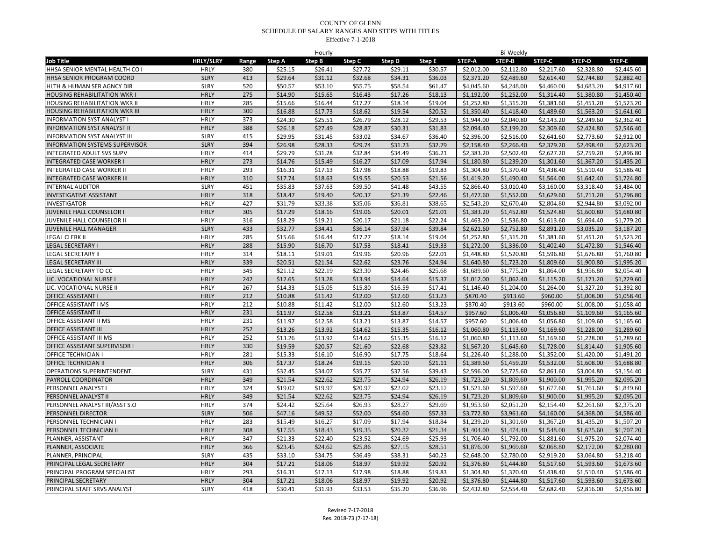| <b>Job Title</b><br><b>HRLY/SLRY</b><br>Range<br>Step A<br><b>Step B</b><br>Step C<br>Step D<br>Step E<br>STEP-A<br>STEP-B<br>STEP-C<br>STEP-D<br>STEP-E<br>\$2,112.80<br>\$25.15<br>\$26.41<br>\$27.72<br>\$29.11<br>\$30.57<br>\$2,012.00<br>\$2,217.60<br>\$2,328.80<br>\$2,445.60<br>HHSA SENIOR MENTAL HEALTH CO I<br><b>HRLY</b><br>380<br><b>SLRY</b><br>413<br>\$29.64<br>\$31.12<br>\$32.68<br>\$34.31<br>\$36.03<br>\$2,371.20<br>\$2,489.60<br>\$2,614.40<br>\$2,744.80<br>\$2,882.40<br>HHSA SENIOR PROGRAM COORD<br>HLTH & HUMAN SER AGNCY DIR<br>520<br>\$50.57<br>\$53.10<br>\$55.75<br>\$58.54<br>\$4,045.60<br>\$4,248.00<br>\$4,460.00<br>\$4,683.20<br>\$4,917.60<br><b>SLRY</b><br>\$61.47<br><b>HOUSING REHABILITATION WKR I</b><br><b>HRLY</b><br>275<br>\$14.90<br>\$15.65<br>\$16.43<br>\$17.26<br>\$18.13<br>\$1,192.00<br>\$1,252.00<br>\$1,314.40<br>\$1,380.80<br>\$1,450.40<br>HOUSING REHABILITATION WKR II<br><b>HRLY</b><br>285<br>\$15.66<br>\$16.44<br>\$17.27<br>\$18.14<br>\$19.04<br>\$1,252.80<br>\$1,315.20<br>\$1,381.60<br>\$1,451.20<br>\$1,523.20<br><b>HRLY</b><br>300<br>\$16.88<br>\$18.62<br>\$19.54<br>\$1,350.40<br>\$1,489.60<br>\$1,563.20<br>\$1,641.60<br><b>HOUSING REHABILITATION WKR III</b><br>\$17.73<br>\$20.52<br>\$1,418.40<br><b>HRLY</b><br><b>INFORMATION SYST ANALYST I</b><br>373<br>\$24.30<br>\$25.51<br>\$26.79<br>\$28.12<br>\$29.53<br>\$1,944.00<br>\$2,040.80<br>\$2,143.20<br>\$2,249.60<br>\$2,362.40<br>388<br>\$26.18<br><b>INFORMATION SYST ANALYST II</b><br><b>HRLY</b><br>\$27.49<br>\$28.87<br>\$30.31<br>\$31.83<br>\$2,094.40<br>\$2,199.20<br>\$2,309.60<br>\$2,424.80<br>\$2,546.40<br>\$29.95<br>\$33.02<br>\$2,773.60<br>\$2,912.00<br><b>SLRY</b><br>415<br>\$31.45<br>\$34.67<br>\$36.40<br>\$2,396.00<br>\$2,516.00<br>\$2,641.60<br><b>INFORMATION SYST ANALYST III</b><br><b>INFORMATION SYSTEMS SUPERVISOR</b><br><b>SLRY</b><br>394<br>\$26.98<br>\$32.79<br>\$2.158.40<br>\$2,266.40<br>\$2,379.20<br>\$2,498.40<br>\$28.33<br>\$29.74<br>\$31.23<br>\$2.623.20<br><b>INTEGRATED ADULT SVS SUPV</b><br>HRLY<br>414<br>\$29.79<br>\$31.28<br>\$32.84<br>\$34.49<br>\$36.21<br>\$2,383.20<br>\$2,502.40<br>\$2,627.20<br>\$2,759.20<br>\$2,896.80<br><b>HRLY</b><br>273<br>\$14.76<br>\$15.49<br>\$16.27<br>\$17.09<br>\$17.94<br>\$1,180.80<br>\$1,239.20<br>\$1,367.20<br>\$1,435.20<br><b>INTEGRATED CASE WORKER I</b><br>\$1,301.60<br>293<br><b>HRLY</b><br>\$16.31<br>\$17.13<br>\$17.98<br>\$18.88<br>\$19.83<br>\$1,304.80<br>\$1,370.40<br>\$1,438.40<br>\$1,510.40<br>\$1,586.40<br><b>INTEGRATED CASE WORKER II</b><br><b>HRLY</b><br>310<br><b>INTEGRATED CASE WORKER III</b><br>\$17.74<br>\$19.55<br>\$20.53<br>\$21.56<br>\$1,490.40<br>\$1,642.40<br>\$1,724.80<br>\$18.63<br>\$1,419.20<br>\$1,564.00<br><b>SLRY</b><br>451<br>\$35.83<br>\$37.63<br>\$39.50<br>\$41.48<br>\$43.55<br>\$2,866.40<br>\$3,010.40<br>\$3,160.00<br>\$3,318.40<br>\$3,484.00<br><b>INTERNAL AUDITOR</b><br><b>HRLY</b><br><b>INVESTIGATIVE ASSISTANT</b><br>318<br>\$18.47<br>\$19.40<br>\$20.37<br>\$21.39<br>\$22.46<br>\$1,477.60<br>\$1,552.00<br>\$1,629.60<br>\$1,711.20<br>\$1,796.80<br>\$31.79<br>\$2,944.80<br><b>HRLY</b><br>427<br>\$33.38<br>\$35.06<br>\$36.81<br>\$38.65<br>\$2,543.20<br>\$2,670.40<br>\$2,804.80<br>\$3,092.00<br><b>INVESTIGATOR</b><br>305<br>\$17.29<br>\$1,383.20<br>JUVENILE HALL COUNSELOR I<br><b>HRLY</b><br>\$18.16<br>\$19.06<br>\$20.01<br>\$21.01<br>\$1,452.80<br>\$1,524.80<br>\$1,600.80<br>\$1,680.80<br>JUVENILE HALL COUNSELOR II<br><b>HRLY</b><br>316<br>\$18.29<br>\$19.21<br>\$20.17<br>\$21.18<br>\$22.24<br>\$1,463.20<br>\$1,536.80<br>\$1,613.60<br>\$1,694.40<br>\$1,779.20<br><b>SLRY</b><br>433<br>\$32.77<br>\$34.41<br>\$36.14<br>\$37.94<br>\$39.84<br>\$2,621.60<br>\$2,752.80<br>\$2,891.20<br>\$3,035.20<br>\$3,187.20<br>JUVENILE HALL MANAGER<br>LEGAL CLERK II<br><b>HRLY</b><br>285<br>\$17.27<br>\$1,252.80<br>\$1,451.20<br>\$15.66<br>\$16.44<br>\$18.14<br>\$19.04<br>\$1,315.20<br>\$1,381.60<br>\$1,523.20<br><b>HRLY</b><br>288<br>\$15.90<br>\$17.53<br>\$18.41<br>\$1,272.00<br>\$1,402.40<br>\$1,472.80<br>\$1,546.40<br>LEGAL SECRETARY I<br>\$16.70<br>\$19.33<br>\$1,336.00<br><b>HRLY</b><br>314<br>\$18.11<br>\$19.01<br>\$19.96<br>\$20.96<br>\$22.01<br>\$1,448.80<br>\$1,520.80<br>\$1,596.80<br>\$1,676.80<br>\$1,760.80<br><b>EGAL SECRETARY II</b><br>339<br><b>LEGAL SECRETARY III</b><br><b>HRLY</b><br>\$20.51<br>\$21.54<br>\$22.62<br>\$23.76<br>\$24.94<br>\$1,640.80<br>\$1,723.20<br>\$1,809.60<br>\$1,900.80<br>\$1,995.20<br>\$21.12<br>\$22.19<br>\$23.30<br>\$24.46<br>\$1,956.80<br>\$2,054.40<br><b>HRLY</b><br>345<br>\$25.68<br>\$1,689.60<br>\$1,775.20<br>\$1,864.00<br>EGAL SECRETARY TO CC<br><b>HRLY</b><br>\$1,229.60<br>LIC. VOCATIONAL NURSE I<br>242<br>\$12.65<br>\$13.28<br>\$13.94<br>\$14.64<br>\$15.37<br>\$1,012.00<br>\$1,062.40<br>\$1,115.20<br>\$1,171.20<br>LIC. VOCATIONAL NURSE II<br><b>HRLY</b><br>267<br>\$14.33<br>\$15.05<br>\$15.80<br>\$16.59<br>\$17.41<br>\$1,146.40<br>\$1,204.00<br>\$1,264.00<br>\$1,327.20<br>\$1,392.80<br><b>HRLY</b><br>212<br><b>OFFICE ASSISTANT I</b><br>\$10.88<br>\$12.00<br>\$12.60<br>\$913.60<br>\$1,008.00<br>\$1,058.40<br>\$11.42<br>\$13.23<br>\$870.40<br>\$960.00<br>212<br>\$12.00<br>\$1,008.00<br>OFFICE ASSISTANT I MS<br><b>HRLY</b><br>\$10.88<br>\$11.42<br>\$12.60<br>\$13.23<br>\$870.40<br>\$913.60<br>\$960.00<br>\$1,058.40<br>231<br><b>HRLY</b><br>\$11.97<br>\$13.21<br>\$13.87<br>\$14.57<br>\$957.60<br>\$1,006.40<br>\$1,109.60<br>\$1,165.60<br><b>OFFICE ASSISTANT II</b><br>\$12.58<br>\$1,056.80<br><b>HRLY</b><br>231<br>\$11.97<br>\$12.58<br>\$13.21<br>\$13.87<br>\$957.60<br>OFFICE ASSISTANT II MS<br>\$14.57<br>\$1.006.40<br>\$1,056.80<br>\$1,109.60<br>\$1.165.60<br><b>HRLY</b><br>252<br>\$13.26<br>\$13.92<br>\$14.62<br>\$15.35<br>\$16.12<br>\$1,060.80<br>\$1,113.60<br>\$1,169.60<br>\$1,228.00<br>\$1,289.60<br><b>OFFICE ASSISTANT III</b><br><b>HRLY</b><br>252<br>\$13.26<br>\$14.62<br>\$15.35<br>\$1,113.60<br>\$1,169.60<br>\$1,228.00<br>\$1,289.60<br>OFFICE ASSISTANT III MS<br>\$13.92<br>\$16.12<br>\$1,060.80<br>OFFICE ASSISTANT SUPERVISOR I<br><b>HRLY</b><br>330<br>\$19.59<br>\$20.57<br>\$21.60<br>\$22.68<br>\$23.82<br>\$1,567.20<br>\$1,645.60<br>\$1,728.00<br>\$1,814.40<br>\$1,905.60<br>281<br>OFFICE TECHNICIAN I<br><b>HRLY</b><br>\$15.33<br>\$16.10<br>\$16.90<br>\$17.75<br>\$18.64<br>\$1,226.40<br>\$1,288.00<br>\$1,352.00<br>\$1,420.00<br>\$1,491.20<br><b>OFFICE TECHNICIAN II</b><br><b>HRLY</b><br>306<br>\$17.37<br>\$18.24<br>\$19.15<br>\$20.10<br>\$21.11<br>\$1,459.20<br>\$1,688.80<br>\$1,389.60<br>\$1,532.00<br>\$1,608.00<br>\$32.45<br>OPERATIONS SUPERINTENDENT<br><b>SLRY</b><br>431<br>\$34.07<br>\$35.77<br>\$37.56<br>\$39.43<br>\$2,596.00<br>\$2,725.60<br>\$2,861.60<br>\$3,004.80<br>\$3,154.40<br>PAYROLL COORDINATOR<br><b>HRLY</b><br>349<br>\$21.54<br>\$23.75<br>\$24.94<br>\$1,900.00<br>\$2,095.20<br>\$22.62<br>\$26.19<br>\$1,723.20<br>\$1,809.60<br>\$1,995.20<br>\$19.02<br>\$20.97<br>\$22.02<br><b>HRLY</b><br>324<br>\$19.97<br>\$23.12<br>\$1,521.60<br>\$1,597.60<br>\$1,677.60<br>\$1,761.60<br>\$1,849.60<br>PERSONNEL ANALYST I<br><b>HRLY</b><br>349<br>\$21.54<br>\$22.62<br>\$23.75<br>\$24.94<br>\$26.19<br>\$1,723.20<br>\$1,809.60<br>\$1,900.00<br>\$1,995.20<br>\$2,095.20<br>PERSONNEL ANALYST II<br>\$24.42<br>\$28.27<br>\$2,154.40<br>\$2,261.60<br>\$2,375.20<br>PERSONNEL ANALYST III/ASST S.O<br><b>HRLY</b><br>374<br>\$25.64<br>\$26.93<br>\$29.69<br>\$1,953.60<br>\$2,051.20<br><b>SLRY</b><br>506<br>PERSONNEL DIRECTOR<br>\$47.16<br>\$49.52<br>\$52.00<br>\$54.60<br>\$57.33<br>\$3,772.80<br>\$3,961.60<br>\$4,160.00<br>\$4,368.00<br>\$4,586.40<br><b>HRLY</b><br>283<br>\$15.49<br>\$16.27<br>\$17.09<br>\$17.94<br>\$18.84<br>\$1,239.20<br>\$1,301.60<br>\$1,367.20<br>\$1,435.20<br>\$1,507.20<br>PERSONNEL TECHNICIAN I<br><b>HRLY</b><br>\$17.55<br>\$18.43<br>\$19.35<br>\$20.32<br>\$21.34<br>\$1,404.00<br>\$1,474.40<br>\$1,548.00<br>\$1,625.60<br>\$1,707.20<br>PERSONNEL TECHNICIAN II<br>308<br>PLANNER, ASSISTANT<br><b>HRLY</b><br>347<br>\$21.33<br>\$22.40<br>\$23.52<br>\$24.69<br>\$25.93<br>\$1,706.40<br>\$1,792.00<br>\$1,881.60<br>\$1,975.20<br>\$2,074.40<br>PLANNER, ASSOCIATE<br><b>HRLY</b><br>\$23.45<br>\$25.86<br>\$27.15<br>\$28.51<br>\$2,068.80<br>\$2,280.80<br>366<br>\$24.62<br>\$1,876.00<br>\$1,969.60<br>\$2,172.00<br>PLANNER, PRINCIPAL<br><b>SLRY</b><br>435<br>\$33.10<br>\$34.75<br>\$36.49<br>\$38.31<br>\$40.23<br>\$2.648.00<br>\$2.780.00<br>\$2,919.20<br>\$3,064.80<br>\$3.218.40<br>PRINCIPAL LEGAL SECRETARY<br><b>HRLY</b><br>304<br>\$17.21<br>\$18.97<br>\$19.92<br>\$1,376.80<br>\$1,444.80<br>\$1,593.60<br>\$1,673.60<br>\$18.06<br>\$20.92<br>\$1,517.60<br>PRINCIPAL PROGRAM SPECIALIST<br><b>HRLY</b><br>293<br>\$16.31<br>\$17.13<br>\$17.98<br>\$18.88<br>\$19.83<br>\$1,304.80<br>\$1,370.40<br>\$1,438.40<br>\$1,510.40<br>\$1,586.40<br><b>HRLY</b><br>304<br>\$18.97<br>\$1,517.60<br>\$1,593.60<br>PRINCIPAL SECRETARY<br>\$17.21<br>\$18.06<br>\$19.92<br>\$20.92<br>\$1,376.80<br>\$1,444.80<br>\$1,673.60<br>PRINCIPAL STAFF SRVS ANALYST<br><b>SLRY</b><br>418<br>\$30.41<br>\$31.93<br>\$33.53<br>\$35.20<br>\$36.96<br>\$2,432.80<br>\$2,554.40<br>\$2,682.40<br>\$2,816.00<br>\$2,956.80 |  |  | Hourly |  |  | <b>Bi-Weekly</b> |  |  |
|--------------------------------------------------------------------------------------------------------------------------------------------------------------------------------------------------------------------------------------------------------------------------------------------------------------------------------------------------------------------------------------------------------------------------------------------------------------------------------------------------------------------------------------------------------------------------------------------------------------------------------------------------------------------------------------------------------------------------------------------------------------------------------------------------------------------------------------------------------------------------------------------------------------------------------------------------------------------------------------------------------------------------------------------------------------------------------------------------------------------------------------------------------------------------------------------------------------------------------------------------------------------------------------------------------------------------------------------------------------------------------------------------------------------------------------------------------------------------------------------------------------------------------------------------------------------------------------------------------------------------------------------------------------------------------------------------------------------------------------------------------------------------------------------------------------------------------------------------------------------------------------------------------------------------------------------------------------------------------------------------------------------------------------------------------------------------------------------------------------------------------------------------------------------------------------------------------------------------------------------------------------------------------------------------------------------------------------------------------------------------------------------------------------------------------------------------------------------------------------------------------------------------------------------------------------------------------------------------------------------------------------------------------------------------------------------------------------------------------------------------------------------------------------------------------------------------------------------------------------------------------------------------------------------------------------------------------------------------------------------------------------------------------------------------------------------------------------------------------------------------------------------------------------------------------------------------------------------------------------------------------------------------------------------------------------------------------------------------------------------------------------------------------------------------------------------------------------------------------------------------------------------------------------------------------------------------------------------------------------------------------------------------------------------------------------------------------------------------------------------------------------------------------------------------------------------------------------------------------------------------------------------------------------------------------------------------------------------------------------------------------------------------------------------------------------------------------------------------------------------------------------------------------------------------------------------------------------------------------------------------------------------------------------------------------------------------------------------------------------------------------------------------------------------------------------------------------------------------------------------------------------------------------------------------------------------------------------------------------------------------------------------------------------------------------------------------------------------------------------------------------------------------------------------------------------------------------------------------------------------------------------------------------------------------------------------------------------------------------------------------------------------------------------------------------------------------------------------------------------------------------------------------------------------------------------------------------------------------------------------------------------------------------------------------------------------------------------------------------------------------------------------------------------------------------------------------------------------------------------------------------------------------------------------------------------------------------------------------------------------------------------------------------------------------------------------------------------------------------------------------------------------------------------------------------------------------------------------------------------------------------------------------------------------------------------------------------------------------------------------------------------------------------------------------------------------------------------------------------------------------------------------------------------------------------------------------------------------------------------------------------------------------------------------------------------------------------------------------------------------------------------------------------------------------------------------------------------------------------------------------------------------------------------------------------------------------------------------------------------------------------------------------------------------------------------------------------------------------------------------------------------------------------------------------------------------------------------------------------------------------------------------------------------------------------------------------------------------------------------------------------------------------------------------------------------------------------------------------------------------------------------------------------------------------------------------------------------------------------------------------------------------------------------------------------------------------------------------------------------------------------------------------------------------------------------------------------------------------------------------------------------------------------------------------------------------------------------------------------------------------------------------------------------------------------------------------------------------------------------------------------------------------------------------------------------------------------------------------------------------------------------------------------------------------------------------------------------------------------------------------------------------------------------------------------------------------------------------------------------------------------------------------------------------------------------------------------------------------------------------------------------------------------------------------------------------------------------------------------------------------------------------------------------------------------------------------------------------------------------------------------------------------------------------------------------------------------------------------------------------------------------------------------------------------------------------------------------------------------------------------------------------------------------------------------------------------------------------------------------------------------------------------------------------------------------------------------------------------------------------------------------------------------------------------------------------------------------------------------------------------------------------------------------------------------------------------------------------------------------------------------------------------------------------------------------------------------------------------------------------------------------------------------------------------------------------------------------------------------------------------|--|--|--------|--|--|------------------|--|--|
|                                                                                                                                                                                                                                                                                                                                                                                                                                                                                                                                                                                                                                                                                                                                                                                                                                                                                                                                                                                                                                                                                                                                                                                                                                                                                                                                                                                                                                                                                                                                                                                                                                                                                                                                                                                                                                                                                                                                                                                                                                                                                                                                                                                                                                                                                                                                                                                                                                                                                                                                                                                                                                                                                                                                                                                                                                                                                                                                                                                                                                                                                                                                                                                                                                                                                                                                                                                                                                                                                                                                                                                                                                                                                                                                                                                                                                                                                                                                                                                                                                                                                                                                                                                                                                                                                                                                                                                                                                                                                                                                                                                                                                                                                                                                                                                                                                                                                                                                                                                                                                                                                                                                                                                                                                                                                                                                                                                                                                                                                                                                                                                                                                                                                                                                                                                                                                                                                                                                                                                                                                                                                                                                                                                                                                                                                                                                                                                                                                                                                                                                                                                                                                                                                                                                                                                                                                                                                                                                                                                                                                                                                                                                                                                                                                                                                                                                                                                                                                                                                                                                                                                                                                                                                                                                                                                                                                                                                                                                                                                                                                                                                                                                                                                                                                                                                                                                                                                                                                                                                                                                                                                                                                                                                                                                                                                                                                                                                                                                                                                                                                                                                                                                                                                                                                                                                                                                                                                                                                                                                                  |  |  |        |  |  |                  |  |  |
|                                                                                                                                                                                                                                                                                                                                                                                                                                                                                                                                                                                                                                                                                                                                                                                                                                                                                                                                                                                                                                                                                                                                                                                                                                                                                                                                                                                                                                                                                                                                                                                                                                                                                                                                                                                                                                                                                                                                                                                                                                                                                                                                                                                                                                                                                                                                                                                                                                                                                                                                                                                                                                                                                                                                                                                                                                                                                                                                                                                                                                                                                                                                                                                                                                                                                                                                                                                                                                                                                                                                                                                                                                                                                                                                                                                                                                                                                                                                                                                                                                                                                                                                                                                                                                                                                                                                                                                                                                                                                                                                                                                                                                                                                                                                                                                                                                                                                                                                                                                                                                                                                                                                                                                                                                                                                                                                                                                                                                                                                                                                                                                                                                                                                                                                                                                                                                                                                                                                                                                                                                                                                                                                                                                                                                                                                                                                                                                                                                                                                                                                                                                                                                                                                                                                                                                                                                                                                                                                                                                                                                                                                                                                                                                                                                                                                                                                                                                                                                                                                                                                                                                                                                                                                                                                                                                                                                                                                                                                                                                                                                                                                                                                                                                                                                                                                                                                                                                                                                                                                                                                                                                                                                                                                                                                                                                                                                                                                                                                                                                                                                                                                                                                                                                                                                                                                                                                                                                                                                                                                                  |  |  |        |  |  |                  |  |  |
|                                                                                                                                                                                                                                                                                                                                                                                                                                                                                                                                                                                                                                                                                                                                                                                                                                                                                                                                                                                                                                                                                                                                                                                                                                                                                                                                                                                                                                                                                                                                                                                                                                                                                                                                                                                                                                                                                                                                                                                                                                                                                                                                                                                                                                                                                                                                                                                                                                                                                                                                                                                                                                                                                                                                                                                                                                                                                                                                                                                                                                                                                                                                                                                                                                                                                                                                                                                                                                                                                                                                                                                                                                                                                                                                                                                                                                                                                                                                                                                                                                                                                                                                                                                                                                                                                                                                                                                                                                                                                                                                                                                                                                                                                                                                                                                                                                                                                                                                                                                                                                                                                                                                                                                                                                                                                                                                                                                                                                                                                                                                                                                                                                                                                                                                                                                                                                                                                                                                                                                                                                                                                                                                                                                                                                                                                                                                                                                                                                                                                                                                                                                                                                                                                                                                                                                                                                                                                                                                                                                                                                                                                                                                                                                                                                                                                                                                                                                                                                                                                                                                                                                                                                                                                                                                                                                                                                                                                                                                                                                                                                                                                                                                                                                                                                                                                                                                                                                                                                                                                                                                                                                                                                                                                                                                                                                                                                                                                                                                                                                                                                                                                                                                                                                                                                                                                                                                                                                                                                                                                                  |  |  |        |  |  |                  |  |  |
|                                                                                                                                                                                                                                                                                                                                                                                                                                                                                                                                                                                                                                                                                                                                                                                                                                                                                                                                                                                                                                                                                                                                                                                                                                                                                                                                                                                                                                                                                                                                                                                                                                                                                                                                                                                                                                                                                                                                                                                                                                                                                                                                                                                                                                                                                                                                                                                                                                                                                                                                                                                                                                                                                                                                                                                                                                                                                                                                                                                                                                                                                                                                                                                                                                                                                                                                                                                                                                                                                                                                                                                                                                                                                                                                                                                                                                                                                                                                                                                                                                                                                                                                                                                                                                                                                                                                                                                                                                                                                                                                                                                                                                                                                                                                                                                                                                                                                                                                                                                                                                                                                                                                                                                                                                                                                                                                                                                                                                                                                                                                                                                                                                                                                                                                                                                                                                                                                                                                                                                                                                                                                                                                                                                                                                                                                                                                                                                                                                                                                                                                                                                                                                                                                                                                                                                                                                                                                                                                                                                                                                                                                                                                                                                                                                                                                                                                                                                                                                                                                                                                                                                                                                                                                                                                                                                                                                                                                                                                                                                                                                                                                                                                                                                                                                                                                                                                                                                                                                                                                                                                                                                                                                                                                                                                                                                                                                                                                                                                                                                                                                                                                                                                                                                                                                                                                                                                                                                                                                                                                                  |  |  |        |  |  |                  |  |  |
|                                                                                                                                                                                                                                                                                                                                                                                                                                                                                                                                                                                                                                                                                                                                                                                                                                                                                                                                                                                                                                                                                                                                                                                                                                                                                                                                                                                                                                                                                                                                                                                                                                                                                                                                                                                                                                                                                                                                                                                                                                                                                                                                                                                                                                                                                                                                                                                                                                                                                                                                                                                                                                                                                                                                                                                                                                                                                                                                                                                                                                                                                                                                                                                                                                                                                                                                                                                                                                                                                                                                                                                                                                                                                                                                                                                                                                                                                                                                                                                                                                                                                                                                                                                                                                                                                                                                                                                                                                                                                                                                                                                                                                                                                                                                                                                                                                                                                                                                                                                                                                                                                                                                                                                                                                                                                                                                                                                                                                                                                                                                                                                                                                                                                                                                                                                                                                                                                                                                                                                                                                                                                                                                                                                                                                                                                                                                                                                                                                                                                                                                                                                                                                                                                                                                                                                                                                                                                                                                                                                                                                                                                                                                                                                                                                                                                                                                                                                                                                                                                                                                                                                                                                                                                                                                                                                                                                                                                                                                                                                                                                                                                                                                                                                                                                                                                                                                                                                                                                                                                                                                                                                                                                                                                                                                                                                                                                                                                                                                                                                                                                                                                                                                                                                                                                                                                                                                                                                                                                                                                                  |  |  |        |  |  |                  |  |  |
|                                                                                                                                                                                                                                                                                                                                                                                                                                                                                                                                                                                                                                                                                                                                                                                                                                                                                                                                                                                                                                                                                                                                                                                                                                                                                                                                                                                                                                                                                                                                                                                                                                                                                                                                                                                                                                                                                                                                                                                                                                                                                                                                                                                                                                                                                                                                                                                                                                                                                                                                                                                                                                                                                                                                                                                                                                                                                                                                                                                                                                                                                                                                                                                                                                                                                                                                                                                                                                                                                                                                                                                                                                                                                                                                                                                                                                                                                                                                                                                                                                                                                                                                                                                                                                                                                                                                                                                                                                                                                                                                                                                                                                                                                                                                                                                                                                                                                                                                                                                                                                                                                                                                                                                                                                                                                                                                                                                                                                                                                                                                                                                                                                                                                                                                                                                                                                                                                                                                                                                                                                                                                                                                                                                                                                                                                                                                                                                                                                                                                                                                                                                                                                                                                                                                                                                                                                                                                                                                                                                                                                                                                                                                                                                                                                                                                                                                                                                                                                                                                                                                                                                                                                                                                                                                                                                                                                                                                                                                                                                                                                                                                                                                                                                                                                                                                                                                                                                                                                                                                                                                                                                                                                                                                                                                                                                                                                                                                                                                                                                                                                                                                                                                                                                                                                                                                                                                                                                                                                                                                                  |  |  |        |  |  |                  |  |  |
|                                                                                                                                                                                                                                                                                                                                                                                                                                                                                                                                                                                                                                                                                                                                                                                                                                                                                                                                                                                                                                                                                                                                                                                                                                                                                                                                                                                                                                                                                                                                                                                                                                                                                                                                                                                                                                                                                                                                                                                                                                                                                                                                                                                                                                                                                                                                                                                                                                                                                                                                                                                                                                                                                                                                                                                                                                                                                                                                                                                                                                                                                                                                                                                                                                                                                                                                                                                                                                                                                                                                                                                                                                                                                                                                                                                                                                                                                                                                                                                                                                                                                                                                                                                                                                                                                                                                                                                                                                                                                                                                                                                                                                                                                                                                                                                                                                                                                                                                                                                                                                                                                                                                                                                                                                                                                                                                                                                                                                                                                                                                                                                                                                                                                                                                                                                                                                                                                                                                                                                                                                                                                                                                                                                                                                                                                                                                                                                                                                                                                                                                                                                                                                                                                                                                                                                                                                                                                                                                                                                                                                                                                                                                                                                                                                                                                                                                                                                                                                                                                                                                                                                                                                                                                                                                                                                                                                                                                                                                                                                                                                                                                                                                                                                                                                                                                                                                                                                                                                                                                                                                                                                                                                                                                                                                                                                                                                                                                                                                                                                                                                                                                                                                                                                                                                                                                                                                                                                                                                                                                                  |  |  |        |  |  |                  |  |  |
|                                                                                                                                                                                                                                                                                                                                                                                                                                                                                                                                                                                                                                                                                                                                                                                                                                                                                                                                                                                                                                                                                                                                                                                                                                                                                                                                                                                                                                                                                                                                                                                                                                                                                                                                                                                                                                                                                                                                                                                                                                                                                                                                                                                                                                                                                                                                                                                                                                                                                                                                                                                                                                                                                                                                                                                                                                                                                                                                                                                                                                                                                                                                                                                                                                                                                                                                                                                                                                                                                                                                                                                                                                                                                                                                                                                                                                                                                                                                                                                                                                                                                                                                                                                                                                                                                                                                                                                                                                                                                                                                                                                                                                                                                                                                                                                                                                                                                                                                                                                                                                                                                                                                                                                                                                                                                                                                                                                                                                                                                                                                                                                                                                                                                                                                                                                                                                                                                                                                                                                                                                                                                                                                                                                                                                                                                                                                                                                                                                                                                                                                                                                                                                                                                                                                                                                                                                                                                                                                                                                                                                                                                                                                                                                                                                                                                                                                                                                                                                                                                                                                                                                                                                                                                                                                                                                                                                                                                                                                                                                                                                                                                                                                                                                                                                                                                                                                                                                                                                                                                                                                                                                                                                                                                                                                                                                                                                                                                                                                                                                                                                                                                                                                                                                                                                                                                                                                                                                                                                                                                                  |  |  |        |  |  |                  |  |  |
|                                                                                                                                                                                                                                                                                                                                                                                                                                                                                                                                                                                                                                                                                                                                                                                                                                                                                                                                                                                                                                                                                                                                                                                                                                                                                                                                                                                                                                                                                                                                                                                                                                                                                                                                                                                                                                                                                                                                                                                                                                                                                                                                                                                                                                                                                                                                                                                                                                                                                                                                                                                                                                                                                                                                                                                                                                                                                                                                                                                                                                                                                                                                                                                                                                                                                                                                                                                                                                                                                                                                                                                                                                                                                                                                                                                                                                                                                                                                                                                                                                                                                                                                                                                                                                                                                                                                                                                                                                                                                                                                                                                                                                                                                                                                                                                                                                                                                                                                                                                                                                                                                                                                                                                                                                                                                                                                                                                                                                                                                                                                                                                                                                                                                                                                                                                                                                                                                                                                                                                                                                                                                                                                                                                                                                                                                                                                                                                                                                                                                                                                                                                                                                                                                                                                                                                                                                                                                                                                                                                                                                                                                                                                                                                                                                                                                                                                                                                                                                                                                                                                                                                                                                                                                                                                                                                                                                                                                                                                                                                                                                                                                                                                                                                                                                                                                                                                                                                                                                                                                                                                                                                                                                                                                                                                                                                                                                                                                                                                                                                                                                                                                                                                                                                                                                                                                                                                                                                                                                                                                                  |  |  |        |  |  |                  |  |  |
|                                                                                                                                                                                                                                                                                                                                                                                                                                                                                                                                                                                                                                                                                                                                                                                                                                                                                                                                                                                                                                                                                                                                                                                                                                                                                                                                                                                                                                                                                                                                                                                                                                                                                                                                                                                                                                                                                                                                                                                                                                                                                                                                                                                                                                                                                                                                                                                                                                                                                                                                                                                                                                                                                                                                                                                                                                                                                                                                                                                                                                                                                                                                                                                                                                                                                                                                                                                                                                                                                                                                                                                                                                                                                                                                                                                                                                                                                                                                                                                                                                                                                                                                                                                                                                                                                                                                                                                                                                                                                                                                                                                                                                                                                                                                                                                                                                                                                                                                                                                                                                                                                                                                                                                                                                                                                                                                                                                                                                                                                                                                                                                                                                                                                                                                                                                                                                                                                                                                                                                                                                                                                                                                                                                                                                                                                                                                                                                                                                                                                                                                                                                                                                                                                                                                                                                                                                                                                                                                                                                                                                                                                                                                                                                                                                                                                                                                                                                                                                                                                                                                                                                                                                                                                                                                                                                                                                                                                                                                                                                                                                                                                                                                                                                                                                                                                                                                                                                                                                                                                                                                                                                                                                                                                                                                                                                                                                                                                                                                                                                                                                                                                                                                                                                                                                                                                                                                                                                                                                                                                                  |  |  |        |  |  |                  |  |  |
|                                                                                                                                                                                                                                                                                                                                                                                                                                                                                                                                                                                                                                                                                                                                                                                                                                                                                                                                                                                                                                                                                                                                                                                                                                                                                                                                                                                                                                                                                                                                                                                                                                                                                                                                                                                                                                                                                                                                                                                                                                                                                                                                                                                                                                                                                                                                                                                                                                                                                                                                                                                                                                                                                                                                                                                                                                                                                                                                                                                                                                                                                                                                                                                                                                                                                                                                                                                                                                                                                                                                                                                                                                                                                                                                                                                                                                                                                                                                                                                                                                                                                                                                                                                                                                                                                                                                                                                                                                                                                                                                                                                                                                                                                                                                                                                                                                                                                                                                                                                                                                                                                                                                                                                                                                                                                                                                                                                                                                                                                                                                                                                                                                                                                                                                                                                                                                                                                                                                                                                                                                                                                                                                                                                                                                                                                                                                                                                                                                                                                                                                                                                                                                                                                                                                                                                                                                                                                                                                                                                                                                                                                                                                                                                                                                                                                                                                                                                                                                                                                                                                                                                                                                                                                                                                                                                                                                                                                                                                                                                                                                                                                                                                                                                                                                                                                                                                                                                                                                                                                                                                                                                                                                                                                                                                                                                                                                                                                                                                                                                                                                                                                                                                                                                                                                                                                                                                                                                                                                                                                                  |  |  |        |  |  |                  |  |  |
|                                                                                                                                                                                                                                                                                                                                                                                                                                                                                                                                                                                                                                                                                                                                                                                                                                                                                                                                                                                                                                                                                                                                                                                                                                                                                                                                                                                                                                                                                                                                                                                                                                                                                                                                                                                                                                                                                                                                                                                                                                                                                                                                                                                                                                                                                                                                                                                                                                                                                                                                                                                                                                                                                                                                                                                                                                                                                                                                                                                                                                                                                                                                                                                                                                                                                                                                                                                                                                                                                                                                                                                                                                                                                                                                                                                                                                                                                                                                                                                                                                                                                                                                                                                                                                                                                                                                                                                                                                                                                                                                                                                                                                                                                                                                                                                                                                                                                                                                                                                                                                                                                                                                                                                                                                                                                                                                                                                                                                                                                                                                                                                                                                                                                                                                                                                                                                                                                                                                                                                                                                                                                                                                                                                                                                                                                                                                                                                                                                                                                                                                                                                                                                                                                                                                                                                                                                                                                                                                                                                                                                                                                                                                                                                                                                                                                                                                                                                                                                                                                                                                                                                                                                                                                                                                                                                                                                                                                                                                                                                                                                                                                                                                                                                                                                                                                                                                                                                                                                                                                                                                                                                                                                                                                                                                                                                                                                                                                                                                                                                                                                                                                                                                                                                                                                                                                                                                                                                                                                                                                                  |  |  |        |  |  |                  |  |  |
|                                                                                                                                                                                                                                                                                                                                                                                                                                                                                                                                                                                                                                                                                                                                                                                                                                                                                                                                                                                                                                                                                                                                                                                                                                                                                                                                                                                                                                                                                                                                                                                                                                                                                                                                                                                                                                                                                                                                                                                                                                                                                                                                                                                                                                                                                                                                                                                                                                                                                                                                                                                                                                                                                                                                                                                                                                                                                                                                                                                                                                                                                                                                                                                                                                                                                                                                                                                                                                                                                                                                                                                                                                                                                                                                                                                                                                                                                                                                                                                                                                                                                                                                                                                                                                                                                                                                                                                                                                                                                                                                                                                                                                                                                                                                                                                                                                                                                                                                                                                                                                                                                                                                                                                                                                                                                                                                                                                                                                                                                                                                                                                                                                                                                                                                                                                                                                                                                                                                                                                                                                                                                                                                                                                                                                                                                                                                                                                                                                                                                                                                                                                                                                                                                                                                                                                                                                                                                                                                                                                                                                                                                                                                                                                                                                                                                                                                                                                                                                                                                                                                                                                                                                                                                                                                                                                                                                                                                                                                                                                                                                                                                                                                                                                                                                                                                                                                                                                                                                                                                                                                                                                                                                                                                                                                                                                                                                                                                                                                                                                                                                                                                                                                                                                                                                                                                                                                                                                                                                                                                                  |  |  |        |  |  |                  |  |  |
|                                                                                                                                                                                                                                                                                                                                                                                                                                                                                                                                                                                                                                                                                                                                                                                                                                                                                                                                                                                                                                                                                                                                                                                                                                                                                                                                                                                                                                                                                                                                                                                                                                                                                                                                                                                                                                                                                                                                                                                                                                                                                                                                                                                                                                                                                                                                                                                                                                                                                                                                                                                                                                                                                                                                                                                                                                                                                                                                                                                                                                                                                                                                                                                                                                                                                                                                                                                                                                                                                                                                                                                                                                                                                                                                                                                                                                                                                                                                                                                                                                                                                                                                                                                                                                                                                                                                                                                                                                                                                                                                                                                                                                                                                                                                                                                                                                                                                                                                                                                                                                                                                                                                                                                                                                                                                                                                                                                                                                                                                                                                                                                                                                                                                                                                                                                                                                                                                                                                                                                                                                                                                                                                                                                                                                                                                                                                                                                                                                                                                                                                                                                                                                                                                                                                                                                                                                                                                                                                                                                                                                                                                                                                                                                                                                                                                                                                                                                                                                                                                                                                                                                                                                                                                                                                                                                                                                                                                                                                                                                                                                                                                                                                                                                                                                                                                                                                                                                                                                                                                                                                                                                                                                                                                                                                                                                                                                                                                                                                                                                                                                                                                                                                                                                                                                                                                                                                                                                                                                                                                                  |  |  |        |  |  |                  |  |  |
|                                                                                                                                                                                                                                                                                                                                                                                                                                                                                                                                                                                                                                                                                                                                                                                                                                                                                                                                                                                                                                                                                                                                                                                                                                                                                                                                                                                                                                                                                                                                                                                                                                                                                                                                                                                                                                                                                                                                                                                                                                                                                                                                                                                                                                                                                                                                                                                                                                                                                                                                                                                                                                                                                                                                                                                                                                                                                                                                                                                                                                                                                                                                                                                                                                                                                                                                                                                                                                                                                                                                                                                                                                                                                                                                                                                                                                                                                                                                                                                                                                                                                                                                                                                                                                                                                                                                                                                                                                                                                                                                                                                                                                                                                                                                                                                                                                                                                                                                                                                                                                                                                                                                                                                                                                                                                                                                                                                                                                                                                                                                                                                                                                                                                                                                                                                                                                                                                                                                                                                                                                                                                                                                                                                                                                                                                                                                                                                                                                                                                                                                                                                                                                                                                                                                                                                                                                                                                                                                                                                                                                                                                                                                                                                                                                                                                                                                                                                                                                                                                                                                                                                                                                                                                                                                                                                                                                                                                                                                                                                                                                                                                                                                                                                                                                                                                                                                                                                                                                                                                                                                                                                                                                                                                                                                                                                                                                                                                                                                                                                                                                                                                                                                                                                                                                                                                                                                                                                                                                                                                                  |  |  |        |  |  |                  |  |  |
|                                                                                                                                                                                                                                                                                                                                                                                                                                                                                                                                                                                                                                                                                                                                                                                                                                                                                                                                                                                                                                                                                                                                                                                                                                                                                                                                                                                                                                                                                                                                                                                                                                                                                                                                                                                                                                                                                                                                                                                                                                                                                                                                                                                                                                                                                                                                                                                                                                                                                                                                                                                                                                                                                                                                                                                                                                                                                                                                                                                                                                                                                                                                                                                                                                                                                                                                                                                                                                                                                                                                                                                                                                                                                                                                                                                                                                                                                                                                                                                                                                                                                                                                                                                                                                                                                                                                                                                                                                                                                                                                                                                                                                                                                                                                                                                                                                                                                                                                                                                                                                                                                                                                                                                                                                                                                                                                                                                                                                                                                                                                                                                                                                                                                                                                                                                                                                                                                                                                                                                                                                                                                                                                                                                                                                                                                                                                                                                                                                                                                                                                                                                                                                                                                                                                                                                                                                                                                                                                                                                                                                                                                                                                                                                                                                                                                                                                                                                                                                                                                                                                                                                                                                                                                                                                                                                                                                                                                                                                                                                                                                                                                                                                                                                                                                                                                                                                                                                                                                                                                                                                                                                                                                                                                                                                                                                                                                                                                                                                                                                                                                                                                                                                                                                                                                                                                                                                                                                                                                                                                                  |  |  |        |  |  |                  |  |  |
|                                                                                                                                                                                                                                                                                                                                                                                                                                                                                                                                                                                                                                                                                                                                                                                                                                                                                                                                                                                                                                                                                                                                                                                                                                                                                                                                                                                                                                                                                                                                                                                                                                                                                                                                                                                                                                                                                                                                                                                                                                                                                                                                                                                                                                                                                                                                                                                                                                                                                                                                                                                                                                                                                                                                                                                                                                                                                                                                                                                                                                                                                                                                                                                                                                                                                                                                                                                                                                                                                                                                                                                                                                                                                                                                                                                                                                                                                                                                                                                                                                                                                                                                                                                                                                                                                                                                                                                                                                                                                                                                                                                                                                                                                                                                                                                                                                                                                                                                                                                                                                                                                                                                                                                                                                                                                                                                                                                                                                                                                                                                                                                                                                                                                                                                                                                                                                                                                                                                                                                                                                                                                                                                                                                                                                                                                                                                                                                                                                                                                                                                                                                                                                                                                                                                                                                                                                                                                                                                                                                                                                                                                                                                                                                                                                                                                                                                                                                                                                                                                                                                                                                                                                                                                                                                                                                                                                                                                                                                                                                                                                                                                                                                                                                                                                                                                                                                                                                                                                                                                                                                                                                                                                                                                                                                                                                                                                                                                                                                                                                                                                                                                                                                                                                                                                                                                                                                                                                                                                                                                                  |  |  |        |  |  |                  |  |  |
|                                                                                                                                                                                                                                                                                                                                                                                                                                                                                                                                                                                                                                                                                                                                                                                                                                                                                                                                                                                                                                                                                                                                                                                                                                                                                                                                                                                                                                                                                                                                                                                                                                                                                                                                                                                                                                                                                                                                                                                                                                                                                                                                                                                                                                                                                                                                                                                                                                                                                                                                                                                                                                                                                                                                                                                                                                                                                                                                                                                                                                                                                                                                                                                                                                                                                                                                                                                                                                                                                                                                                                                                                                                                                                                                                                                                                                                                                                                                                                                                                                                                                                                                                                                                                                                                                                                                                                                                                                                                                                                                                                                                                                                                                                                                                                                                                                                                                                                                                                                                                                                                                                                                                                                                                                                                                                                                                                                                                                                                                                                                                                                                                                                                                                                                                                                                                                                                                                                                                                                                                                                                                                                                                                                                                                                                                                                                                                                                                                                                                                                                                                                                                                                                                                                                                                                                                                                                                                                                                                                                                                                                                                                                                                                                                                                                                                                                                                                                                                                                                                                                                                                                                                                                                                                                                                                                                                                                                                                                                                                                                                                                                                                                                                                                                                                                                                                                                                                                                                                                                                                                                                                                                                                                                                                                                                                                                                                                                                                                                                                                                                                                                                                                                                                                                                                                                                                                                                                                                                                                                                  |  |  |        |  |  |                  |  |  |
|                                                                                                                                                                                                                                                                                                                                                                                                                                                                                                                                                                                                                                                                                                                                                                                                                                                                                                                                                                                                                                                                                                                                                                                                                                                                                                                                                                                                                                                                                                                                                                                                                                                                                                                                                                                                                                                                                                                                                                                                                                                                                                                                                                                                                                                                                                                                                                                                                                                                                                                                                                                                                                                                                                                                                                                                                                                                                                                                                                                                                                                                                                                                                                                                                                                                                                                                                                                                                                                                                                                                                                                                                                                                                                                                                                                                                                                                                                                                                                                                                                                                                                                                                                                                                                                                                                                                                                                                                                                                                                                                                                                                                                                                                                                                                                                                                                                                                                                                                                                                                                                                                                                                                                                                                                                                                                                                                                                                                                                                                                                                                                                                                                                                                                                                                                                                                                                                                                                                                                                                                                                                                                                                                                                                                                                                                                                                                                                                                                                                                                                                                                                                                                                                                                                                                                                                                                                                                                                                                                                                                                                                                                                                                                                                                                                                                                                                                                                                                                                                                                                                                                                                                                                                                                                                                                                                                                                                                                                                                                                                                                                                                                                                                                                                                                                                                                                                                                                                                                                                                                                                                                                                                                                                                                                                                                                                                                                                                                                                                                                                                                                                                                                                                                                                                                                                                                                                                                                                                                                                                                  |  |  |        |  |  |                  |  |  |
|                                                                                                                                                                                                                                                                                                                                                                                                                                                                                                                                                                                                                                                                                                                                                                                                                                                                                                                                                                                                                                                                                                                                                                                                                                                                                                                                                                                                                                                                                                                                                                                                                                                                                                                                                                                                                                                                                                                                                                                                                                                                                                                                                                                                                                                                                                                                                                                                                                                                                                                                                                                                                                                                                                                                                                                                                                                                                                                                                                                                                                                                                                                                                                                                                                                                                                                                                                                                                                                                                                                                                                                                                                                                                                                                                                                                                                                                                                                                                                                                                                                                                                                                                                                                                                                                                                                                                                                                                                                                                                                                                                                                                                                                                                                                                                                                                                                                                                                                                                                                                                                                                                                                                                                                                                                                                                                                                                                                                                                                                                                                                                                                                                                                                                                                                                                                                                                                                                                                                                                                                                                                                                                                                                                                                                                                                                                                                                                                                                                                                                                                                                                                                                                                                                                                                                                                                                                                                                                                                                                                                                                                                                                                                                                                                                                                                                                                                                                                                                                                                                                                                                                                                                                                                                                                                                                                                                                                                                                                                                                                                                                                                                                                                                                                                                                                                                                                                                                                                                                                                                                                                                                                                                                                                                                                                                                                                                                                                                                                                                                                                                                                                                                                                                                                                                                                                                                                                                                                                                                                                                  |  |  |        |  |  |                  |  |  |
|                                                                                                                                                                                                                                                                                                                                                                                                                                                                                                                                                                                                                                                                                                                                                                                                                                                                                                                                                                                                                                                                                                                                                                                                                                                                                                                                                                                                                                                                                                                                                                                                                                                                                                                                                                                                                                                                                                                                                                                                                                                                                                                                                                                                                                                                                                                                                                                                                                                                                                                                                                                                                                                                                                                                                                                                                                                                                                                                                                                                                                                                                                                                                                                                                                                                                                                                                                                                                                                                                                                                                                                                                                                                                                                                                                                                                                                                                                                                                                                                                                                                                                                                                                                                                                                                                                                                                                                                                                                                                                                                                                                                                                                                                                                                                                                                                                                                                                                                                                                                                                                                                                                                                                                                                                                                                                                                                                                                                                                                                                                                                                                                                                                                                                                                                                                                                                                                                                                                                                                                                                                                                                                                                                                                                                                                                                                                                                                                                                                                                                                                                                                                                                                                                                                                                                                                                                                                                                                                                                                                                                                                                                                                                                                                                                                                                                                                                                                                                                                                                                                                                                                                                                                                                                                                                                                                                                                                                                                                                                                                                                                                                                                                                                                                                                                                                                                                                                                                                                                                                                                                                                                                                                                                                                                                                                                                                                                                                                                                                                                                                                                                                                                                                                                                                                                                                                                                                                                                                                                                                                  |  |  |        |  |  |                  |  |  |
|                                                                                                                                                                                                                                                                                                                                                                                                                                                                                                                                                                                                                                                                                                                                                                                                                                                                                                                                                                                                                                                                                                                                                                                                                                                                                                                                                                                                                                                                                                                                                                                                                                                                                                                                                                                                                                                                                                                                                                                                                                                                                                                                                                                                                                                                                                                                                                                                                                                                                                                                                                                                                                                                                                                                                                                                                                                                                                                                                                                                                                                                                                                                                                                                                                                                                                                                                                                                                                                                                                                                                                                                                                                                                                                                                                                                                                                                                                                                                                                                                                                                                                                                                                                                                                                                                                                                                                                                                                                                                                                                                                                                                                                                                                                                                                                                                                                                                                                                                                                                                                                                                                                                                                                                                                                                                                                                                                                                                                                                                                                                                                                                                                                                                                                                                                                                                                                                                                                                                                                                                                                                                                                                                                                                                                                                                                                                                                                                                                                                                                                                                                                                                                                                                                                                                                                                                                                                                                                                                                                                                                                                                                                                                                                                                                                                                                                                                                                                                                                                                                                                                                                                                                                                                                                                                                                                                                                                                                                                                                                                                                                                                                                                                                                                                                                                                                                                                                                                                                                                                                                                                                                                                                                                                                                                                                                                                                                                                                                                                                                                                                                                                                                                                                                                                                                                                                                                                                                                                                                                                                  |  |  |        |  |  |                  |  |  |
|                                                                                                                                                                                                                                                                                                                                                                                                                                                                                                                                                                                                                                                                                                                                                                                                                                                                                                                                                                                                                                                                                                                                                                                                                                                                                                                                                                                                                                                                                                                                                                                                                                                                                                                                                                                                                                                                                                                                                                                                                                                                                                                                                                                                                                                                                                                                                                                                                                                                                                                                                                                                                                                                                                                                                                                                                                                                                                                                                                                                                                                                                                                                                                                                                                                                                                                                                                                                                                                                                                                                                                                                                                                                                                                                                                                                                                                                                                                                                                                                                                                                                                                                                                                                                                                                                                                                                                                                                                                                                                                                                                                                                                                                                                                                                                                                                                                                                                                                                                                                                                                                                                                                                                                                                                                                                                                                                                                                                                                                                                                                                                                                                                                                                                                                                                                                                                                                                                                                                                                                                                                                                                                                                                                                                                                                                                                                                                                                                                                                                                                                                                                                                                                                                                                                                                                                                                                                                                                                                                                                                                                                                                                                                                                                                                                                                                                                                                                                                                                                                                                                                                                                                                                                                                                                                                                                                                                                                                                                                                                                                                                                                                                                                                                                                                                                                                                                                                                                                                                                                                                                                                                                                                                                                                                                                                                                                                                                                                                                                                                                                                                                                                                                                                                                                                                                                                                                                                                                                                                                                                  |  |  |        |  |  |                  |  |  |
|                                                                                                                                                                                                                                                                                                                                                                                                                                                                                                                                                                                                                                                                                                                                                                                                                                                                                                                                                                                                                                                                                                                                                                                                                                                                                                                                                                                                                                                                                                                                                                                                                                                                                                                                                                                                                                                                                                                                                                                                                                                                                                                                                                                                                                                                                                                                                                                                                                                                                                                                                                                                                                                                                                                                                                                                                                                                                                                                                                                                                                                                                                                                                                                                                                                                                                                                                                                                                                                                                                                                                                                                                                                                                                                                                                                                                                                                                                                                                                                                                                                                                                                                                                                                                                                                                                                                                                                                                                                                                                                                                                                                                                                                                                                                                                                                                                                                                                                                                                                                                                                                                                                                                                                                                                                                                                                                                                                                                                                                                                                                                                                                                                                                                                                                                                                                                                                                                                                                                                                                                                                                                                                                                                                                                                                                                                                                                                                                                                                                                                                                                                                                                                                                                                                                                                                                                                                                                                                                                                                                                                                                                                                                                                                                                                                                                                                                                                                                                                                                                                                                                                                                                                                                                                                                                                                                                                                                                                                                                                                                                                                                                                                                                                                                                                                                                                                                                                                                                                                                                                                                                                                                                                                                                                                                                                                                                                                                                                                                                                                                                                                                                                                                                                                                                                                                                                                                                                                                                                                                                                  |  |  |        |  |  |                  |  |  |
|                                                                                                                                                                                                                                                                                                                                                                                                                                                                                                                                                                                                                                                                                                                                                                                                                                                                                                                                                                                                                                                                                                                                                                                                                                                                                                                                                                                                                                                                                                                                                                                                                                                                                                                                                                                                                                                                                                                                                                                                                                                                                                                                                                                                                                                                                                                                                                                                                                                                                                                                                                                                                                                                                                                                                                                                                                                                                                                                                                                                                                                                                                                                                                                                                                                                                                                                                                                                                                                                                                                                                                                                                                                                                                                                                                                                                                                                                                                                                                                                                                                                                                                                                                                                                                                                                                                                                                                                                                                                                                                                                                                                                                                                                                                                                                                                                                                                                                                                                                                                                                                                                                                                                                                                                                                                                                                                                                                                                                                                                                                                                                                                                                                                                                                                                                                                                                                                                                                                                                                                                                                                                                                                                                                                                                                                                                                                                                                                                                                                                                                                                                                                                                                                                                                                                                                                                                                                                                                                                                                                                                                                                                                                                                                                                                                                                                                                                                                                                                                                                                                                                                                                                                                                                                                                                                                                                                                                                                                                                                                                                                                                                                                                                                                                                                                                                                                                                                                                                                                                                                                                                                                                                                                                                                                                                                                                                                                                                                                                                                                                                                                                                                                                                                                                                                                                                                                                                                                                                                                                                                  |  |  |        |  |  |                  |  |  |
|                                                                                                                                                                                                                                                                                                                                                                                                                                                                                                                                                                                                                                                                                                                                                                                                                                                                                                                                                                                                                                                                                                                                                                                                                                                                                                                                                                                                                                                                                                                                                                                                                                                                                                                                                                                                                                                                                                                                                                                                                                                                                                                                                                                                                                                                                                                                                                                                                                                                                                                                                                                                                                                                                                                                                                                                                                                                                                                                                                                                                                                                                                                                                                                                                                                                                                                                                                                                                                                                                                                                                                                                                                                                                                                                                                                                                                                                                                                                                                                                                                                                                                                                                                                                                                                                                                                                                                                                                                                                                                                                                                                                                                                                                                                                                                                                                                                                                                                                                                                                                                                                                                                                                                                                                                                                                                                                                                                                                                                                                                                                                                                                                                                                                                                                                                                                                                                                                                                                                                                                                                                                                                                                                                                                                                                                                                                                                                                                                                                                                                                                                                                                                                                                                                                                                                                                                                                                                                                                                                                                                                                                                                                                                                                                                                                                                                                                                                                                                                                                                                                                                                                                                                                                                                                                                                                                                                                                                                                                                                                                                                                                                                                                                                                                                                                                                                                                                                                                                                                                                                                                                                                                                                                                                                                                                                                                                                                                                                                                                                                                                                                                                                                                                                                                                                                                                                                                                                                                                                                                                                  |  |  |        |  |  |                  |  |  |
|                                                                                                                                                                                                                                                                                                                                                                                                                                                                                                                                                                                                                                                                                                                                                                                                                                                                                                                                                                                                                                                                                                                                                                                                                                                                                                                                                                                                                                                                                                                                                                                                                                                                                                                                                                                                                                                                                                                                                                                                                                                                                                                                                                                                                                                                                                                                                                                                                                                                                                                                                                                                                                                                                                                                                                                                                                                                                                                                                                                                                                                                                                                                                                                                                                                                                                                                                                                                                                                                                                                                                                                                                                                                                                                                                                                                                                                                                                                                                                                                                                                                                                                                                                                                                                                                                                                                                                                                                                                                                                                                                                                                                                                                                                                                                                                                                                                                                                                                                                                                                                                                                                                                                                                                                                                                                                                                                                                                                                                                                                                                                                                                                                                                                                                                                                                                                                                                                                                                                                                                                                                                                                                                                                                                                                                                                                                                                                                                                                                                                                                                                                                                                                                                                                                                                                                                                                                                                                                                                                                                                                                                                                                                                                                                                                                                                                                                                                                                                                                                                                                                                                                                                                                                                                                                                                                                                                                                                                                                                                                                                                                                                                                                                                                                                                                                                                                                                                                                                                                                                                                                                                                                                                                                                                                                                                                                                                                                                                                                                                                                                                                                                                                                                                                                                                                                                                                                                                                                                                                                                                  |  |  |        |  |  |                  |  |  |
|                                                                                                                                                                                                                                                                                                                                                                                                                                                                                                                                                                                                                                                                                                                                                                                                                                                                                                                                                                                                                                                                                                                                                                                                                                                                                                                                                                                                                                                                                                                                                                                                                                                                                                                                                                                                                                                                                                                                                                                                                                                                                                                                                                                                                                                                                                                                                                                                                                                                                                                                                                                                                                                                                                                                                                                                                                                                                                                                                                                                                                                                                                                                                                                                                                                                                                                                                                                                                                                                                                                                                                                                                                                                                                                                                                                                                                                                                                                                                                                                                                                                                                                                                                                                                                                                                                                                                                                                                                                                                                                                                                                                                                                                                                                                                                                                                                                                                                                                                                                                                                                                                                                                                                                                                                                                                                                                                                                                                                                                                                                                                                                                                                                                                                                                                                                                                                                                                                                                                                                                                                                                                                                                                                                                                                                                                                                                                                                                                                                                                                                                                                                                                                                                                                                                                                                                                                                                                                                                                                                                                                                                                                                                                                                                                                                                                                                                                                                                                                                                                                                                                                                                                                                                                                                                                                                                                                                                                                                                                                                                                                                                                                                                                                                                                                                                                                                                                                                                                                                                                                                                                                                                                                                                                                                                                                                                                                                                                                                                                                                                                                                                                                                                                                                                                                                                                                                                                                                                                                                                                                  |  |  |        |  |  |                  |  |  |
|                                                                                                                                                                                                                                                                                                                                                                                                                                                                                                                                                                                                                                                                                                                                                                                                                                                                                                                                                                                                                                                                                                                                                                                                                                                                                                                                                                                                                                                                                                                                                                                                                                                                                                                                                                                                                                                                                                                                                                                                                                                                                                                                                                                                                                                                                                                                                                                                                                                                                                                                                                                                                                                                                                                                                                                                                                                                                                                                                                                                                                                                                                                                                                                                                                                                                                                                                                                                                                                                                                                                                                                                                                                                                                                                                                                                                                                                                                                                                                                                                                                                                                                                                                                                                                                                                                                                                                                                                                                                                                                                                                                                                                                                                                                                                                                                                                                                                                                                                                                                                                                                                                                                                                                                                                                                                                                                                                                                                                                                                                                                                                                                                                                                                                                                                                                                                                                                                                                                                                                                                                                                                                                                                                                                                                                                                                                                                                                                                                                                                                                                                                                                                                                                                                                                                                                                                                                                                                                                                                                                                                                                                                                                                                                                                                                                                                                                                                                                                                                                                                                                                                                                                                                                                                                                                                                                                                                                                                                                                                                                                                                                                                                                                                                                                                                                                                                                                                                                                                                                                                                                                                                                                                                                                                                                                                                                                                                                                                                                                                                                                                                                                                                                                                                                                                                                                                                                                                                                                                                                                                  |  |  |        |  |  |                  |  |  |
|                                                                                                                                                                                                                                                                                                                                                                                                                                                                                                                                                                                                                                                                                                                                                                                                                                                                                                                                                                                                                                                                                                                                                                                                                                                                                                                                                                                                                                                                                                                                                                                                                                                                                                                                                                                                                                                                                                                                                                                                                                                                                                                                                                                                                                                                                                                                                                                                                                                                                                                                                                                                                                                                                                                                                                                                                                                                                                                                                                                                                                                                                                                                                                                                                                                                                                                                                                                                                                                                                                                                                                                                                                                                                                                                                                                                                                                                                                                                                                                                                                                                                                                                                                                                                                                                                                                                                                                                                                                                                                                                                                                                                                                                                                                                                                                                                                                                                                                                                                                                                                                                                                                                                                                                                                                                                                                                                                                                                                                                                                                                                                                                                                                                                                                                                                                                                                                                                                                                                                                                                                                                                                                                                                                                                                                                                                                                                                                                                                                                                                                                                                                                                                                                                                                                                                                                                                                                                                                                                                                                                                                                                                                                                                                                                                                                                                                                                                                                                                                                                                                                                                                                                                                                                                                                                                                                                                                                                                                                                                                                                                                                                                                                                                                                                                                                                                                                                                                                                                                                                                                                                                                                                                                                                                                                                                                                                                                                                                                                                                                                                                                                                                                                                                                                                                                                                                                                                                                                                                                                                                  |  |  |        |  |  |                  |  |  |
|                                                                                                                                                                                                                                                                                                                                                                                                                                                                                                                                                                                                                                                                                                                                                                                                                                                                                                                                                                                                                                                                                                                                                                                                                                                                                                                                                                                                                                                                                                                                                                                                                                                                                                                                                                                                                                                                                                                                                                                                                                                                                                                                                                                                                                                                                                                                                                                                                                                                                                                                                                                                                                                                                                                                                                                                                                                                                                                                                                                                                                                                                                                                                                                                                                                                                                                                                                                                                                                                                                                                                                                                                                                                                                                                                                                                                                                                                                                                                                                                                                                                                                                                                                                                                                                                                                                                                                                                                                                                                                                                                                                                                                                                                                                                                                                                                                                                                                                                                                                                                                                                                                                                                                                                                                                                                                                                                                                                                                                                                                                                                                                                                                                                                                                                                                                                                                                                                                                                                                                                                                                                                                                                                                                                                                                                                                                                                                                                                                                                                                                                                                                                                                                                                                                                                                                                                                                                                                                                                                                                                                                                                                                                                                                                                                                                                                                                                                                                                                                                                                                                                                                                                                                                                                                                                                                                                                                                                                                                                                                                                                                                                                                                                                                                                                                                                                                                                                                                                                                                                                                                                                                                                                                                                                                                                                                                                                                                                                                                                                                                                                                                                                                                                                                                                                                                                                                                                                                                                                                                                                  |  |  |        |  |  |                  |  |  |
|                                                                                                                                                                                                                                                                                                                                                                                                                                                                                                                                                                                                                                                                                                                                                                                                                                                                                                                                                                                                                                                                                                                                                                                                                                                                                                                                                                                                                                                                                                                                                                                                                                                                                                                                                                                                                                                                                                                                                                                                                                                                                                                                                                                                                                                                                                                                                                                                                                                                                                                                                                                                                                                                                                                                                                                                                                                                                                                                                                                                                                                                                                                                                                                                                                                                                                                                                                                                                                                                                                                                                                                                                                                                                                                                                                                                                                                                                                                                                                                                                                                                                                                                                                                                                                                                                                                                                                                                                                                                                                                                                                                                                                                                                                                                                                                                                                                                                                                                                                                                                                                                                                                                                                                                                                                                                                                                                                                                                                                                                                                                                                                                                                                                                                                                                                                                                                                                                                                                                                                                                                                                                                                                                                                                                                                                                                                                                                                                                                                                                                                                                                                                                                                                                                                                                                                                                                                                                                                                                                                                                                                                                                                                                                                                                                                                                                                                                                                                                                                                                                                                                                                                                                                                                                                                                                                                                                                                                                                                                                                                                                                                                                                                                                                                                                                                                                                                                                                                                                                                                                                                                                                                                                                                                                                                                                                                                                                                                                                                                                                                                                                                                                                                                                                                                                                                                                                                                                                                                                                                                                  |  |  |        |  |  |                  |  |  |
|                                                                                                                                                                                                                                                                                                                                                                                                                                                                                                                                                                                                                                                                                                                                                                                                                                                                                                                                                                                                                                                                                                                                                                                                                                                                                                                                                                                                                                                                                                                                                                                                                                                                                                                                                                                                                                                                                                                                                                                                                                                                                                                                                                                                                                                                                                                                                                                                                                                                                                                                                                                                                                                                                                                                                                                                                                                                                                                                                                                                                                                                                                                                                                                                                                                                                                                                                                                                                                                                                                                                                                                                                                                                                                                                                                                                                                                                                                                                                                                                                                                                                                                                                                                                                                                                                                                                                                                                                                                                                                                                                                                                                                                                                                                                                                                                                                                                                                                                                                                                                                                                                                                                                                                                                                                                                                                                                                                                                                                                                                                                                                                                                                                                                                                                                                                                                                                                                                                                                                                                                                                                                                                                                                                                                                                                                                                                                                                                                                                                                                                                                                                                                                                                                                                                                                                                                                                                                                                                                                                                                                                                                                                                                                                                                                                                                                                                                                                                                                                                                                                                                                                                                                                                                                                                                                                                                                                                                                                                                                                                                                                                                                                                                                                                                                                                                                                                                                                                                                                                                                                                                                                                                                                                                                                                                                                                                                                                                                                                                                                                                                                                                                                                                                                                                                                                                                                                                                                                                                                                                                  |  |  |        |  |  |                  |  |  |
|                                                                                                                                                                                                                                                                                                                                                                                                                                                                                                                                                                                                                                                                                                                                                                                                                                                                                                                                                                                                                                                                                                                                                                                                                                                                                                                                                                                                                                                                                                                                                                                                                                                                                                                                                                                                                                                                                                                                                                                                                                                                                                                                                                                                                                                                                                                                                                                                                                                                                                                                                                                                                                                                                                                                                                                                                                                                                                                                                                                                                                                                                                                                                                                                                                                                                                                                                                                                                                                                                                                                                                                                                                                                                                                                                                                                                                                                                                                                                                                                                                                                                                                                                                                                                                                                                                                                                                                                                                                                                                                                                                                                                                                                                                                                                                                                                                                                                                                                                                                                                                                                                                                                                                                                                                                                                                                                                                                                                                                                                                                                                                                                                                                                                                                                                                                                                                                                                                                                                                                                                                                                                                                                                                                                                                                                                                                                                                                                                                                                                                                                                                                                                                                                                                                                                                                                                                                                                                                                                                                                                                                                                                                                                                                                                                                                                                                                                                                                                                                                                                                                                                                                                                                                                                                                                                                                                                                                                                                                                                                                                                                                                                                                                                                                                                                                                                                                                                                                                                                                                                                                                                                                                                                                                                                                                                                                                                                                                                                                                                                                                                                                                                                                                                                                                                                                                                                                                                                                                                                                                                  |  |  |        |  |  |                  |  |  |
|                                                                                                                                                                                                                                                                                                                                                                                                                                                                                                                                                                                                                                                                                                                                                                                                                                                                                                                                                                                                                                                                                                                                                                                                                                                                                                                                                                                                                                                                                                                                                                                                                                                                                                                                                                                                                                                                                                                                                                                                                                                                                                                                                                                                                                                                                                                                                                                                                                                                                                                                                                                                                                                                                                                                                                                                                                                                                                                                                                                                                                                                                                                                                                                                                                                                                                                                                                                                                                                                                                                                                                                                                                                                                                                                                                                                                                                                                                                                                                                                                                                                                                                                                                                                                                                                                                                                                                                                                                                                                                                                                                                                                                                                                                                                                                                                                                                                                                                                                                                                                                                                                                                                                                                                                                                                                                                                                                                                                                                                                                                                                                                                                                                                                                                                                                                                                                                                                                                                                                                                                                                                                                                                                                                                                                                                                                                                                                                                                                                                                                                                                                                                                                                                                                                                                                                                                                                                                                                                                                                                                                                                                                                                                                                                                                                                                                                                                                                                                                                                                                                                                                                                                                                                                                                                                                                                                                                                                                                                                                                                                                                                                                                                                                                                                                                                                                                                                                                                                                                                                                                                                                                                                                                                                                                                                                                                                                                                                                                                                                                                                                                                                                                                                                                                                                                                                                                                                                                                                                                                                                  |  |  |        |  |  |                  |  |  |
|                                                                                                                                                                                                                                                                                                                                                                                                                                                                                                                                                                                                                                                                                                                                                                                                                                                                                                                                                                                                                                                                                                                                                                                                                                                                                                                                                                                                                                                                                                                                                                                                                                                                                                                                                                                                                                                                                                                                                                                                                                                                                                                                                                                                                                                                                                                                                                                                                                                                                                                                                                                                                                                                                                                                                                                                                                                                                                                                                                                                                                                                                                                                                                                                                                                                                                                                                                                                                                                                                                                                                                                                                                                                                                                                                                                                                                                                                                                                                                                                                                                                                                                                                                                                                                                                                                                                                                                                                                                                                                                                                                                                                                                                                                                                                                                                                                                                                                                                                                                                                                                                                                                                                                                                                                                                                                                                                                                                                                                                                                                                                                                                                                                                                                                                                                                                                                                                                                                                                                                                                                                                                                                                                                                                                                                                                                                                                                                                                                                                                                                                                                                                                                                                                                                                                                                                                                                                                                                                                                                                                                                                                                                                                                                                                                                                                                                                                                                                                                                                                                                                                                                                                                                                                                                                                                                                                                                                                                                                                                                                                                                                                                                                                                                                                                                                                                                                                                                                                                                                                                                                                                                                                                                                                                                                                                                                                                                                                                                                                                                                                                                                                                                                                                                                                                                                                                                                                                                                                                                                                                  |  |  |        |  |  |                  |  |  |
|                                                                                                                                                                                                                                                                                                                                                                                                                                                                                                                                                                                                                                                                                                                                                                                                                                                                                                                                                                                                                                                                                                                                                                                                                                                                                                                                                                                                                                                                                                                                                                                                                                                                                                                                                                                                                                                                                                                                                                                                                                                                                                                                                                                                                                                                                                                                                                                                                                                                                                                                                                                                                                                                                                                                                                                                                                                                                                                                                                                                                                                                                                                                                                                                                                                                                                                                                                                                                                                                                                                                                                                                                                                                                                                                                                                                                                                                                                                                                                                                                                                                                                                                                                                                                                                                                                                                                                                                                                                                                                                                                                                                                                                                                                                                                                                                                                                                                                                                                                                                                                                                                                                                                                                                                                                                                                                                                                                                                                                                                                                                                                                                                                                                                                                                                                                                                                                                                                                                                                                                                                                                                                                                                                                                                                                                                                                                                                                                                                                                                                                                                                                                                                                                                                                                                                                                                                                                                                                                                                                                                                                                                                                                                                                                                                                                                                                                                                                                                                                                                                                                                                                                                                                                                                                                                                                                                                                                                                                                                                                                                                                                                                                                                                                                                                                                                                                                                                                                                                                                                                                                                                                                                                                                                                                                                                                                                                                                                                                                                                                                                                                                                                                                                                                                                                                                                                                                                                                                                                                                                                  |  |  |        |  |  |                  |  |  |
|                                                                                                                                                                                                                                                                                                                                                                                                                                                                                                                                                                                                                                                                                                                                                                                                                                                                                                                                                                                                                                                                                                                                                                                                                                                                                                                                                                                                                                                                                                                                                                                                                                                                                                                                                                                                                                                                                                                                                                                                                                                                                                                                                                                                                                                                                                                                                                                                                                                                                                                                                                                                                                                                                                                                                                                                                                                                                                                                                                                                                                                                                                                                                                                                                                                                                                                                                                                                                                                                                                                                                                                                                                                                                                                                                                                                                                                                                                                                                                                                                                                                                                                                                                                                                                                                                                                                                                                                                                                                                                                                                                                                                                                                                                                                                                                                                                                                                                                                                                                                                                                                                                                                                                                                                                                                                                                                                                                                                                                                                                                                                                                                                                                                                                                                                                                                                                                                                                                                                                                                                                                                                                                                                                                                                                                                                                                                                                                                                                                                                                                                                                                                                                                                                                                                                                                                                                                                                                                                                                                                                                                                                                                                                                                                                                                                                                                                                                                                                                                                                                                                                                                                                                                                                                                                                                                                                                                                                                                                                                                                                                                                                                                                                                                                                                                                                                                                                                                                                                                                                                                                                                                                                                                                                                                                                                                                                                                                                                                                                                                                                                                                                                                                                                                                                                                                                                                                                                                                                                                                                                  |  |  |        |  |  |                  |  |  |
|                                                                                                                                                                                                                                                                                                                                                                                                                                                                                                                                                                                                                                                                                                                                                                                                                                                                                                                                                                                                                                                                                                                                                                                                                                                                                                                                                                                                                                                                                                                                                                                                                                                                                                                                                                                                                                                                                                                                                                                                                                                                                                                                                                                                                                                                                                                                                                                                                                                                                                                                                                                                                                                                                                                                                                                                                                                                                                                                                                                                                                                                                                                                                                                                                                                                                                                                                                                                                                                                                                                                                                                                                                                                                                                                                                                                                                                                                                                                                                                                                                                                                                                                                                                                                                                                                                                                                                                                                                                                                                                                                                                                                                                                                                                                                                                                                                                                                                                                                                                                                                                                                                                                                                                                                                                                                                                                                                                                                                                                                                                                                                                                                                                                                                                                                                                                                                                                                                                                                                                                                                                                                                                                                                                                                                                                                                                                                                                                                                                                                                                                                                                                                                                                                                                                                                                                                                                                                                                                                                                                                                                                                                                                                                                                                                                                                                                                                                                                                                                                                                                                                                                                                                                                                                                                                                                                                                                                                                                                                                                                                                                                                                                                                                                                                                                                                                                                                                                                                                                                                                                                                                                                                                                                                                                                                                                                                                                                                                                                                                                                                                                                                                                                                                                                                                                                                                                                                                                                                                                                                                  |  |  |        |  |  |                  |  |  |
|                                                                                                                                                                                                                                                                                                                                                                                                                                                                                                                                                                                                                                                                                                                                                                                                                                                                                                                                                                                                                                                                                                                                                                                                                                                                                                                                                                                                                                                                                                                                                                                                                                                                                                                                                                                                                                                                                                                                                                                                                                                                                                                                                                                                                                                                                                                                                                                                                                                                                                                                                                                                                                                                                                                                                                                                                                                                                                                                                                                                                                                                                                                                                                                                                                                                                                                                                                                                                                                                                                                                                                                                                                                                                                                                                                                                                                                                                                                                                                                                                                                                                                                                                                                                                                                                                                                                                                                                                                                                                                                                                                                                                                                                                                                                                                                                                                                                                                                                                                                                                                                                                                                                                                                                                                                                                                                                                                                                                                                                                                                                                                                                                                                                                                                                                                                                                                                                                                                                                                                                                                                                                                                                                                                                                                                                                                                                                                                                                                                                                                                                                                                                                                                                                                                                                                                                                                                                                                                                                                                                                                                                                                                                                                                                                                                                                                                                                                                                                                                                                                                                                                                                                                                                                                                                                                                                                                                                                                                                                                                                                                                                                                                                                                                                                                                                                                                                                                                                                                                                                                                                                                                                                                                                                                                                                                                                                                                                                                                                                                                                                                                                                                                                                                                                                                                                                                                                                                                                                                                                                                  |  |  |        |  |  |                  |  |  |
|                                                                                                                                                                                                                                                                                                                                                                                                                                                                                                                                                                                                                                                                                                                                                                                                                                                                                                                                                                                                                                                                                                                                                                                                                                                                                                                                                                                                                                                                                                                                                                                                                                                                                                                                                                                                                                                                                                                                                                                                                                                                                                                                                                                                                                                                                                                                                                                                                                                                                                                                                                                                                                                                                                                                                                                                                                                                                                                                                                                                                                                                                                                                                                                                                                                                                                                                                                                                                                                                                                                                                                                                                                                                                                                                                                                                                                                                                                                                                                                                                                                                                                                                                                                                                                                                                                                                                                                                                                                                                                                                                                                                                                                                                                                                                                                                                                                                                                                                                                                                                                                                                                                                                                                                                                                                                                                                                                                                                                                                                                                                                                                                                                                                                                                                                                                                                                                                                                                                                                                                                                                                                                                                                                                                                                                                                                                                                                                                                                                                                                                                                                                                                                                                                                                                                                                                                                                                                                                                                                                                                                                                                                                                                                                                                                                                                                                                                                                                                                                                                                                                                                                                                                                                                                                                                                                                                                                                                                                                                                                                                                                                                                                                                                                                                                                                                                                                                                                                                                                                                                                                                                                                                                                                                                                                                                                                                                                                                                                                                                                                                                                                                                                                                                                                                                                                                                                                                                                                                                                                                                  |  |  |        |  |  |                  |  |  |
|                                                                                                                                                                                                                                                                                                                                                                                                                                                                                                                                                                                                                                                                                                                                                                                                                                                                                                                                                                                                                                                                                                                                                                                                                                                                                                                                                                                                                                                                                                                                                                                                                                                                                                                                                                                                                                                                                                                                                                                                                                                                                                                                                                                                                                                                                                                                                                                                                                                                                                                                                                                                                                                                                                                                                                                                                                                                                                                                                                                                                                                                                                                                                                                                                                                                                                                                                                                                                                                                                                                                                                                                                                                                                                                                                                                                                                                                                                                                                                                                                                                                                                                                                                                                                                                                                                                                                                                                                                                                                                                                                                                                                                                                                                                                                                                                                                                                                                                                                                                                                                                                                                                                                                                                                                                                                                                                                                                                                                                                                                                                                                                                                                                                                                                                                                                                                                                                                                                                                                                                                                                                                                                                                                                                                                                                                                                                                                                                                                                                                                                                                                                                                                                                                                                                                                                                                                                                                                                                                                                                                                                                                                                                                                                                                                                                                                                                                                                                                                                                                                                                                                                                                                                                                                                                                                                                                                                                                                                                                                                                                                                                                                                                                                                                                                                                                                                                                                                                                                                                                                                                                                                                                                                                                                                                                                                                                                                                                                                                                                                                                                                                                                                                                                                                                                                                                                                                                                                                                                                                                                  |  |  |        |  |  |                  |  |  |
|                                                                                                                                                                                                                                                                                                                                                                                                                                                                                                                                                                                                                                                                                                                                                                                                                                                                                                                                                                                                                                                                                                                                                                                                                                                                                                                                                                                                                                                                                                                                                                                                                                                                                                                                                                                                                                                                                                                                                                                                                                                                                                                                                                                                                                                                                                                                                                                                                                                                                                                                                                                                                                                                                                                                                                                                                                                                                                                                                                                                                                                                                                                                                                                                                                                                                                                                                                                                                                                                                                                                                                                                                                                                                                                                                                                                                                                                                                                                                                                                                                                                                                                                                                                                                                                                                                                                                                                                                                                                                                                                                                                                                                                                                                                                                                                                                                                                                                                                                                                                                                                                                                                                                                                                                                                                                                                                                                                                                                                                                                                                                                                                                                                                                                                                                                                                                                                                                                                                                                                                                                                                                                                                                                                                                                                                                                                                                                                                                                                                                                                                                                                                                                                                                                                                                                                                                                                                                                                                                                                                                                                                                                                                                                                                                                                                                                                                                                                                                                                                                                                                                                                                                                                                                                                                                                                                                                                                                                                                                                                                                                                                                                                                                                                                                                                                                                                                                                                                                                                                                                                                                                                                                                                                                                                                                                                                                                                                                                                                                                                                                                                                                                                                                                                                                                                                                                                                                                                                                                                                                                  |  |  |        |  |  |                  |  |  |
|                                                                                                                                                                                                                                                                                                                                                                                                                                                                                                                                                                                                                                                                                                                                                                                                                                                                                                                                                                                                                                                                                                                                                                                                                                                                                                                                                                                                                                                                                                                                                                                                                                                                                                                                                                                                                                                                                                                                                                                                                                                                                                                                                                                                                                                                                                                                                                                                                                                                                                                                                                                                                                                                                                                                                                                                                                                                                                                                                                                                                                                                                                                                                                                                                                                                                                                                                                                                                                                                                                                                                                                                                                                                                                                                                                                                                                                                                                                                                                                                                                                                                                                                                                                                                                                                                                                                                                                                                                                                                                                                                                                                                                                                                                                                                                                                                                                                                                                                                                                                                                                                                                                                                                                                                                                                                                                                                                                                                                                                                                                                                                                                                                                                                                                                                                                                                                                                                                                                                                                                                                                                                                                                                                                                                                                                                                                                                                                                                                                                                                                                                                                                                                                                                                                                                                                                                                                                                                                                                                                                                                                                                                                                                                                                                                                                                                                                                                                                                                                                                                                                                                                                                                                                                                                                                                                                                                                                                                                                                                                                                                                                                                                                                                                                                                                                                                                                                                                                                                                                                                                                                                                                                                                                                                                                                                                                                                                                                                                                                                                                                                                                                                                                                                                                                                                                                                                                                                                                                                                                                                  |  |  |        |  |  |                  |  |  |
|                                                                                                                                                                                                                                                                                                                                                                                                                                                                                                                                                                                                                                                                                                                                                                                                                                                                                                                                                                                                                                                                                                                                                                                                                                                                                                                                                                                                                                                                                                                                                                                                                                                                                                                                                                                                                                                                                                                                                                                                                                                                                                                                                                                                                                                                                                                                                                                                                                                                                                                                                                                                                                                                                                                                                                                                                                                                                                                                                                                                                                                                                                                                                                                                                                                                                                                                                                                                                                                                                                                                                                                                                                                                                                                                                                                                                                                                                                                                                                                                                                                                                                                                                                                                                                                                                                                                                                                                                                                                                                                                                                                                                                                                                                                                                                                                                                                                                                                                                                                                                                                                                                                                                                                                                                                                                                                                                                                                                                                                                                                                                                                                                                                                                                                                                                                                                                                                                                                                                                                                                                                                                                                                                                                                                                                                                                                                                                                                                                                                                                                                                                                                                                                                                                                                                                                                                                                                                                                                                                                                                                                                                                                                                                                                                                                                                                                                                                                                                                                                                                                                                                                                                                                                                                                                                                                                                                                                                                                                                                                                                                                                                                                                                                                                                                                                                                                                                                                                                                                                                                                                                                                                                                                                                                                                                                                                                                                                                                                                                                                                                                                                                                                                                                                                                                                                                                                                                                                                                                                                                                  |  |  |        |  |  |                  |  |  |
|                                                                                                                                                                                                                                                                                                                                                                                                                                                                                                                                                                                                                                                                                                                                                                                                                                                                                                                                                                                                                                                                                                                                                                                                                                                                                                                                                                                                                                                                                                                                                                                                                                                                                                                                                                                                                                                                                                                                                                                                                                                                                                                                                                                                                                                                                                                                                                                                                                                                                                                                                                                                                                                                                                                                                                                                                                                                                                                                                                                                                                                                                                                                                                                                                                                                                                                                                                                                                                                                                                                                                                                                                                                                                                                                                                                                                                                                                                                                                                                                                                                                                                                                                                                                                                                                                                                                                                                                                                                                                                                                                                                                                                                                                                                                                                                                                                                                                                                                                                                                                                                                                                                                                                                                                                                                                                                                                                                                                                                                                                                                                                                                                                                                                                                                                                                                                                                                                                                                                                                                                                                                                                                                                                                                                                                                                                                                                                                                                                                                                                                                                                                                                                                                                                                                                                                                                                                                                                                                                                                                                                                                                                                                                                                                                                                                                                                                                                                                                                                                                                                                                                                                                                                                                                                                                                                                                                                                                                                                                                                                                                                                                                                                                                                                                                                                                                                                                                                                                                                                                                                                                                                                                                                                                                                                                                                                                                                                                                                                                                                                                                                                                                                                                                                                                                                                                                                                                                                                                                                                                                  |  |  |        |  |  |                  |  |  |
|                                                                                                                                                                                                                                                                                                                                                                                                                                                                                                                                                                                                                                                                                                                                                                                                                                                                                                                                                                                                                                                                                                                                                                                                                                                                                                                                                                                                                                                                                                                                                                                                                                                                                                                                                                                                                                                                                                                                                                                                                                                                                                                                                                                                                                                                                                                                                                                                                                                                                                                                                                                                                                                                                                                                                                                                                                                                                                                                                                                                                                                                                                                                                                                                                                                                                                                                                                                                                                                                                                                                                                                                                                                                                                                                                                                                                                                                                                                                                                                                                                                                                                                                                                                                                                                                                                                                                                                                                                                                                                                                                                                                                                                                                                                                                                                                                                                                                                                                                                                                                                                                                                                                                                                                                                                                                                                                                                                                                                                                                                                                                                                                                                                                                                                                                                                                                                                                                                                                                                                                                                                                                                                                                                                                                                                                                                                                                                                                                                                                                                                                                                                                                                                                                                                                                                                                                                                                                                                                                                                                                                                                                                                                                                                                                                                                                                                                                                                                                                                                                                                                                                                                                                                                                                                                                                                                                                                                                                                                                                                                                                                                                                                                                                                                                                                                                                                                                                                                                                                                                                                                                                                                                                                                                                                                                                                                                                                                                                                                                                                                                                                                                                                                                                                                                                                                                                                                                                                                                                                                                                  |  |  |        |  |  |                  |  |  |
|                                                                                                                                                                                                                                                                                                                                                                                                                                                                                                                                                                                                                                                                                                                                                                                                                                                                                                                                                                                                                                                                                                                                                                                                                                                                                                                                                                                                                                                                                                                                                                                                                                                                                                                                                                                                                                                                                                                                                                                                                                                                                                                                                                                                                                                                                                                                                                                                                                                                                                                                                                                                                                                                                                                                                                                                                                                                                                                                                                                                                                                                                                                                                                                                                                                                                                                                                                                                                                                                                                                                                                                                                                                                                                                                                                                                                                                                                                                                                                                                                                                                                                                                                                                                                                                                                                                                                                                                                                                                                                                                                                                                                                                                                                                                                                                                                                                                                                                                                                                                                                                                                                                                                                                                                                                                                                                                                                                                                                                                                                                                                                                                                                                                                                                                                                                                                                                                                                                                                                                                                                                                                                                                                                                                                                                                                                                                                                                                                                                                                                                                                                                                                                                                                                                                                                                                                                                                                                                                                                                                                                                                                                                                                                                                                                                                                                                                                                                                                                                                                                                                                                                                                                                                                                                                                                                                                                                                                                                                                                                                                                                                                                                                                                                                                                                                                                                                                                                                                                                                                                                                                                                                                                                                                                                                                                                                                                                                                                                                                                                                                                                                                                                                                                                                                                                                                                                                                                                                                                                                                                  |  |  |        |  |  |                  |  |  |
|                                                                                                                                                                                                                                                                                                                                                                                                                                                                                                                                                                                                                                                                                                                                                                                                                                                                                                                                                                                                                                                                                                                                                                                                                                                                                                                                                                                                                                                                                                                                                                                                                                                                                                                                                                                                                                                                                                                                                                                                                                                                                                                                                                                                                                                                                                                                                                                                                                                                                                                                                                                                                                                                                                                                                                                                                                                                                                                                                                                                                                                                                                                                                                                                                                                                                                                                                                                                                                                                                                                                                                                                                                                                                                                                                                                                                                                                                                                                                                                                                                                                                                                                                                                                                                                                                                                                                                                                                                                                                                                                                                                                                                                                                                                                                                                                                                                                                                                                                                                                                                                                                                                                                                                                                                                                                                                                                                                                                                                                                                                                                                                                                                                                                                                                                                                                                                                                                                                                                                                                                                                                                                                                                                                                                                                                                                                                                                                                                                                                                                                                                                                                                                                                                                                                                                                                                                                                                                                                                                                                                                                                                                                                                                                                                                                                                                                                                                                                                                                                                                                                                                                                                                                                                                                                                                                                                                                                                                                                                                                                                                                                                                                                                                                                                                                                                                                                                                                                                                                                                                                                                                                                                                                                                                                                                                                                                                                                                                                                                                                                                                                                                                                                                                                                                                                                                                                                                                                                                                                                                                  |  |  |        |  |  |                  |  |  |
|                                                                                                                                                                                                                                                                                                                                                                                                                                                                                                                                                                                                                                                                                                                                                                                                                                                                                                                                                                                                                                                                                                                                                                                                                                                                                                                                                                                                                                                                                                                                                                                                                                                                                                                                                                                                                                                                                                                                                                                                                                                                                                                                                                                                                                                                                                                                                                                                                                                                                                                                                                                                                                                                                                                                                                                                                                                                                                                                                                                                                                                                                                                                                                                                                                                                                                                                                                                                                                                                                                                                                                                                                                                                                                                                                                                                                                                                                                                                                                                                                                                                                                                                                                                                                                                                                                                                                                                                                                                                                                                                                                                                                                                                                                                                                                                                                                                                                                                                                                                                                                                                                                                                                                                                                                                                                                                                                                                                                                                                                                                                                                                                                                                                                                                                                                                                                                                                                                                                                                                                                                                                                                                                                                                                                                                                                                                                                                                                                                                                                                                                                                                                                                                                                                                                                                                                                                                                                                                                                                                                                                                                                                                                                                                                                                                                                                                                                                                                                                                                                                                                                                                                                                                                                                                                                                                                                                                                                                                                                                                                                                                                                                                                                                                                                                                                                                                                                                                                                                                                                                                                                                                                                                                                                                                                                                                                                                                                                                                                                                                                                                                                                                                                                                                                                                                                                                                                                                                                                                                                                                  |  |  |        |  |  |                  |  |  |
|                                                                                                                                                                                                                                                                                                                                                                                                                                                                                                                                                                                                                                                                                                                                                                                                                                                                                                                                                                                                                                                                                                                                                                                                                                                                                                                                                                                                                                                                                                                                                                                                                                                                                                                                                                                                                                                                                                                                                                                                                                                                                                                                                                                                                                                                                                                                                                                                                                                                                                                                                                                                                                                                                                                                                                                                                                                                                                                                                                                                                                                                                                                                                                                                                                                                                                                                                                                                                                                                                                                                                                                                                                                                                                                                                                                                                                                                                                                                                                                                                                                                                                                                                                                                                                                                                                                                                                                                                                                                                                                                                                                                                                                                                                                                                                                                                                                                                                                                                                                                                                                                                                                                                                                                                                                                                                                                                                                                                                                                                                                                                                                                                                                                                                                                                                                                                                                                                                                                                                                                                                                                                                                                                                                                                                                                                                                                                                                                                                                                                                                                                                                                                                                                                                                                                                                                                                                                                                                                                                                                                                                                                                                                                                                                                                                                                                                                                                                                                                                                                                                                                                                                                                                                                                                                                                                                                                                                                                                                                                                                                                                                                                                                                                                                                                                                                                                                                                                                                                                                                                                                                                                                                                                                                                                                                                                                                                                                                                                                                                                                                                                                                                                                                                                                                                                                                                                                                                                                                                                                                                  |  |  |        |  |  |                  |  |  |
|                                                                                                                                                                                                                                                                                                                                                                                                                                                                                                                                                                                                                                                                                                                                                                                                                                                                                                                                                                                                                                                                                                                                                                                                                                                                                                                                                                                                                                                                                                                                                                                                                                                                                                                                                                                                                                                                                                                                                                                                                                                                                                                                                                                                                                                                                                                                                                                                                                                                                                                                                                                                                                                                                                                                                                                                                                                                                                                                                                                                                                                                                                                                                                                                                                                                                                                                                                                                                                                                                                                                                                                                                                                                                                                                                                                                                                                                                                                                                                                                                                                                                                                                                                                                                                                                                                                                                                                                                                                                                                                                                                                                                                                                                                                                                                                                                                                                                                                                                                                                                                                                                                                                                                                                                                                                                                                                                                                                                                                                                                                                                                                                                                                                                                                                                                                                                                                                                                                                                                                                                                                                                                                                                                                                                                                                                                                                                                                                                                                                                                                                                                                                                                                                                                                                                                                                                                                                                                                                                                                                                                                                                                                                                                                                                                                                                                                                                                                                                                                                                                                                                                                                                                                                                                                                                                                                                                                                                                                                                                                                                                                                                                                                                                                                                                                                                                                                                                                                                                                                                                                                                                                                                                                                                                                                                                                                                                                                                                                                                                                                                                                                                                                                                                                                                                                                                                                                                                                                                                                                                                  |  |  |        |  |  |                  |  |  |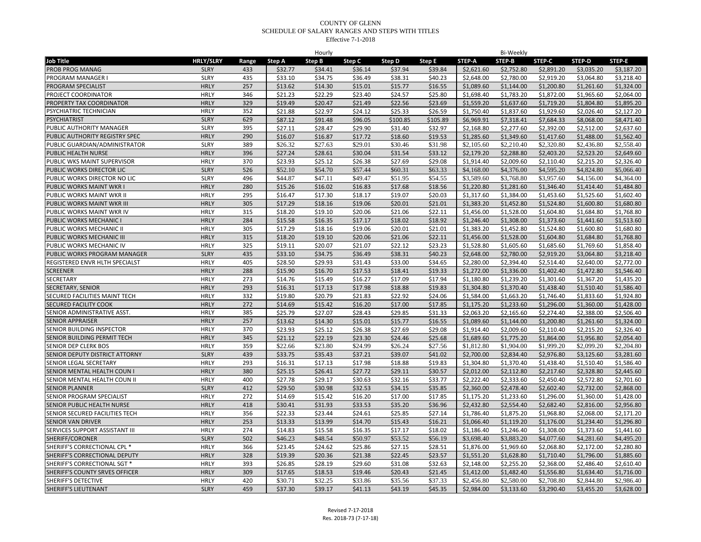|                                |                  |       |         | Hourly  |         |          |          |            | Bi-Weekly  |            |               |            |
|--------------------------------|------------------|-------|---------|---------|---------|----------|----------|------------|------------|------------|---------------|------------|
| Job Title                      | <b>HRLY/SLRY</b> | Range | Step A  | Step B  | Step C  | Step D   | Step E   | STEP-A     | STEP-B     | STEP-C     | <b>STEP-D</b> | STEP-E     |
| PROB PROG MANAG                | <b>SLRY</b>      | 433   | \$32.77 | \$34.41 | \$36.14 | \$37.94  | \$39.84  | \$2,621.60 | \$2,752.80 | \$2,891.20 | \$3,035.20    | \$3,187.20 |
| <b>PROGRAM MANAGER I</b>       | <b>SLRY</b>      | 435   | \$33.10 | \$34.75 | \$36.49 | \$38.31  | \$40.23  | \$2,648.00 | \$2,780.00 | \$2,919.20 | \$3,064.80    | \$3,218.40 |
| PROGRAM SPECIALIST             | <b>HRLY</b>      | 257   | \$13.62 | \$14.30 | \$15.01 | \$15.77  | \$16.55  | \$1,089.60 | \$1,144.00 | \$1,200.80 | \$1,261.60    | \$1,324.00 |
| PROJECT COORDINATOR            | <b>HRLY</b>      | 346   | \$21.23 | \$22.29 | \$23.40 | \$24.57  | \$25.80  | \$1,698.40 | \$1,783.20 | \$1,872.00 | \$1,965.60    | \$2,064.00 |
| PROPERTY TAX COORDINATOR       | <b>HRLY</b>      | 329   | \$19.49 | \$20.47 | \$21.49 | \$22.56  | \$23.69  | \$1,559.20 | \$1,637.60 | \$1,719.20 | \$1,804.80    | \$1,895.20 |
| PSYCHIATRIC TECHNICIAN         | <b>HRLY</b>      | 352   | \$21.88 | \$22.97 | \$24.12 | \$25.33  | \$26.59  | \$1,750.40 | \$1,837.60 | \$1,929.60 | \$2,026.40    | \$2,127.20 |
| <b>PSYCHIATRIST</b>            | <b>SLRY</b>      | 629   | \$87.12 | \$91.48 | \$96.05 | \$100.85 | \$105.89 | \$6,969.91 | \$7,318.41 | \$7,684.33 | \$8,068.00    | \$8,471.40 |
| PUBLIC AUTHORITY MANAGER       | <b>SLRY</b>      | 395   | \$27.11 | \$28.47 | \$29.90 | \$31.40  | \$32.97  | \$2,168.80 | \$2,277.60 | \$2,392.00 | \$2,512.00    | \$2,637.60 |
| PUBLIC AUTHORITY REGISTRY SPEC | <b>HRLY</b>      | 290   | \$16.07 | \$16.87 | \$17.72 | \$18.60  | \$19.53  | \$1,285.60 | \$1,349.60 | \$1,417.60 | \$1,488.00    | \$1,562.40 |
| PUBLIC GUARDIAN/ADMINISTRATOR  | <b>SLRY</b>      | 389   | \$26.32 | \$27.63 | \$29.01 | \$30.46  | \$31.98  | \$2,105.60 | \$2,210.40 | \$2,320.80 | \$2,436.80    | \$2,558.40 |
| PUBLIC HEALTH NURSE            | <b>HRLY</b>      | 396   | \$27.24 | \$28.61 | \$30.04 | \$31.54  | \$33.12  | \$2.179.20 | \$2.288.80 | \$2.403.20 | \$2,523.20    | \$2.649.60 |
| PUBLIC WKS MAINT SUPERVISOR    | <b>HRLY</b>      | 370   | \$23.93 | \$25.12 | \$26.38 | \$27.69  | \$29.08  | \$1,914.40 | \$2,009.60 | \$2,110.40 | \$2,215.20    | \$2,326.40 |
| PUBLIC WORKS DIRECTOR LIC      | <b>SLRY</b>      | 526   | \$52.10 | \$54.70 | \$57.44 | \$60.31  | \$63.33  | \$4,168.00 | \$4,376.00 | \$4,595.20 | \$4,824.80    | \$5,066.40 |
| PUBLIC WORKS DIRECTOR NO LIC   | SLRY             | 496   | \$44.87 | \$47.11 | \$49.47 | \$51.95  | \$54.55  | \$3,589.60 | \$3,768.80 | \$3,957.60 | \$4,156.00    | \$4,364.00 |
| PUBLIC WORKS MAINT WKR I       | <b>HRLY</b>      | 280   | \$15.26 | \$16.02 | \$16.83 | \$17.68  | \$18.56  | \$1,220.80 | \$1,281.60 | \$1,346.40 | \$1,414.40    | \$1,484.80 |
| PUBLIC WORKS MAINT WKR II      | <b>HRLY</b>      | 295   | \$16.47 | \$17.30 | \$18.17 | \$19.07  | \$20.03  | \$1,317.60 | \$1,384.00 | \$1,453.60 | \$1,525.60    | \$1,602.40 |
| PUBLIC WORKS MAINT WKR III     | <b>HRLY</b>      | 305   | \$17.29 | \$18.16 | \$19.06 | \$20.01  | \$21.01  | \$1,383.20 | \$1,452.80 | \$1,524.80 | \$1,600.80    | \$1,680.80 |
| PUBLIC WORKS MAINT WKR IV      | <b>HRLY</b>      | 315   | \$18.20 | \$19.10 | \$20.06 | \$21.06  | \$22.11  | \$1,456.00 | \$1,528.00 | \$1,604.80 | \$1,684.80    | \$1,768.80 |
| PUBLIC WORKS MECHANIC I        | <b>HRLY</b>      | 284   | \$15.58 | \$16.35 | \$17.17 | \$18.02  | \$18.92  | \$1,246.40 | \$1,308.00 | \$1,373.60 | \$1,441.60    | \$1,513.60 |
| PUBLIC WORKS MECHANIC II       | <b>HRLY</b>      | 305   | \$17.29 | \$18.16 | \$19.06 | \$20.01  | \$21.01  | \$1,383.20 | \$1,452.80 | \$1,524.80 | \$1,600.80    | \$1,680.80 |
| PUBLIC WORKS MECHANIC III      | <b>HRLY</b>      | 315   | \$18.20 | \$19.10 | \$20.06 | \$21.06  | \$22.11  | \$1,456.00 | \$1,528.00 | \$1,604.80 | \$1,684.80    | \$1,768.80 |
| PUBLIC WORKS MECHANIC IV       | <b>HRLY</b>      | 325   | \$19.11 | \$20.07 | \$21.07 | \$22.12  | \$23.23  | \$1,528.80 | \$1,605.60 | \$1,685.60 | \$1,769.60    | \$1,858.40 |
| PUBLIC WORKS PROGRAM MANAGER   | <b>SLRY</b>      | 435   | \$33.10 | \$34.75 | \$36.49 | \$38.31  | \$40.23  | \$2,648.00 | \$2,780.00 | \$2,919.20 | \$3,064.80    | \$3,218.40 |
| REGISTERED ENVR HLTH SPECIALST | <b>HRLY</b>      | 405   | \$28.50 | \$29.93 | \$31.43 | \$33.00  | \$34.65  | \$2,280.00 | \$2,394.40 | \$2,514.40 | \$2,640.00    | \$2,772.00 |
| <b>SCREENER</b>                | <b>HRLY</b>      | 288   | \$15.90 | \$16.70 | \$17.53 | \$18.41  | \$19.33  | \$1,272.00 | \$1,336.00 | \$1,402.40 | \$1,472.80    | \$1,546.40 |
| SECRETARY                      | <b>HRLY</b>      | 273   | \$14.76 | \$15.49 | \$16.27 | \$17.09  | \$17.94  | \$1,180.80 | \$1,239.20 | \$1,301.60 | \$1,367.20    | \$1,435.20 |
| SECRETARY, SENIOR              | <b>HRLY</b>      | 293   | \$16.31 | \$17.13 | \$17.98 | \$18.88  | \$19.83  | \$1,304.80 | \$1,370.40 | \$1,438.40 | \$1,510.40    | \$1,586.40 |
| SECURED FACILITIES MAINT TECH  | <b>HRLY</b>      | 332   | \$19.80 | \$20.79 | \$21.83 | \$22.92  | \$24.06  | \$1,584.00 | \$1.663.20 | \$1,746.40 | \$1,833.60    | \$1,924.80 |
| SECURED FACILITY COOK          | <b>HRLY</b>      | 272   | \$14.69 | \$15.42 | \$16.20 | \$17.00  | \$17.85  | \$1,175.20 | \$1,233.60 | \$1,296.00 | \$1,360.00    | \$1,428.00 |
| SENIOR ADMINISTRATIVE ASST.    | <b>HRLY</b>      | 385   | \$25.79 | \$27.07 | \$28.43 | \$29.85  | \$31.33  | \$2,063.20 | \$2,165.60 | \$2,274.40 | \$2,388.00    | \$2,506.40 |
| <b>SENIOR APPRAISER</b>        | <b>HRLY</b>      | 257   | \$13.62 | \$14.30 | \$15.01 | \$15.77  | \$16.55  | \$1,089.60 | \$1,144.00 | \$1,200.80 | \$1,261.60    | \$1,324.00 |
| SENIOR BUILDING INSPECTOR      | <b>HRLY</b>      | 370   | \$23.93 | \$25.12 | \$26.38 | \$27.69  | \$29.08  | \$1,914.40 | \$2,009.60 | \$2,110.40 | \$2,215.20    | \$2,326.40 |
| SENIOR BUILDING PERMIT TECH    | <b>HRLY</b>      | 345   | \$21.12 | \$22.19 | \$23.30 | \$24.46  | \$25.68  | \$1,689.60 | \$1,775.20 | \$1,864.00 | \$1,956.80    | \$2,054.40 |
| SENIOR DEP CLERK BOS           | <b>HRLY</b>      | 359   | \$22.66 | \$23.80 | \$24.99 | \$26.24  | \$27.56  | \$1,812.80 | \$1,904.00 | \$1,999.20 | \$2,099.20    | \$2,204.80 |
| SENIOR DEPUTY DISTRICT ATTORNY | <b>SLRY</b>      | 439   | \$33.75 | \$35.43 | \$37.21 | \$39.07  | \$41.02  | \$2,700.00 | \$2,834.40 | \$2,976.80 | \$3,125.60    | \$3,281.60 |
| SENIOR LEGAL SECRETARY         | <b>HRLY</b>      | 293   | \$16.31 | \$17.13 | \$17.98 | \$18.88  | \$19.83  | \$1,304.80 | \$1,370.40 | \$1,438.40 | \$1,510.40    | \$1,586.40 |
| SENIOR MENTAL HEALTH COUN      | <b>HRLY</b>      | 380   | \$25.15 | \$26.41 | \$27.72 | \$29.11  | \$30.57  | \$2,012.00 | \$2,112.80 | \$2,217.60 | \$2,328.80    | \$2,445.60 |
| SENIOR MENTAL HEALTH COUN II   | <b>HRLY</b>      | 400   | \$27.78 | \$29.17 | \$30.63 | \$32.16  | \$33.77  | \$2,222.40 | \$2,333.60 | \$2,450.40 | \$2,572.80    | \$2,701.60 |
| <b>SENIOR PLANNER</b>          | <b>SLRY</b>      | 412   | \$29.50 | \$30.98 | \$32.53 | \$34.15  | \$35.85  | \$2,360.00 | \$2,478.40 | \$2,602.40 | \$2,732.00    | \$2,868.00 |
| SENIOR PROGRAM SPECIALIST      | <b>HRLY</b>      | 272   | \$14.69 | \$15.42 | \$16.20 | \$17.00  | \$17.85  | \$1,175.20 | \$1,233.60 | \$1,296.00 | \$1,360.00    | \$1,428.00 |
| SENIOR PUBLIC HEALTH NURSE     | <b>HRLY</b>      | 418   | \$30.41 | \$31.93 | \$33.53 | \$35.20  | \$36.96  | \$2,432.80 | \$2,554.40 | \$2,682.40 | \$2,816.00    | \$2,956.80 |
| SENIOR SECURED FACILITIES TECH | <b>HRLY</b>      | 356   | \$22.33 | \$23.44 | \$24.61 | \$25.85  | \$27.14  | \$1,786.40 | \$1.875.20 | \$1,968.80 | \$2,068.00    | \$2.171.20 |
| <b>SENIOR VAN DRIVER</b>       | <b>HRLY</b>      | 253   | \$13.33 | \$13.99 | \$14.70 | \$15.43  | \$16.21  | \$1,066.40 | \$1,119.20 | \$1,176.00 | \$1,234.40    | \$1,296.80 |
| SERVICES SUPPORT ASSISTANT III | <b>HRLY</b>      | 274   | \$14.83 | \$15.58 | \$16.35 | \$17.17  | \$18.02  | \$1,186.40 | \$1,246.40 | \$1,308.00 | \$1,373.60    | \$1,441.60 |
| SHERIFF/CORONER                | <b>SLRY</b>      | 502   | \$46.23 | \$48.54 | \$50.97 | \$53.52  | \$56.19  | \$3,698.40 | \$3,883.20 | \$4,077.60 | \$4,281.60    | \$4,495.20 |
| SHERIFF'S CORRECTIONAL CPL *   | <b>HRLY</b>      | 366   | \$23.45 | \$24.62 | \$25.86 | \$27.15  | \$28.51  | \$1,876.00 | \$1,969.60 | \$2,068.80 | \$2,172.00    | \$2,280.80 |
| SHERIFF'S CORRECTIONAL DEPUTY  | <b>HRLY</b>      | 328   | \$19.39 | \$20.36 | \$21.38 | \$22.45  | \$23.57  | \$1,551.20 | \$1,628.80 | \$1,710.40 | \$1,796.00    | \$1,885.60 |
| SHERIFF'S CORRECTIONAL SGT *   | <b>HRLY</b>      | 393   | \$26.85 | \$28.19 | \$29.60 | \$31.08  | \$32.63  | \$2,148.00 | \$2,255.20 | \$2,368.00 | \$2,486.40    | \$2,610.40 |
| SHERIFF'S COUNTY SRVES OFFICER | <b>HRLY</b>      | 309   | \$17.65 | \$18.53 | \$19.46 | \$20.43  | \$21.45  | \$1,412.00 | \$1,482.40 | \$1,556.80 | \$1,634.40    | \$1,716.00 |
| SHERIFF'S DETECTIVE            | <b>HRLY</b>      | 420   | \$30.71 | \$32.25 | \$33.86 | \$35.56  | \$37.33  | \$2,456.80 | \$2,580.00 | \$2,708.80 | \$2,844.80    | \$2,986.40 |
| SHERIFF'S LIEUTENANT           | <b>SLRY</b>      | 459   | \$37.30 | \$39.17 | \$41.13 | \$43.19  | \$45.35  | \$2,984.00 | \$3,133.60 | \$3,290.40 | \$3,455.20    | \$3,628.00 |